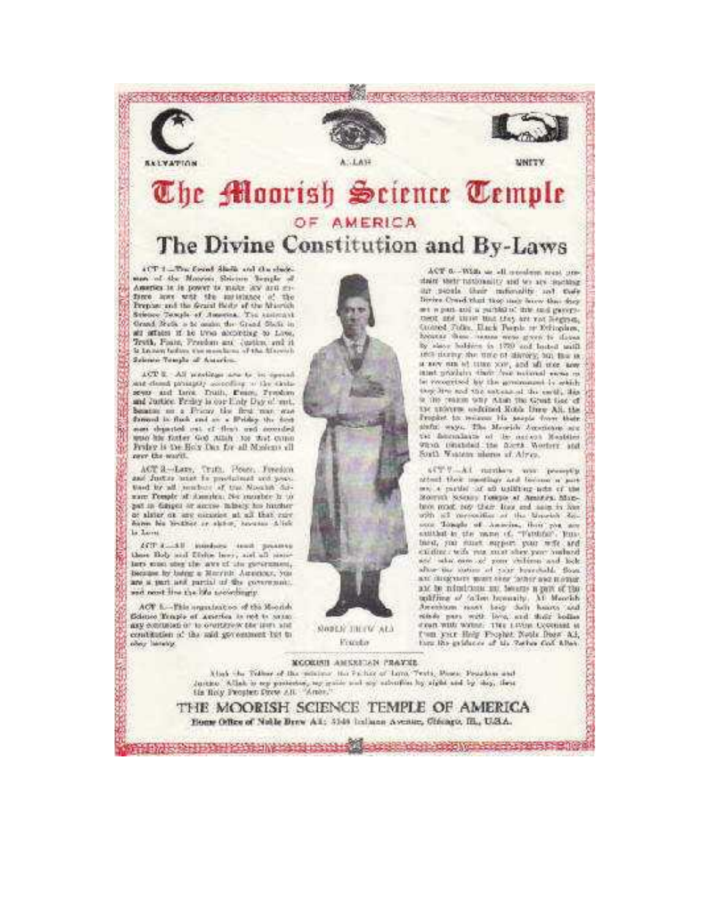

# The Moorish Seience Temple OF AMERICA The Divine Constitution and By-Laws

4CT 1-The first Shells and the shedman of the Mateur Science bearder America in in power to make law and enface have with the initiation of the Prepase and the Grand Bloby of the Musrich Science Temple of America. The Anticotyl Grand Stude a to coulm the Grand State in all attains if he trees alcording to Live. Testh, Fasin, Freedom are custom, and it to Le have builden who manches a little fillowedly Selection Telection of Automobile

ACT E. All machines are to be essentiant dead prouply according to the timeand Justice. Proleg is spelling Day of met. bearing on a France the first man was forward in fixed and an a libriday the date more departed out of thus, and accorded. anto his forter God Atlah to that comp Protez is the Holy One for all Moslego all new the warit.

ACT 3-Lars, Truth, House, Typedon, and further used in productions and poortised by all tempers of the Nousin Saman: Temple of America. Not instable in the pat in driver or access taken his hucheror alster on any consider at all that rure from his brather or slater, however Alich la Lores

ACT Assistant interfaces (small garageness these Bob and Dishe herr, and all seculars cost aber the awe of the government, Incuton by buting a Marrists Automoty, you are a part and partial of the community and next line the life accordingly.

ACT. L.-This argustration of the Months Golstico Templo et Autorion in not in antato gest expressed of to overturn one term who contitution of the said government tor to over listely.

**BARBARA** 



ACT 6 .- With us all members went pretheir water to be to handled the table air secula thair milenality and there Divine Creed that they may because they they art w part and a partition' this and gave pament and time that they are not hegened. Course Folks, Elack Pornis or Edingians, homes them reason were green to do yes by states beddern to 1770 and leated until the during for time of divorge to the taa say am el titro yor, and all size assebe recognized by the generoscopic is sekishthey dive and the antennand the earth, line is the reason why what the Great Lee of the universe coderned Robis Date All, the Prophet to measure the seeple from their tic fourniture of the nation Meables.<br>Ohio consider the forms Worders and Sorth Wastern minors of Africa.

449 U.A.I. standard was perceptive attent those meetings and factors a part and a partial of all unlitting note of the Morrish Science Tongo at America Monbitot recad. 249 their trace and many by fear. with all mesociation or the Mesocial Socsuithed in the more of, "Fantour, teascustom may wise more show the and see what earn at your children and look alton the matter of your hourshald. Bone and dissignates wealth show "astern awarm intrace". and he mindstone and hearts a part of the soliting of fallow homesily. At Moorish Amerikaan moot loop dolly hours and shoun with waters. This Livers Cooperant is User your Help Prophet Nords Door Ad, turn the griduces of the Tarbor Gol. Khen-

ACCORD COOL COOL CONTROL CONTROL

MCORENT AMERICAN PRAYER

Alsah the Tellmer of the memory the Factor of Lerry Texts, Power, Penadom and Justice. Allah is my presenter, my guine and my extention by sight and by dep. Heat He Roly Prouten Prov. A.D. "Arner,"

THE MOORISH SCIENCE TEMPLE OF AMERICA Home Office of Noble Brew All: 5148 Indiana Avenue, Chicago, Ill., U.S.A.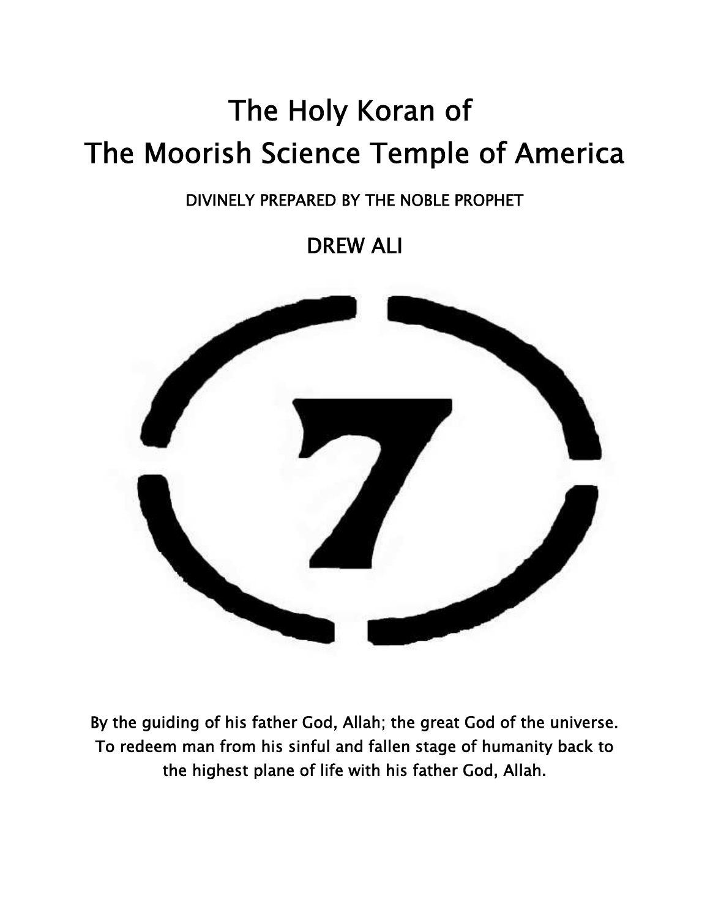# **The Holy Koran of The Moorish Science Temple of America**

# **DIVINELY PREPARED BY THE NOBLE PROPHET**

**DREW ALI**



**By the guiding of his father God, Allah; the great God of the universe. To redeem man from his sinful and fallen stage of humanity back to the highest plane of life with his father God, Allah.**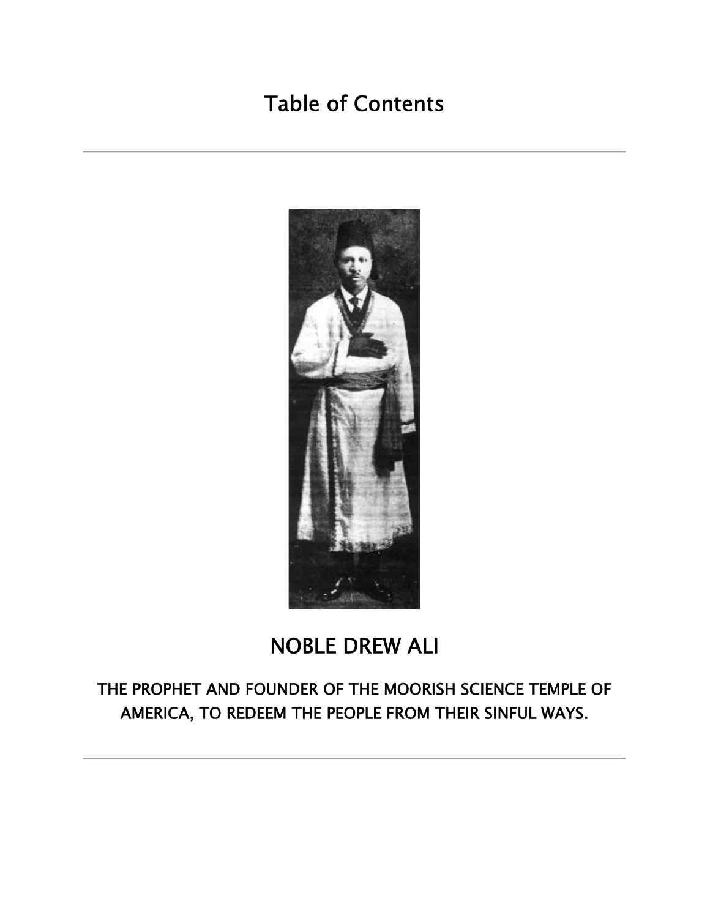# **Table of Contents**



# **NOBLE DREW ALI**

**THE PROPHET AND FOUNDER OF THE MOORISH SCIENCE TEMPLE OF AMERICA, TO REDEEM THE PEOPLE FROM THEIR SINFUL WAYS.**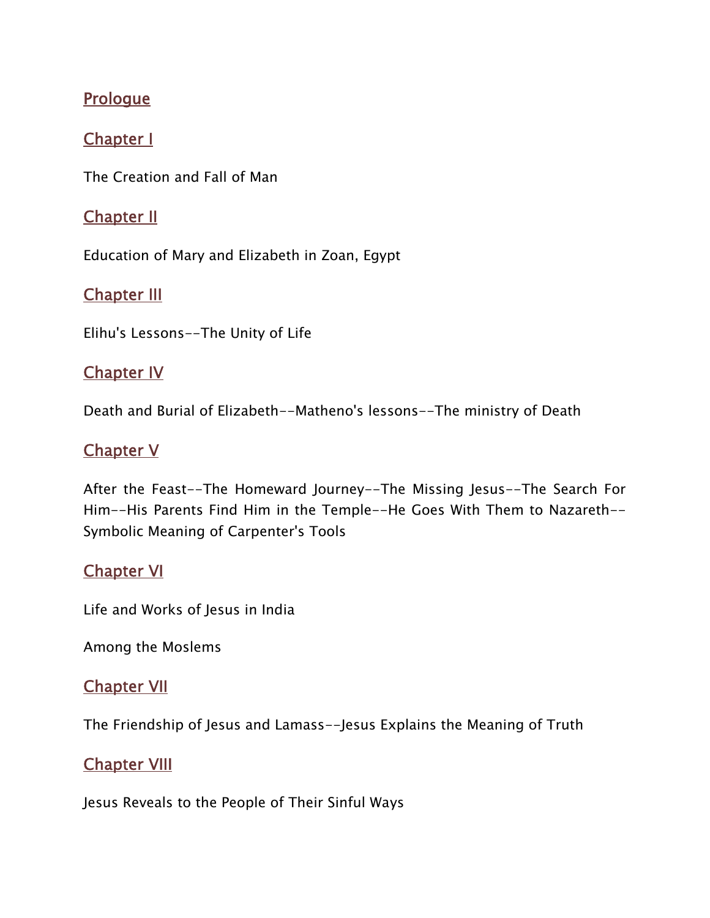# **Prologue**

# **Chapter I**

The Creation and Fall of Man

### **Chapter II**

Education of Mary and Elizabeth in Zoan, Egypt

### **Chapter III**

Elihu's Lessons--The Unity of Life

### **Chapter IV**

Death and Burial of Elizabeth--Matheno's lessons--The ministry of Death

# **Chapter V**

After the Feast--The Homeward Journey--The Missing Jesus--The Search For Him--His Parents Find Him in the Temple--He Goes With Them to Nazareth-- Symbolic Meaning of Carpenter's Tools

# **Chapter VI**

Life and Works of Jesus in India

Among the Moslems

### **Chapter VII**

The Friendship of Jesus and Lamass--Jesus Explains the Meaning of Truth

# **Chapter VIII**

Jesus Reveals to the People of Their Sinful Ways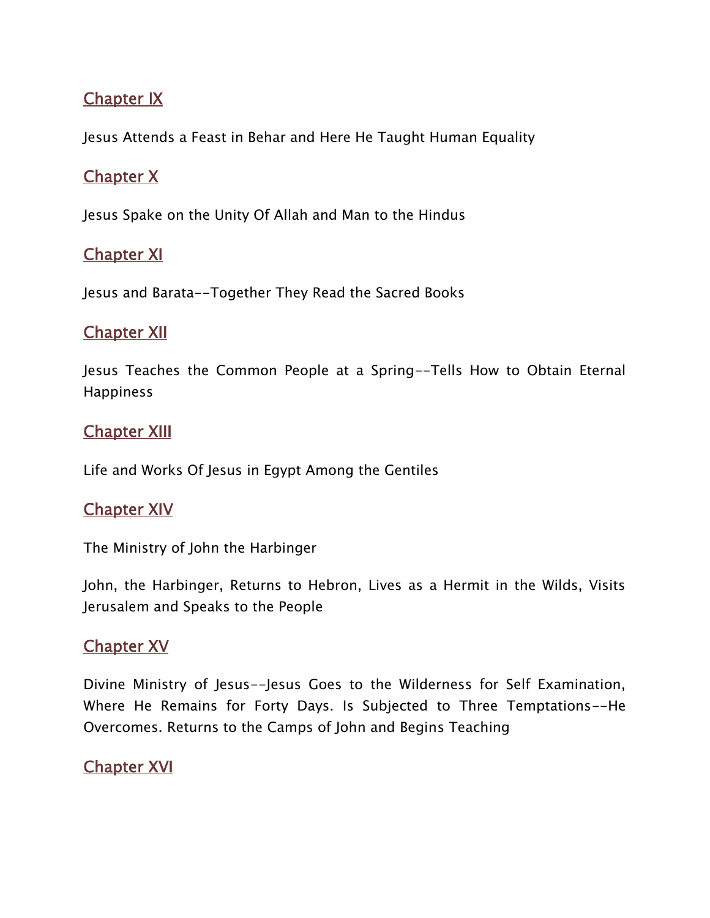# **Chapter IX**

Jesus Attends a Feast in Behar and Here He Taught Human Equality

# **Chapter X**

Jesus Spake on the Unity Of Allah and Man to the Hindus

# **Chapter XI**

Jesus and Barata--Together They Read the Sacred Books

### **Chapter XII**

Jesus Teaches the Common People at a Spring--Tells How to Obtain Eternal **Happiness** 

# **Chapter XIII**

Life and Works Of Jesus in Egypt Among the Gentiles

### **Chapter XIV**

The Ministry of John the Harbinger

John, the Harbinger, Returns to Hebron, Lives as a Hermit in the Wilds, Visits Jerusalem and Speaks to the People

# **Chapter XV**

Divine Ministry of Jesus--Jesus Goes to the Wilderness for Self Examination, Where He Remains for Forty Days. Is Subjected to Three Temptations--He Overcomes. Returns to the Camps of John and Begins Teaching

### **Chapter XVI**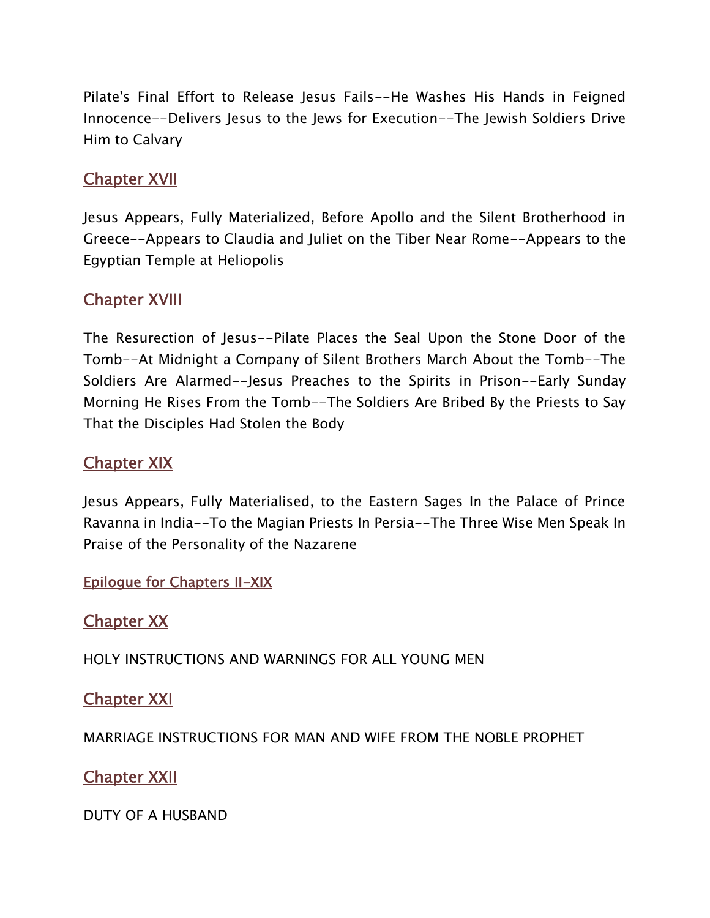Pilate's Final Effort to Release Jesus Fails--He Washes His Hands in Feigned Innocence--Delivers Jesus to the Jews for Execution--The Jewish Soldiers Drive Him to Calvary

### **Chapter XVII**

Jesus Appears, Fully Materialized, Before Apollo and the Silent Brotherhood in Greece--Appears to Claudia and Juliet on the Tiber Near Rome--Appears to the Egyptian Temple at Heliopolis

### **Chapter XVIII**

The Resurection of Jesus--Pilate Places the Seal Upon the Stone Door of the Tomb--At Midnight a Company of Silent Brothers March About the Tomb--The Soldiers Are Alarmed--Jesus Preaches to the Spirits in Prison--Early Sunday Morning He Rises From the Tomb--The Soldiers Are Bribed By the Priests to Say That the Disciples Had Stolen the Body

### **Chapter XIX**

Jesus Appears, Fully Materialised, to the Eastern Sages In the Palace of Prince Ravanna in India--To the Magian Priests In Persia--The Three Wise Men Speak In Praise of the Personality of the Nazarene

#### **Epilogue for Chapters II-XIX**

### **Chapter XX**

HOLY INSTRUCTIONS AND WARNINGS FOR ALL YOUNG MEN

### **Chapter XXI**

MARRIAGE INSTRUCTIONS FOR MAN AND WIFE FROM THE NOBLE PROPHET

### **Chapter XXII**

DUTY OF A HUSBAND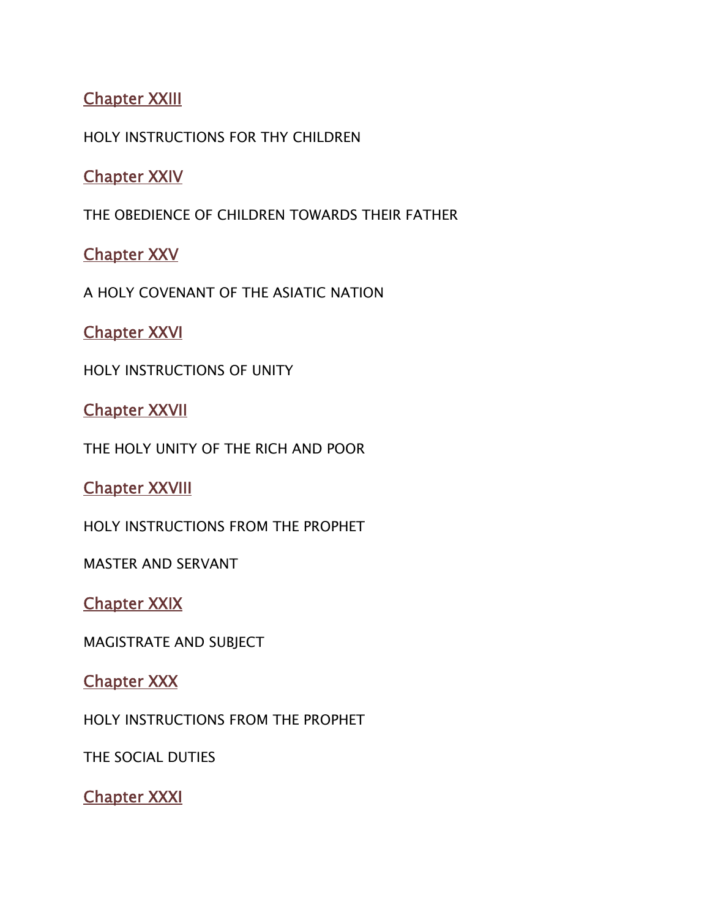# **Chapter XXIII**

HOLY INSTRUCTIONS FOR THY CHILDREN

### **Chapter XXIV**

THE OBEDIENCE OF CHILDREN TOWARDS THEIR FATHER

### **Chapter XXV**

A HOLY COVENANT OF THE ASIATIC NATION

**Chapter XXVI**

HOLY INSTRUCTIONS OF UNITY

**Chapter XXVII**

THE HOLY UNITY OF THE RICH AND POOR

**Chapter XXVIII**

HOLY INSTRUCTIONS FROM THE PROPHET

MASTER AND SERVANT

**Chapter XXIX**

MAGISTRATE AND SUBJECT

**Chapter XXX**

HOLY INSTRUCTIONS FROM THE PROPHET

THE SOCIAL DUTIES

**Chapter XXXI**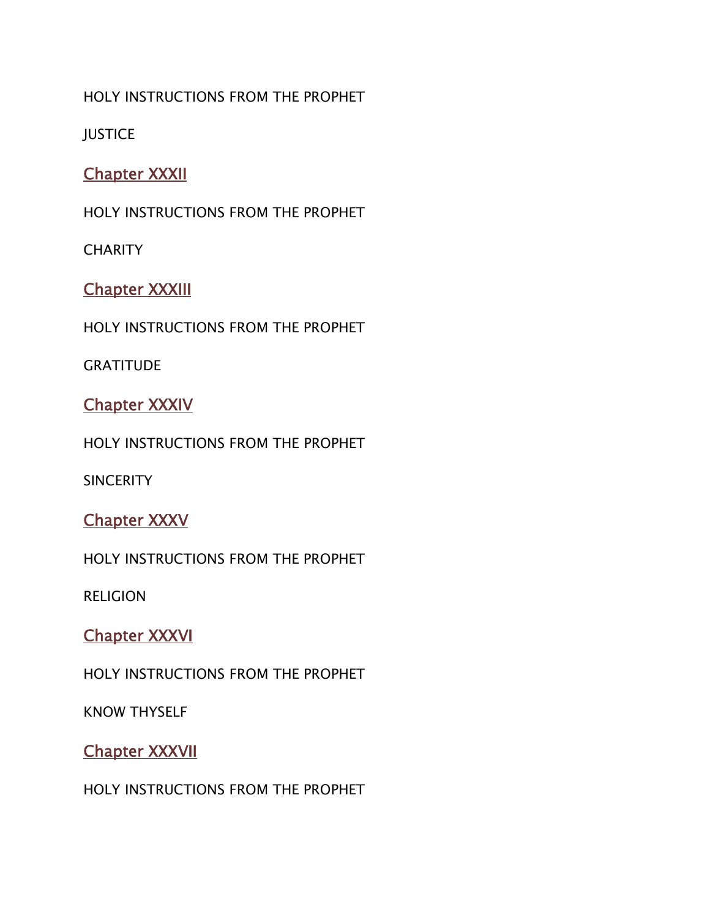#### HOLY INSTRUCTIONS FROM THE PROPHET

**JUSTICE** 

# **Chapter XXXII**

HOLY INSTRUCTIONS FROM THE PROPHET

**CHARITY** 

### **Chapter XXXIII**

HOLY INSTRUCTIONS FROM THE PROPHET

**GRATITUDE** 

# **Chapter XXXIV**

HOLY INSTRUCTIONS FROM THE PROPHET

**SINCERITY** 

### **Chapter XXXV**

HOLY INSTRUCTIONS FROM THE PROPHET

RELIGION

### **Chapter XXXVI**

HOLY INSTRUCTIONS FROM THE PROPHET

KNOW THYSELF

### **Chapter XXXVII**

HOLY INSTRUCTIONS FROM THE PROPHET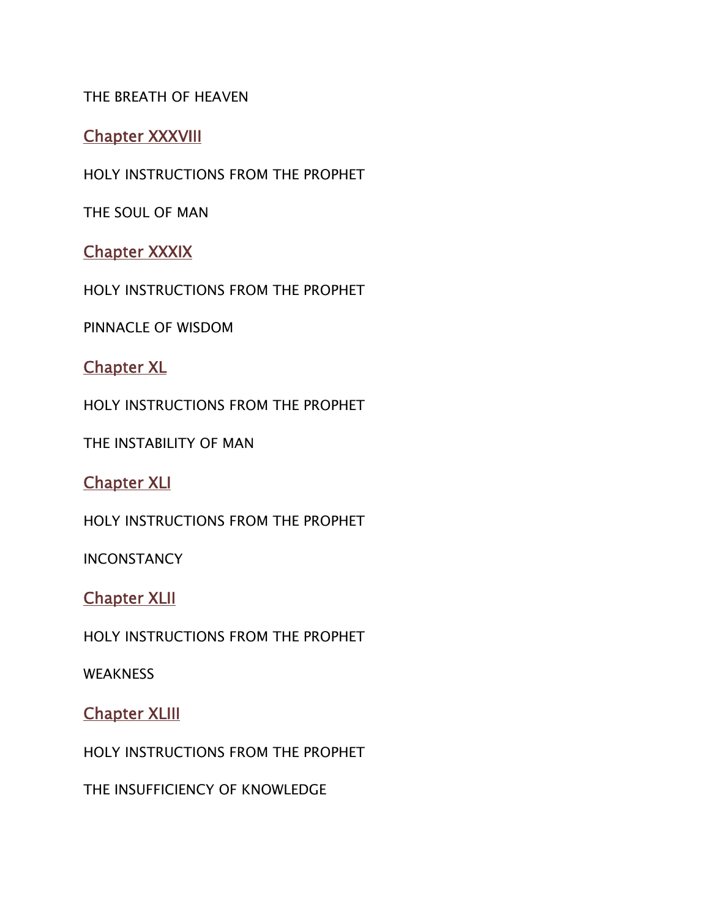#### THE BREATH OF HEAVEN

#### **Chapter XXXVIII**

HOLY INSTRUCTIONS FROM THE PROPHET

THE SOUL OF MAN

#### **Chapter XXXIX**

HOLY INSTRUCTIONS FROM THE PROPHET

PINNACLE OF WISDOM

### **Chapter XL**

HOLY INSTRUCTIONS FROM THE PROPHET

THE INSTABILITY OF MAN

#### **Chapter XLI**

HOLY INSTRUCTIONS FROM THE PROPHET

**INCONSTANCY** 

#### **Chapter XLII**

HOLY INSTRUCTIONS FROM THE PROPHET

**WEAKNESS** 

#### **Chapter XLIII**

HOLY INSTRUCTIONS FROM THE PROPHET

THE INSUFFICIENCY OF KNOWLEDGE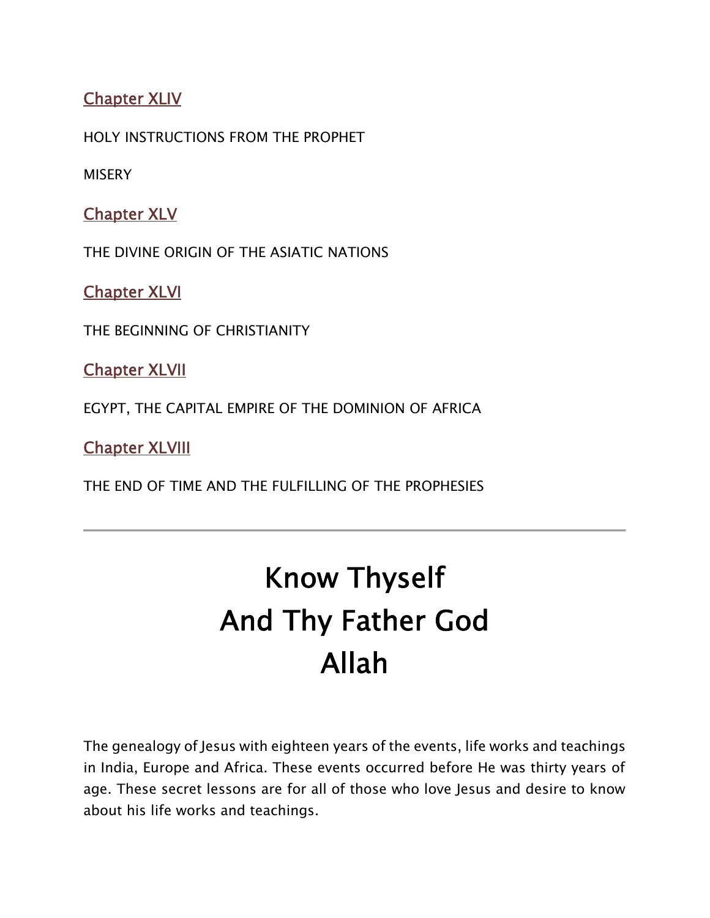# **Chapter XLIV**

HOLY INSTRUCTIONS FROM THE PROPHET

**MISERY** 

**Chapter XLV**

THE DIVINE ORIGIN OF THE ASIATIC NATIONS

**Chapter XLVI**

THE BEGINNING OF CHRISTIANITY

**Chapter XLVII**

EGYPT, THE CAPITAL EMPIRE OF THE DOMINION OF AFRICA

**Chapter XLVIII**

THE END OF TIME AND THE FULFILLING OF THE PROPHESIES

# **Know Thyself And Thy Father God Allah**

The genealogy of Jesus with eighteen years of the events, life works and teachings in India, Europe and Africa. These events occurred before He was thirty years of age. These secret lessons are for all of those who love Jesus and desire to know about his life works and teachings.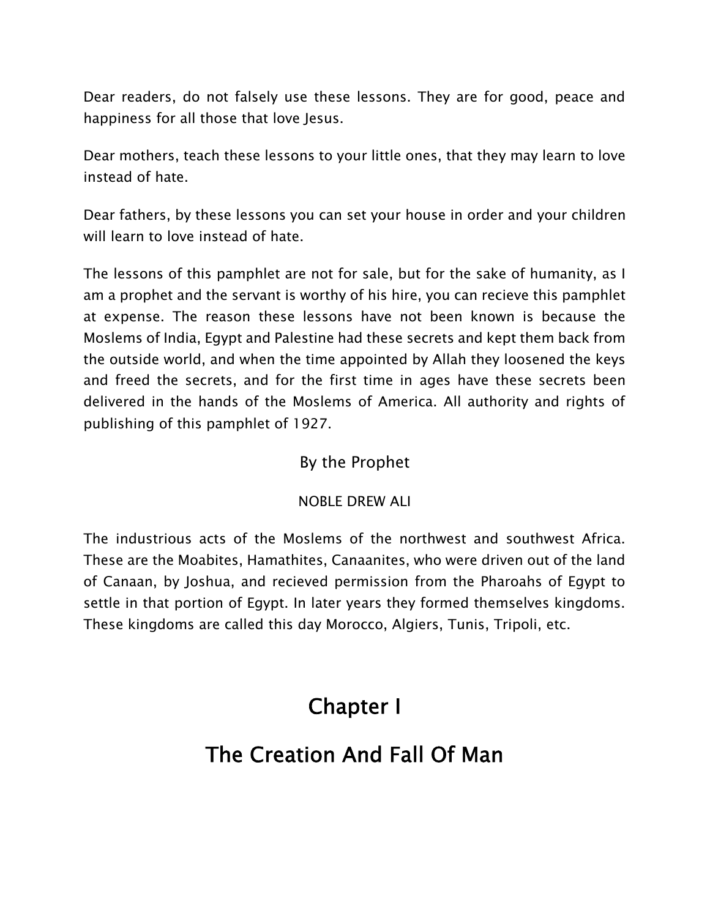Dear readers, do not falsely use these lessons. They are for good, peace and happiness for all those that love Jesus.

Dear mothers, teach these lessons to your little ones, that they may learn to love instead of hate.

Dear fathers, by these lessons you can set your house in order and your children will learn to love instead of hate.

The lessons of this pamphlet are not for sale, but for the sake of humanity, as I am a prophet and the servant is worthy of his hire, you can recieve this pamphlet at expense. The reason these lessons have not been known is because the Moslems of India, Egypt and Palestine had these secrets and kept them back from the outside world, and when the time appointed by Allah they loosened the keys and freed the secrets, and for the first time in ages have these secrets been delivered in the hands of the Moslems of America. All authority and rights of publishing of this pamphlet of 1927.

### By the Prophet

#### NOBLE DREW ALI

The industrious acts of the Moslems of the northwest and southwest Africa. These are the Moabites, Hamathites, Canaanites, who were driven out of the land of Canaan, by Joshua, and recieved permission from the Pharoahs of Egypt to settle in that portion of Egypt. In later years they formed themselves kingdoms. These kingdoms are called this day Morocco, Algiers, Tunis, Tripoli, etc.

# **Chapter I**

# **The Creation And Fall Of Man**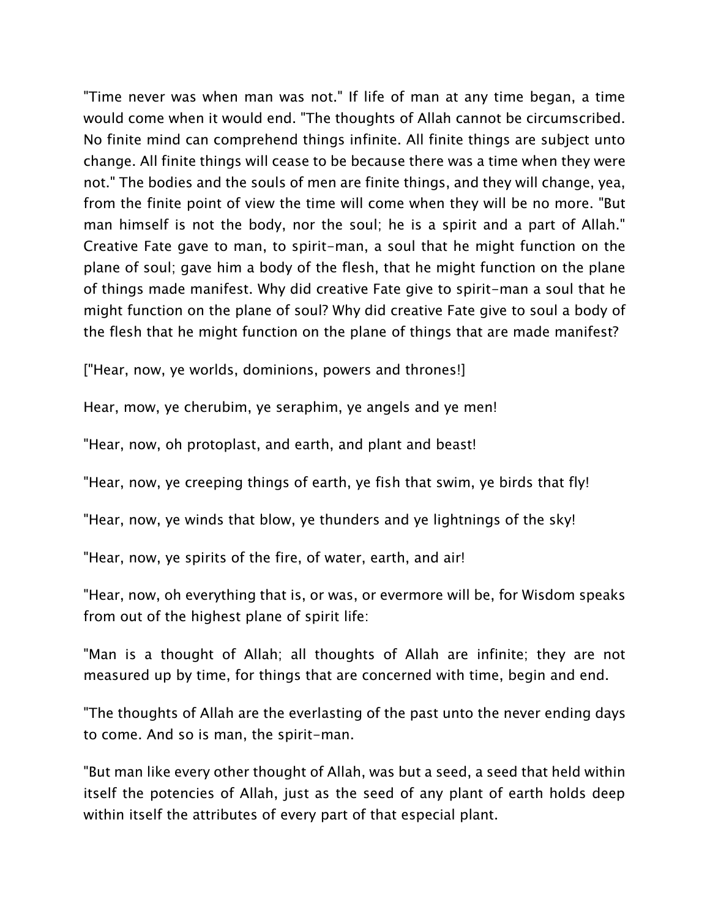"Time never was when man was not." If life of man at any time began, a time would come when it would end. "The thoughts of Allah cannot be circumscribed. No finite mind can comprehend things infinite. All finite things are subject unto change. All finite things will cease to be because there was a time when they were not." The bodies and the souls of men are finite things, and they will change, yea, from the finite point of view the time will come when they will be no more. "But man himself is not the body, nor the soul; he is a spirit and a part of Allah." Creative Fate gave to man, to spirit-man, a soul that he might function on the plane of soul; gave him a body of the flesh, that he might function on the plane of things made manifest. Why did creative Fate give to spirit-man a soul that he might function on the plane of soul? Why did creative Fate give to soul a body of the flesh that he might function on the plane of things that are made manifest?

["Hear, now, ye worlds, dominions, powers and thrones!]

Hear, mow, ye cherubim, ye seraphim, ye angels and ye men!

"Hear, now, oh protoplast, and earth, and plant and beast!

"Hear, now, ye creeping things of earth, ye fish that swim, ye birds that fly!

"Hear, now, ye winds that blow, ye thunders and ye lightnings of the sky!

"Hear, now, ye spirits of the fire, of water, earth, and air!

"Hear, now, oh everything that is, or was, or evermore will be, for Wisdom speaks from out of the highest plane of spirit life:

"Man is a thought of Allah; all thoughts of Allah are infinite; they are not measured up by time, for things that are concerned with time, begin and end.

"The thoughts of Allah are the everlasting of the past unto the never ending days to come. And so is man, the spirit-man.

"But man like every other thought of Allah, was but a seed, a seed that held within itself the potencies of Allah, just as the seed of any plant of earth holds deep within itself the attributes of every part of that especial plant.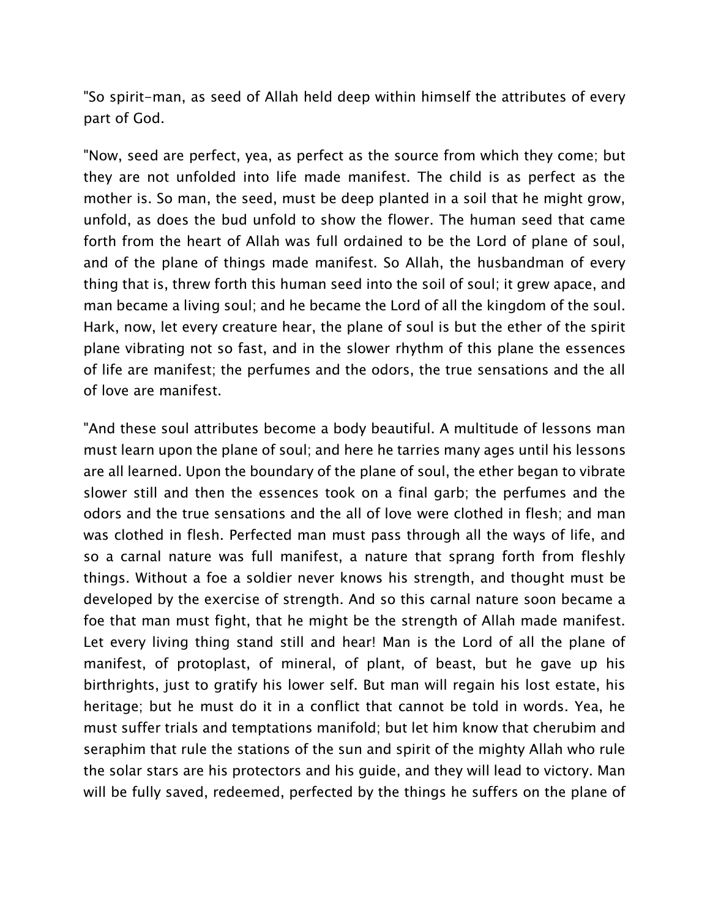"So spirit-man, as seed of Allah held deep within himself the attributes of every part of God.

"Now, seed are perfect, yea, as perfect as the source from which they come; but they are not unfolded into life made manifest. The child is as perfect as the mother is. So man, the seed, must be deep planted in a soil that he might grow, unfold, as does the bud unfold to show the flower. The human seed that came forth from the heart of Allah was full ordained to be the Lord of plane of soul, and of the plane of things made manifest. So Allah, the husbandman of every thing that is, threw forth this human seed into the soil of soul; it grew apace, and man became a living soul; and he became the Lord of all the kingdom of the soul. Hark, now, let every creature hear, the plane of soul is but the ether of the spirit plane vibrating not so fast, and in the slower rhythm of this plane the essences of life are manifest; the perfumes and the odors, the true sensations and the all of love are manifest.

"And these soul attributes become a body beautiful. A multitude of lessons man must learn upon the plane of soul; and here he tarries many ages until his lessons are all learned. Upon the boundary of the plane of soul, the ether began to vibrate slower still and then the essences took on a final garb; the perfumes and the odors and the true sensations and the all of love were clothed in flesh; and man was clothed in flesh. Perfected man must pass through all the ways of life, and so a carnal nature was full manifest, a nature that sprang forth from fleshly things. Without a foe a soldier never knows his strength, and thought must be developed by the exercise of strength. And so this carnal nature soon became a foe that man must fight, that he might be the strength of Allah made manifest. Let every living thing stand still and hear! Man is the Lord of all the plane of manifest, of protoplast, of mineral, of plant, of beast, but he gave up his birthrights, just to gratify his lower self. But man will regain his lost estate, his heritage; but he must do it in a conflict that cannot be told in words. Yea, he must suffer trials and temptations manifold; but let him know that cherubim and seraphim that rule the stations of the sun and spirit of the mighty Allah who rule the solar stars are his protectors and his guide, and they will lead to victory. Man will be fully saved, redeemed, perfected by the things he suffers on the plane of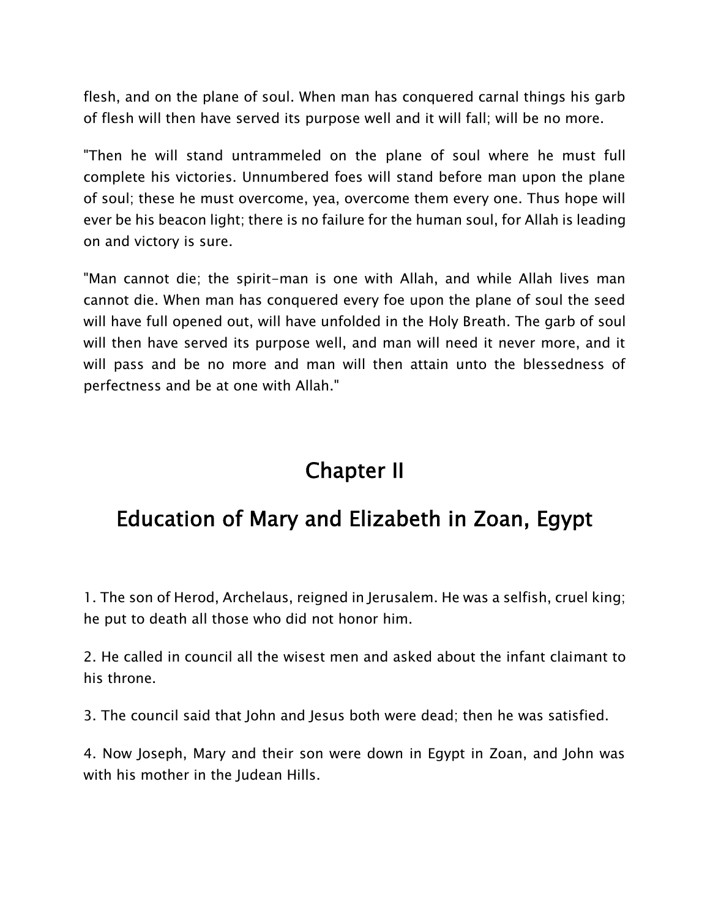flesh, and on the plane of soul. When man has conquered carnal things his garb of flesh will then have served its purpose well and it will fall; will be no more.

"Then he will stand untrammeled on the plane of soul where he must full complete his victories. Unnumbered foes will stand before man upon the plane of soul; these he must overcome, yea, overcome them every one. Thus hope will ever be his beacon light; there is no failure for the human soul, for Allah is leading on and victory is sure.

"Man cannot die; the spirit-man is one with Allah, and while Allah lives man cannot die. When man has conquered every foe upon the plane of soul the seed will have full opened out, will have unfolded in the Holy Breath. The garb of soul will then have served its purpose well, and man will need it never more, and it will pass and be no more and man will then attain unto the blessedness of perfectness and be at one with Allah."

# **Chapter II**

# **Education of Mary and Elizabeth in Zoan, Egypt**

1. The son of Herod, Archelaus, reigned in Jerusalem. He was a selfish, cruel king; he put to death all those who did not honor him.

2. He called in council all the wisest men and asked about the infant claimant to his throne.

3. The council said that John and Jesus both were dead; then he was satisfied.

4. Now Joseph, Mary and their son were down in Egypt in Zoan, and John was with his mother in the Judean Hills.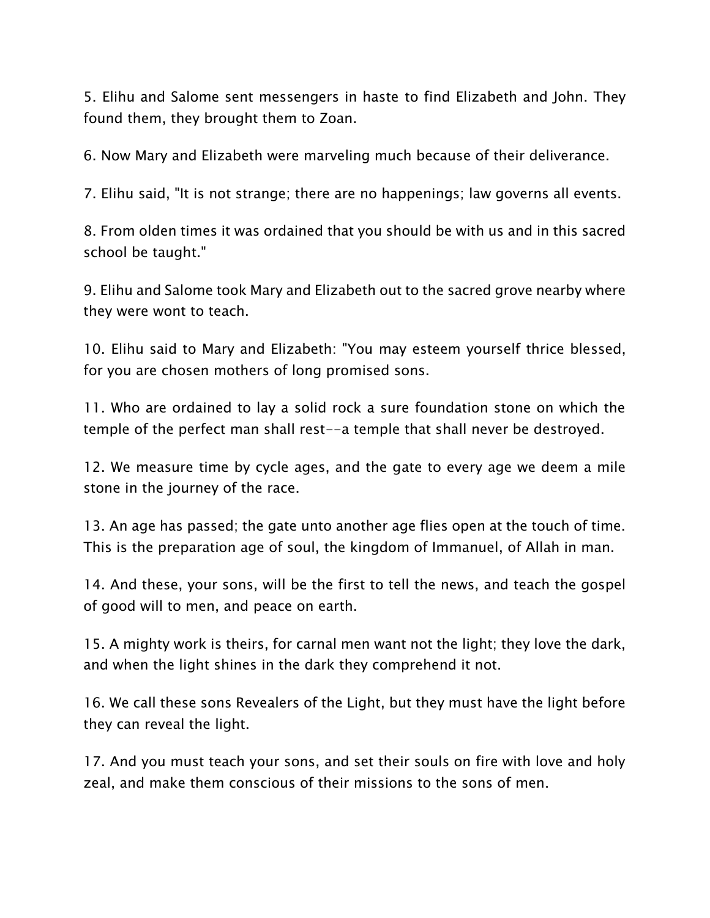5. Elihu and Salome sent messengers in haste to find Elizabeth and John. They found them, they brought them to Zoan.

6. Now Mary and Elizabeth were marveling much because of their deliverance.

7. Elihu said, "It is not strange; there are no happenings; law governs all events.

8. From olden times it was ordained that you should be with us and in this sacred school be taught."

9. Elihu and Salome took Mary and Elizabeth out to the sacred grove nearby where they were wont to teach.

10. Elihu said to Mary and Elizabeth: "You may esteem yourself thrice blessed, for you are chosen mothers of long promised sons.

11. Who are ordained to lay a solid rock a sure foundation stone on which the temple of the perfect man shall rest--a temple that shall never be destroyed.

12. We measure time by cycle ages, and the gate to every age we deem a mile stone in the journey of the race.

13. An age has passed; the gate unto another age flies open at the touch of time. This is the preparation age of soul, the kingdom of Immanuel, of Allah in man.

14. And these, your sons, will be the first to tell the news, and teach the gospel of good will to men, and peace on earth.

15. A mighty work is theirs, for carnal men want not the light; they love the dark, and when the light shines in the dark they comprehend it not.

16. We call these sons Revealers of the Light, but they must have the light before they can reveal the light.

17. And you must teach your sons, and set their souls on fire with love and holy zeal, and make them conscious of their missions to the sons of men.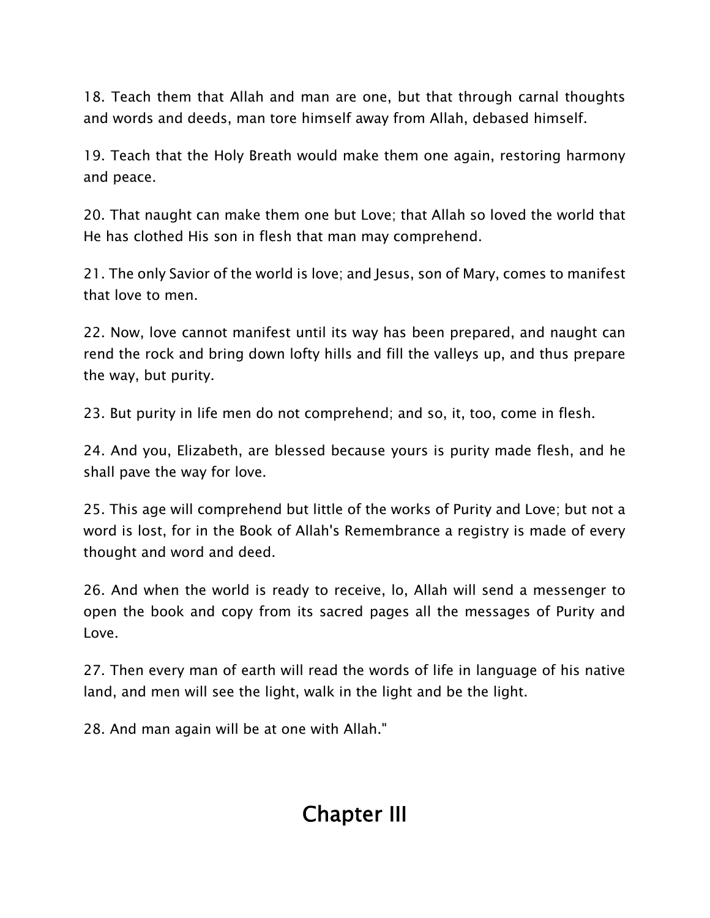18. Teach them that Allah and man are one, but that through carnal thoughts and words and deeds, man tore himself away from Allah, debased himself.

19. Teach that the Holy Breath would make them one again, restoring harmony and peace.

20. That naught can make them one but Love; that Allah so loved the world that He has clothed His son in flesh that man may comprehend.

21. The only Savior of the world is love; and Jesus, son of Mary, comes to manifest that love to men.

22. Now, love cannot manifest until its way has been prepared, and naught can rend the rock and bring down lofty hills and fill the valleys up, and thus prepare the way, but purity.

23. But purity in life men do not comprehend; and so, it, too, come in flesh.

24. And you, Elizabeth, are blessed because yours is purity made flesh, and he shall pave the way for love.

25. This age will comprehend but little of the works of Purity and Love; but not a word is lost, for in the Book of Allah's Remembrance a registry is made of every thought and word and deed.

26. And when the world is ready to receive, lo, Allah will send a messenger to open the book and copy from its sacred pages all the messages of Purity and Love.

27. Then every man of earth will read the words of life in language of his native land, and men will see the light, walk in the light and be the light.

28. And man again will be at one with Allah."

# **Chapter III**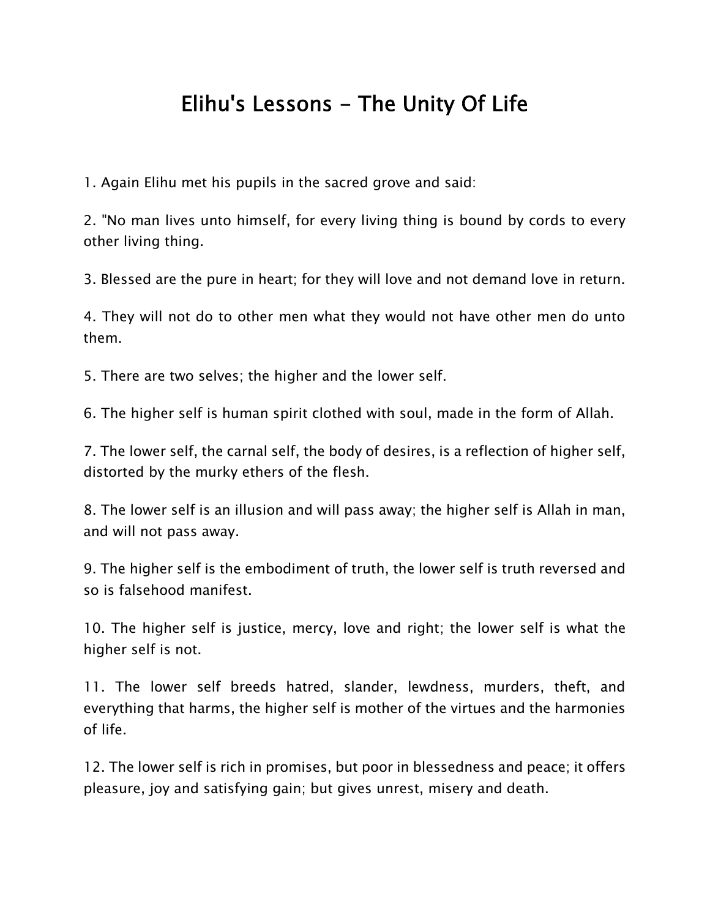# **Elihu's Lessons - The Unity Of Life**

1. Again Elihu met his pupils in the sacred grove and said:

2. "No man lives unto himself, for every living thing is bound by cords to every other living thing.

3. Blessed are the pure in heart; for they will love and not demand love in return.

4. They will not do to other men what they would not have other men do unto them.

5. There are two selves; the higher and the lower self.

6. The higher self is human spirit clothed with soul, made in the form of Allah.

7. The lower self, the carnal self, the body of desires, is a reflection of higher self, distorted by the murky ethers of the flesh.

8. The lower self is an illusion and will pass away; the higher self is Allah in man, and will not pass away.

9. The higher self is the embodiment of truth, the lower self is truth reversed and so is falsehood manifest.

10. The higher self is justice, mercy, love and right; the lower self is what the higher self is not.

11. The lower self breeds hatred, slander, lewdness, murders, theft, and everything that harms, the higher self is mother of the virtues and the harmonies of life.

12. The lower self is rich in promises, but poor in blessedness and peace; it offers pleasure, joy and satisfying gain; but gives unrest, misery and death.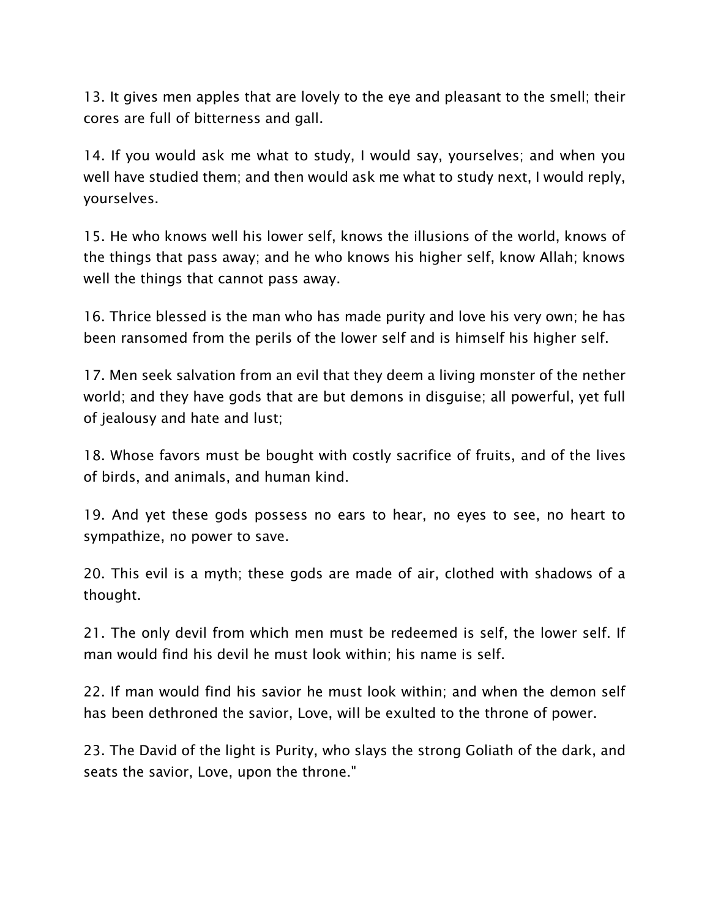13. It gives men apples that are lovely to the eye and pleasant to the smell; their cores are full of bitterness and gall.

14. If you would ask me what to study, I would say, yourselves; and when you well have studied them; and then would ask me what to study next, I would reply, yourselves.

15. He who knows well his lower self, knows the illusions of the world, knows of the things that pass away; and he who knows his higher self, know Allah; knows well the things that cannot pass away.

16. Thrice blessed is the man who has made purity and love his very own; he has been ransomed from the perils of the lower self and is himself his higher self.

17. Men seek salvation from an evil that they deem a living monster of the nether world; and they have gods that are but demons in disguise; all powerful, yet full of jealousy and hate and lust;

18. Whose favors must be bought with costly sacrifice of fruits, and of the lives of birds, and animals, and human kind.

19. And yet these gods possess no ears to hear, no eyes to see, no heart to sympathize, no power to save.

20. This evil is a myth; these gods are made of air, clothed with shadows of a thought.

21. The only devil from which men must be redeemed is self, the lower self. If man would find his devil he must look within; his name is self.

22. If man would find his savior he must look within; and when the demon self has been dethroned the savior, Love, will be exulted to the throne of power.

23. The David of the light is Purity, who slays the strong Goliath of the dark, and seats the savior, Love, upon the throne."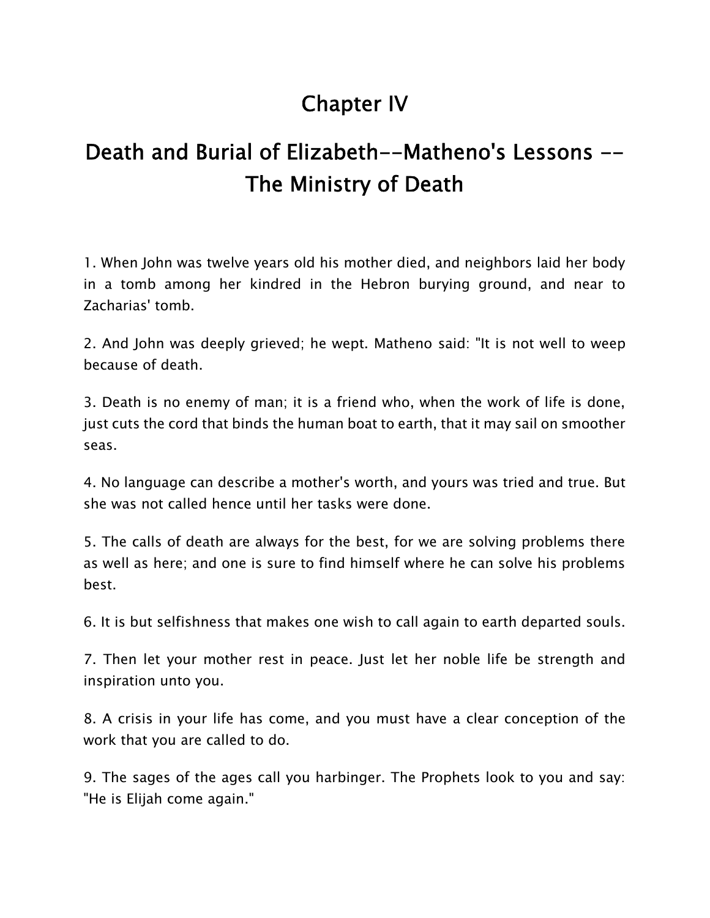# **Chapter IV**

# **Death and Burial of Elizabeth--Matheno's Lessons -- The Ministry of Death**

1. When John was twelve years old his mother died, and neighbors laid her body in a tomb among her kindred in the Hebron burying ground, and near to Zacharias' tomb.

2. And John was deeply grieved; he wept. Matheno said: "It is not well to weep because of death.

3. Death is no enemy of man; it is a friend who, when the work of life is done, just cuts the cord that binds the human boat to earth, that it may sail on smoother seas.

4. No language can describe a mother's worth, and yours was tried and true. But she was not called hence until her tasks were done.

5. The calls of death are always for the best, for we are solving problems there as well as here; and one is sure to find himself where he can solve his problems best.

6. It is but selfishness that makes one wish to call again to earth departed souls.

7. Then let your mother rest in peace. Just let her noble life be strength and inspiration unto you.

8. A crisis in your life has come, and you must have a clear conception of the work that you are called to do.

9. The sages of the ages call you harbinger. The Prophets look to you and say: "He is Elijah come again."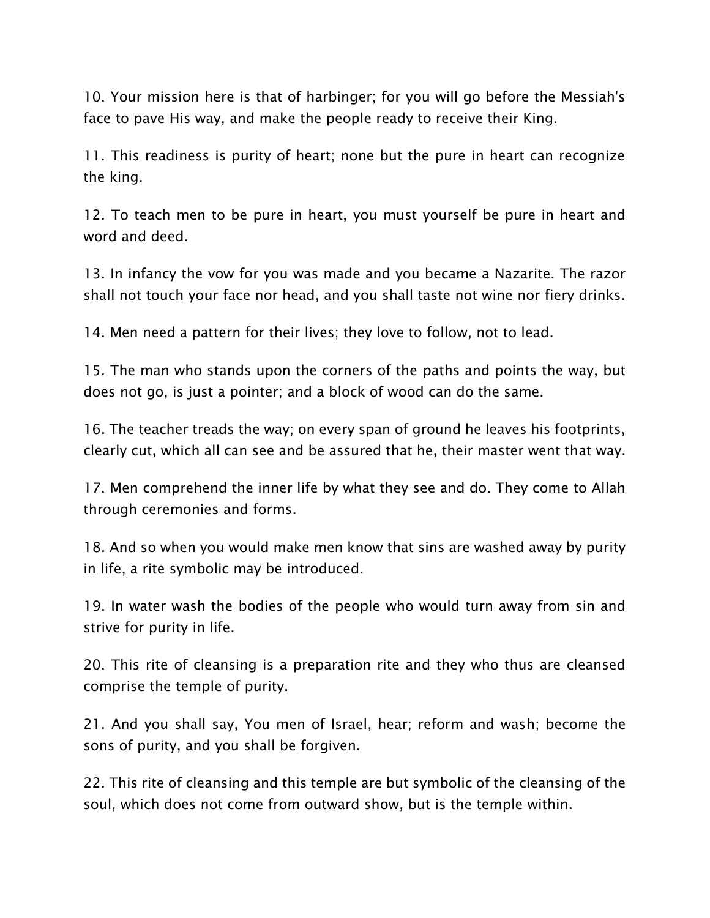10. Your mission here is that of harbinger; for you will go before the Messiah's face to pave His way, and make the people ready to receive their King.

11. This readiness is purity of heart; none but the pure in heart can recognize the king.

12. To teach men to be pure in heart, you must yourself be pure in heart and word and deed.

13. In infancy the vow for you was made and you became a Nazarite. The razor shall not touch your face nor head, and you shall taste not wine nor fiery drinks.

14. Men need a pattern for their lives; they love to follow, not to lead.

15. The man who stands upon the corners of the paths and points the way, but does not go, is just a pointer; and a block of wood can do the same.

16. The teacher treads the way; on every span of ground he leaves his footprints, clearly cut, which all can see and be assured that he, their master went that way.

17. Men comprehend the inner life by what they see and do. They come to Allah through ceremonies and forms.

18. And so when you would make men know that sins are washed away by purity in life, a rite symbolic may be introduced.

19. In water wash the bodies of the people who would turn away from sin and strive for purity in life.

20. This rite of cleansing is a preparation rite and they who thus are cleansed comprise the temple of purity.

21. And you shall say, You men of Israel, hear; reform and wash; become the sons of purity, and you shall be forgiven.

22. This rite of cleansing and this temple are but symbolic of the cleansing of the soul, which does not come from outward show, but is the temple within.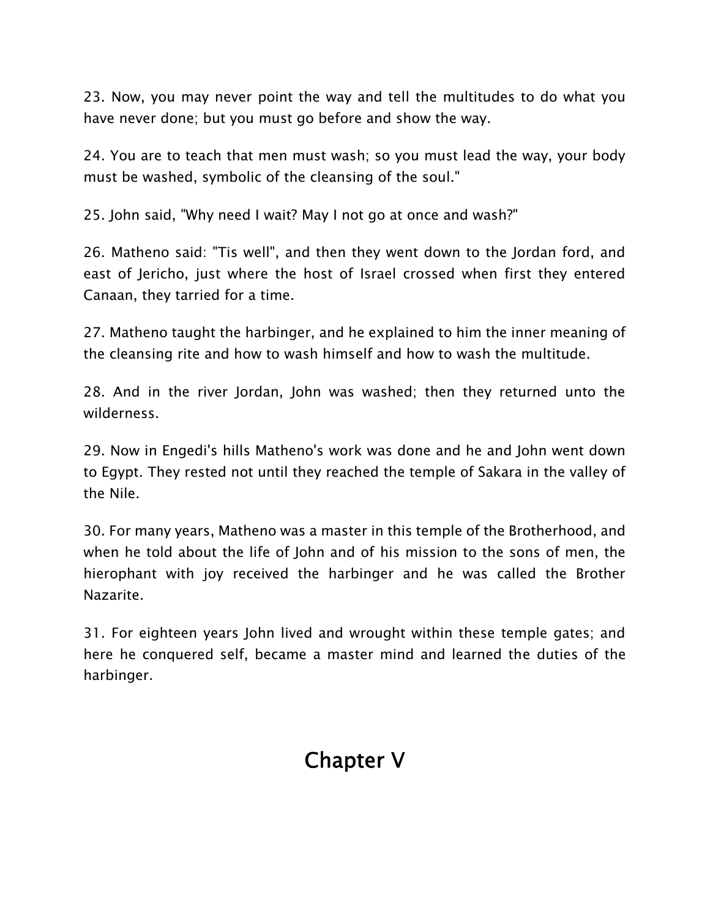23. Now, you may never point the way and tell the multitudes to do what you have never done; but you must go before and show the way.

24. You are to teach that men must wash; so you must lead the way, your body must be washed, symbolic of the cleansing of the soul."

25. John said, "Why need I wait? May I not go at once and wash?"

26. Matheno said: "Tis well", and then they went down to the Jordan ford, and east of Jericho, just where the host of Israel crossed when first they entered Canaan, they tarried for a time.

27. Matheno taught the harbinger, and he explained to him the inner meaning of the cleansing rite and how to wash himself and how to wash the multitude.

28. And in the river Jordan, John was washed; then they returned unto the wilderness.

29. Now in Engedi's hills Matheno's work was done and he and John went down to Egypt. They rested not until they reached the temple of Sakara in the valley of the Nile.

30. For many years, Matheno was a master in this temple of the Brotherhood, and when he told about the life of John and of his mission to the sons of men, the hierophant with joy received the harbinger and he was called the Brother Nazarite.

31. For eighteen years John lived and wrought within these temple gates; and here he conquered self, became a master mind and learned the duties of the harbinger.

# **Chapter V**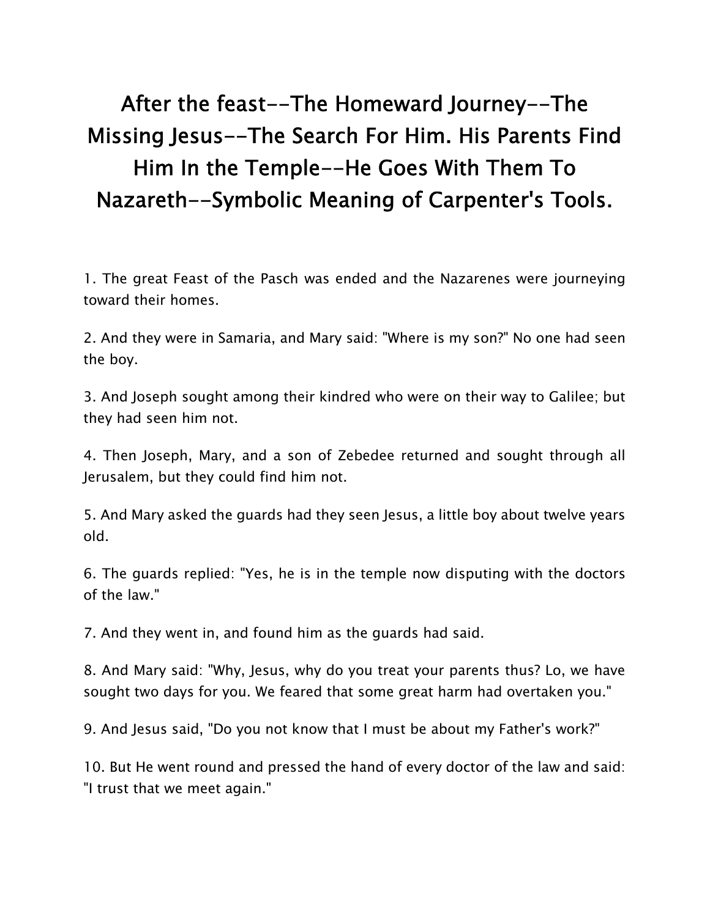# **After the feast--The Homeward Journey--The Missing Jesus--The Search For Him. His Parents Find Him In the Temple--He Goes With Them To Nazareth--Symbolic Meaning of Carpenter's Tools.**

1. The great Feast of the Pasch was ended and the Nazarenes were journeying toward their homes.

2. And they were in Samaria, and Mary said: "Where is my son?" No one had seen the boy.

3. And Joseph sought among their kindred who were on their way to Galilee; but they had seen him not.

4. Then Joseph, Mary, and a son of Zebedee returned and sought through all Jerusalem, but they could find him not.

5. And Mary asked the guards had they seen Jesus, a little boy about twelve years old.

6. The guards replied: "Yes, he is in the temple now disputing with the doctors of the law."

7. And they went in, and found him as the guards had said.

8. And Mary said: "Why, Jesus, why do you treat your parents thus? Lo, we have sought two days for you. We feared that some great harm had overtaken you."

9. And Jesus said, "Do you not know that I must be about my Father's work?"

10. But He went round and pressed the hand of every doctor of the law and said: "I trust that we meet again."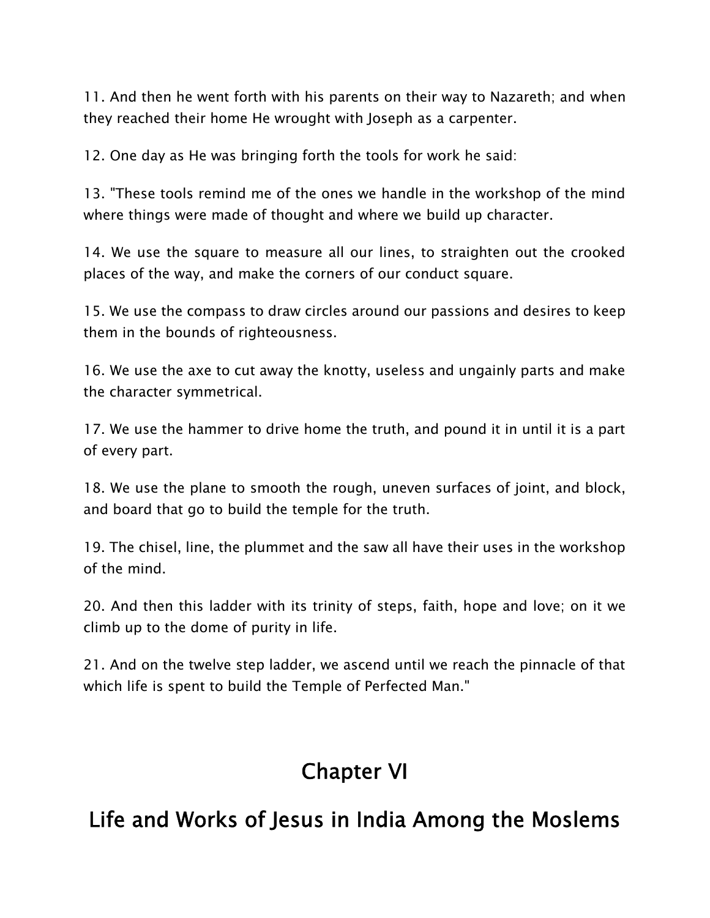11. And then he went forth with his parents on their way to Nazareth; and when they reached their home He wrought with Joseph as a carpenter.

12. One day as He was bringing forth the tools for work he said:

13. "These tools remind me of the ones we handle in the workshop of the mind where things were made of thought and where we build up character.

14. We use the square to measure all our lines, to straighten out the crooked places of the way, and make the corners of our conduct square.

15. We use the compass to draw circles around our passions and desires to keep them in the bounds of righteousness.

16. We use the axe to cut away the knotty, useless and ungainly parts and make the character symmetrical.

17. We use the hammer to drive home the truth, and pound it in until it is a part of every part.

18. We use the plane to smooth the rough, uneven surfaces of joint, and block, and board that go to build the temple for the truth.

19. The chisel, line, the plummet and the saw all have their uses in the workshop of the mind.

20. And then this ladder with its trinity of steps, faith, hope and love; on it we climb up to the dome of purity in life.

21. And on the twelve step ladder, we ascend until we reach the pinnacle of that which life is spent to build the Temple of Perfected Man."

# **Chapter VI**

# **Life and Works of Jesus in India Among the Moslems**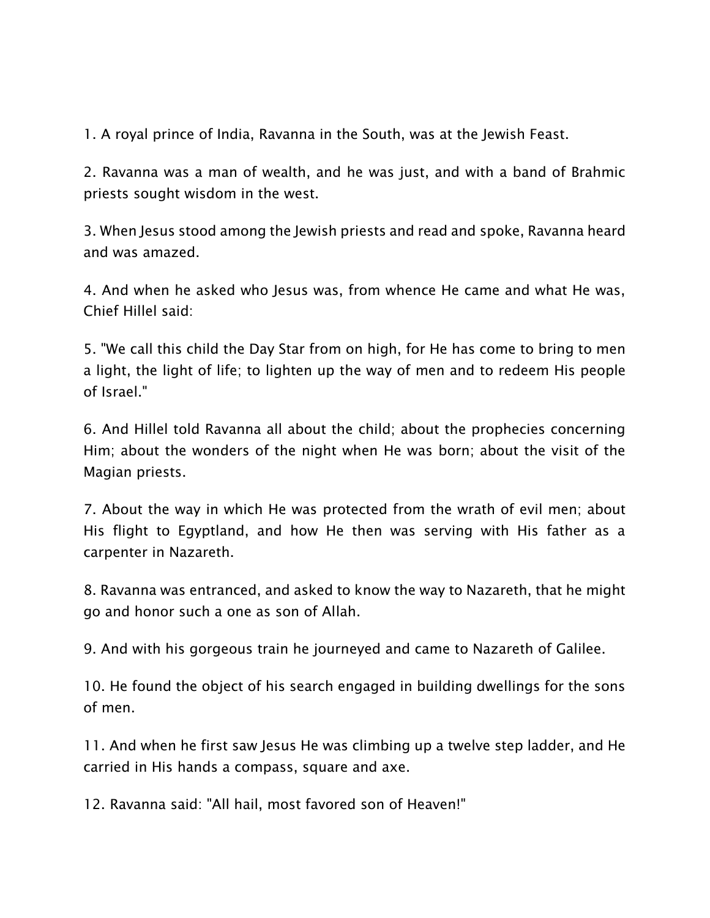1. A royal prince of India, Ravanna in the South, was at the Jewish Feast.

2. Ravanna was a man of wealth, and he was just, and with a band of Brahmic priests sought wisdom in the west.

3. When Jesus stood among the Jewish priests and read and spoke, Ravanna heard and was amazed.

4. And when he asked who Jesus was, from whence He came and what He was, Chief Hillel said:

5. "We call this child the Day Star from on high, for He has come to bring to men a light, the light of life; to lighten up the way of men and to redeem His people of Israel."

6. And Hillel told Ravanna all about the child; about the prophecies concerning Him; about the wonders of the night when He was born; about the visit of the Magian priests.

7. About the way in which He was protected from the wrath of evil men; about His flight to Egyptland, and how He then was serving with His father as a carpenter in Nazareth.

8. Ravanna was entranced, and asked to know the way to Nazareth, that he might go and honor such a one as son of Allah.

9. And with his gorgeous train he journeyed and came to Nazareth of Galilee.

10. He found the object of his search engaged in building dwellings for the sons of men.

11. And when he first saw Jesus He was climbing up a twelve step ladder, and He carried in His hands a compass, square and axe.

12. Ravanna said: "All hail, most favored son of Heaven!"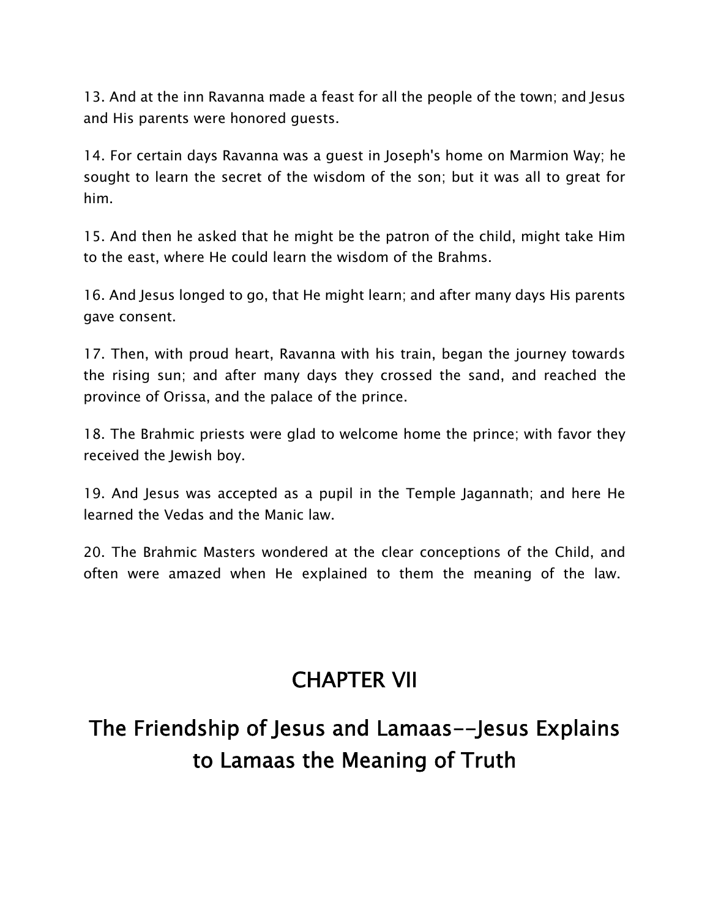13. And at the inn Ravanna made a feast for all the people of the town; and Jesus and His parents were honored guests.

14. For certain days Ravanna was a guest in Joseph's home on Marmion Way; he sought to learn the secret of the wisdom of the son; but it was all to great for him.

15. And then he asked that he might be the patron of the child, might take Him to the east, where He could learn the wisdom of the Brahms.

16. And Jesus longed to go, that He might learn; and after many days His parents gave consent.

17. Then, with proud heart, Ravanna with his train, began the journey towards the rising sun; and after many days they crossed the sand, and reached the province of Orissa, and the palace of the prince.

18. The Brahmic priests were glad to welcome home the prince; with favor they received the Jewish boy.

19. And Jesus was accepted as a pupil in the Temple Jagannath; and here He learned the Vedas and the Manic law.

20. The Brahmic Masters wondered at the clear conceptions of the Child, and often were amazed when He explained to them the meaning of the law.

# **CHAPTER VII**

# **The Friendship of Jesus and Lamaas--Jesus Explains to Lamaas the Meaning of Truth**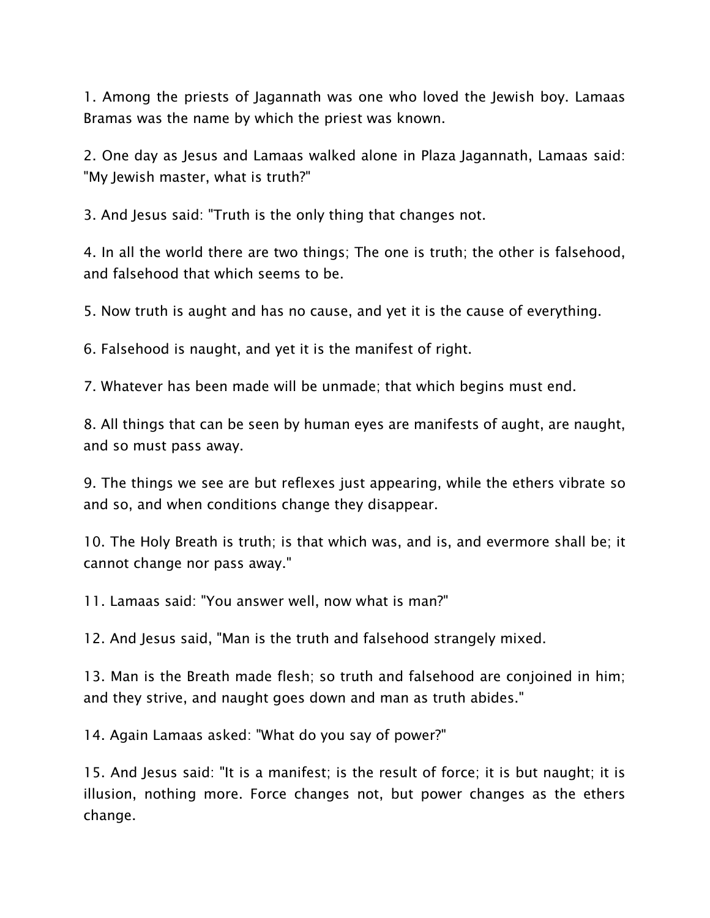1. Among the priests of Jagannath was one who loved the Jewish boy. Lamaas Bramas was the name by which the priest was known.

2. One day as Jesus and Lamaas walked alone in Plaza Jagannath, Lamaas said: "My Jewish master, what is truth?"

3. And Jesus said: "Truth is the only thing that changes not.

4. In all the world there are two things; The one is truth; the other is falsehood, and falsehood that which seems to be.

5. Now truth is aught and has no cause, and yet it is the cause of everything.

6. Falsehood is naught, and yet it is the manifest of right.

7. Whatever has been made will be unmade; that which begins must end.

8. All things that can be seen by human eyes are manifests of aught, are naught, and so must pass away.

9. The things we see are but reflexes just appearing, while the ethers vibrate so and so, and when conditions change they disappear.

10. The Holy Breath is truth; is that which was, and is, and evermore shall be; it cannot change nor pass away."

11. Lamaas said: "You answer well, now what is man?"

12. And Jesus said, "Man is the truth and falsehood strangely mixed.

13. Man is the Breath made flesh; so truth and falsehood are conjoined in him; and they strive, and naught goes down and man as truth abides."

14. Again Lamaas asked: "What do you say of power?"

15. And Jesus said: "It is a manifest; is the result of force; it is but naught; it is illusion, nothing more. Force changes not, but power changes as the ethers change.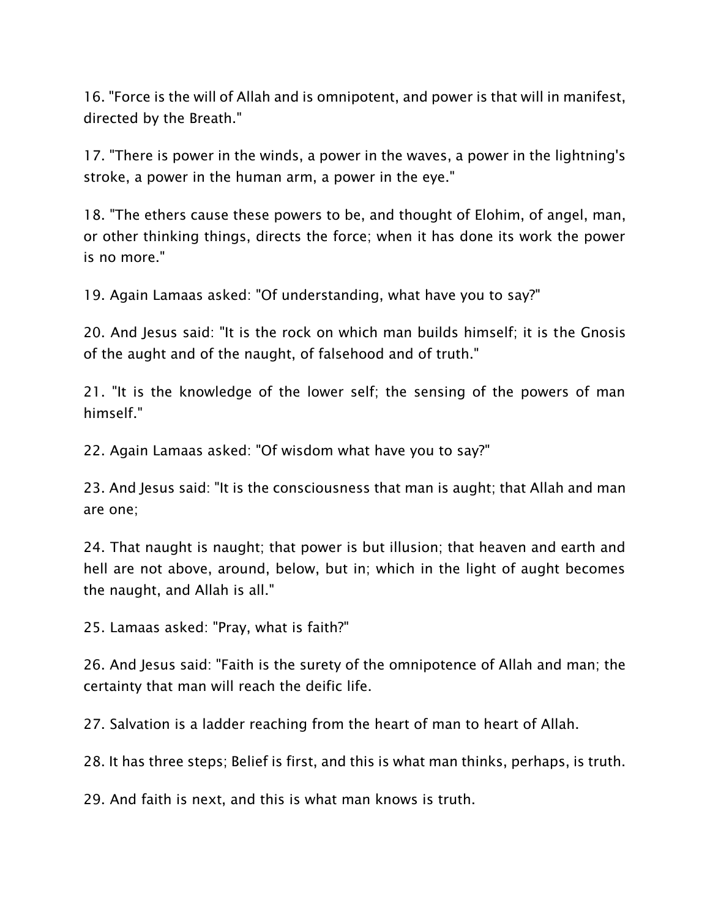16. "Force is the will of Allah and is omnipotent, and power is that will in manifest, directed by the Breath."

17. "There is power in the winds, a power in the waves, a power in the lightning's stroke, a power in the human arm, a power in the eye."

18. "The ethers cause these powers to be, and thought of Elohim, of angel, man, or other thinking things, directs the force; when it has done its work the power is no more."

19. Again Lamaas asked: "Of understanding, what have you to say?"

20. And Jesus said: "It is the rock on which man builds himself; it is the Gnosis of the aught and of the naught, of falsehood and of truth."

21. "It is the knowledge of the lower self; the sensing of the powers of man himself."

22. Again Lamaas asked: "Of wisdom what have you to say?"

23. And Jesus said: "It is the consciousness that man is aught; that Allah and man are one;

24. That naught is naught; that power is but illusion; that heaven and earth and hell are not above, around, below, but in; which in the light of aught becomes the naught, and Allah is all."

25. Lamaas asked: "Pray, what is faith?"

26. And Jesus said: "Faith is the surety of the omnipotence of Allah and man; the certainty that man will reach the deific life.

27. Salvation is a ladder reaching from the heart of man to heart of Allah.

28. It has three steps; Belief is first, and this is what man thinks, perhaps, is truth.

29. And faith is next, and this is what man knows is truth.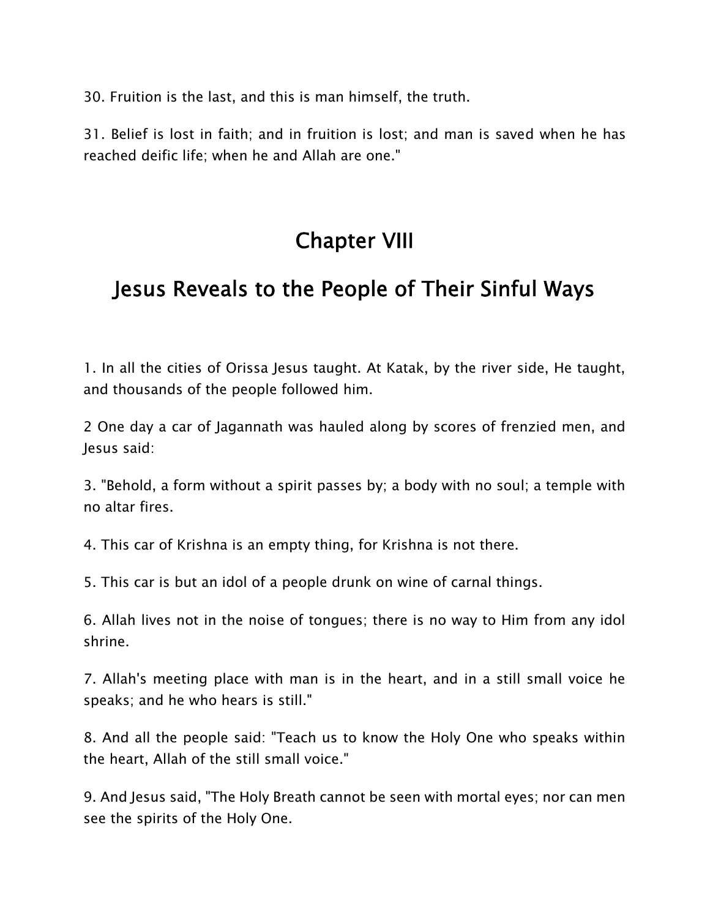30. Fruition is the last, and this is man himself, the truth.

31. Belief is lost in faith; and in fruition is lost; and man is saved when he has reached deific life; when he and Allah are one."

# **Chapter VIII**

# **Jesus Reveals to the People of Their Sinful Ways**

1. In all the cities of Orissa Jesus taught. At Katak, by the river side, He taught, and thousands of the people followed him.

2 One day a car of Jagannath was hauled along by scores of frenzied men, and lesus said:

3. "Behold, a form without a spirit passes by; a body with no soul; a temple with no altar fires.

4. This car of Krishna is an empty thing, for Krishna is not there.

5. This car is but an idol of a people drunk on wine of carnal things.

6. Allah lives not in the noise of tongues; there is no way to Him from any idol shrine.

7. Allah's meeting place with man is in the heart, and in a still small voice he speaks; and he who hears is still."

8. And all the people said: "Teach us to know the Holy One who speaks within the heart, Allah of the still small voice."

9. And Jesus said, "The Holy Breath cannot be seen with mortal eyes; nor can men see the spirits of the Holy One.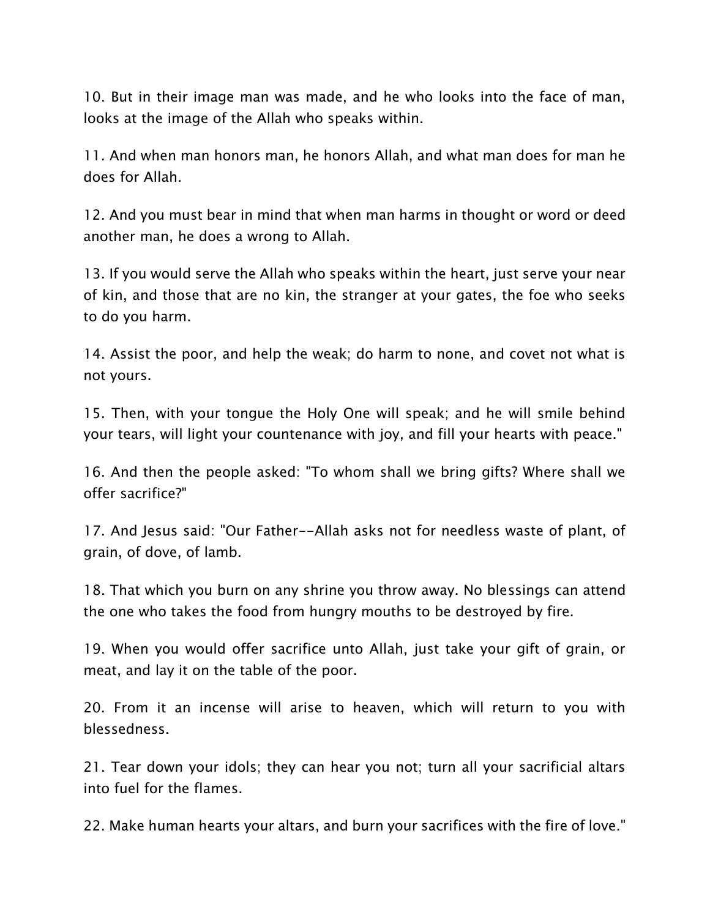10. But in their image man was made, and he who looks into the face of man, looks at the image of the Allah who speaks within.

11. And when man honors man, he honors Allah, and what man does for man he does for Allah.

12. And you must bear in mind that when man harms in thought or word or deed another man, he does a wrong to Allah.

13. If you would serve the Allah who speaks within the heart, just serve your near of kin, and those that are no kin, the stranger at your gates, the foe who seeks to do you harm.

14. Assist the poor, and help the weak; do harm to none, and covet not what is not yours.

15. Then, with your tongue the Holy One will speak; and he will smile behind your tears, will light your countenance with joy, and fill your hearts with peace."

16. And then the people asked: "To whom shall we bring gifts? Where shall we offer sacrifice?"

17. And Jesus said: "Our Father--Allah asks not for needless waste of plant, of grain, of dove, of lamb.

18. That which you burn on any shrine you throw away. No blessings can attend the one who takes the food from hungry mouths to be destroyed by fire.

19. When you would offer sacrifice unto Allah, just take your gift of grain, or meat, and lay it on the table of the poor.

20. From it an incense will arise to heaven, which will return to you with blessedness.

21. Tear down your idols; they can hear you not; turn all your sacrificial altars into fuel for the flames.

22. Make human hearts your altars, and burn your sacrifices with the fire of love."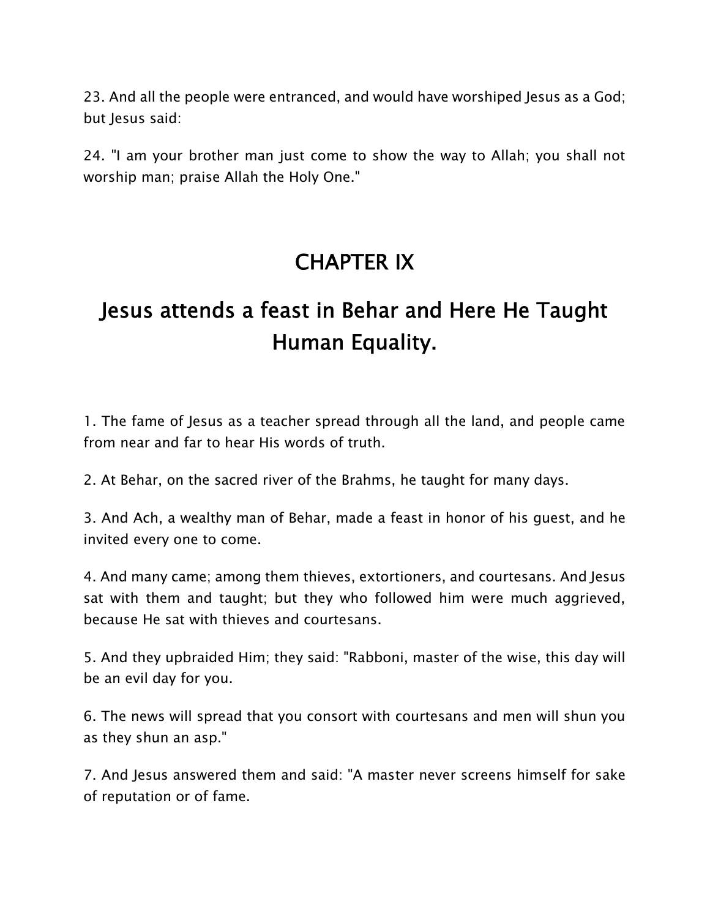23. And all the people were entranced, and would have worshiped Jesus as a God; but Jesus said:

24. "I am your brother man just come to show the way to Allah; you shall not worship man; praise Allah the Holy One."

# **CHAPTER IX**

# **Jesus attends a feast in Behar and Here He Taught Human Equality.**

1. The fame of Jesus as a teacher spread through all the land, and people came from near and far to hear His words of truth.

2. At Behar, on the sacred river of the Brahms, he taught for many days.

3. And Ach, a wealthy man of Behar, made a feast in honor of his guest, and he invited every one to come.

4. And many came; among them thieves, extortioners, and courtesans. And Jesus sat with them and taught; but they who followed him were much aggrieved, because He sat with thieves and courtesans.

5. And they upbraided Him; they said: "Rabboni, master of the wise, this day will be an evil day for you.

6. The news will spread that you consort with courtesans and men will shun you as they shun an asp."

7. And Jesus answered them and said: "A master never screens himself for sake of reputation or of fame.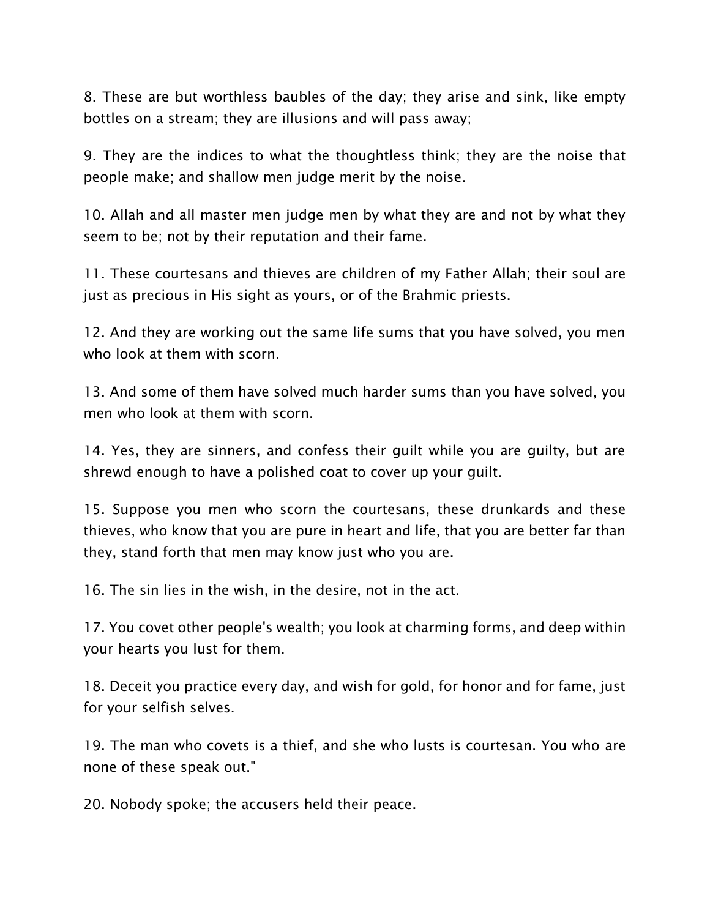8. These are but worthless baubles of the day; they arise and sink, like empty bottles on a stream; they are illusions and will pass away;

9. They are the indices to what the thoughtless think; they are the noise that people make; and shallow men judge merit by the noise.

10. Allah and all master men judge men by what they are and not by what they seem to be; not by their reputation and their fame.

11. These courtesans and thieves are children of my Father Allah; their soul are just as precious in His sight as yours, or of the Brahmic priests.

12. And they are working out the same life sums that you have solved, you men who look at them with scorn.

13. And some of them have solved much harder sums than you have solved, you men who look at them with scorn.

14. Yes, they are sinners, and confess their guilt while you are guilty, but are shrewd enough to have a polished coat to cover up your guilt.

15. Suppose you men who scorn the courtesans, these drunkards and these thieves, who know that you are pure in heart and life, that you are better far than they, stand forth that men may know just who you are.

16. The sin lies in the wish, in the desire, not in the act.

17. You covet other people's wealth; you look at charming forms, and deep within your hearts you lust for them.

18. Deceit you practice every day, and wish for gold, for honor and for fame, just for your selfish selves.

19. The man who covets is a thief, and she who lusts is courtesan. You who are none of these speak out."

20. Nobody spoke; the accusers held their peace.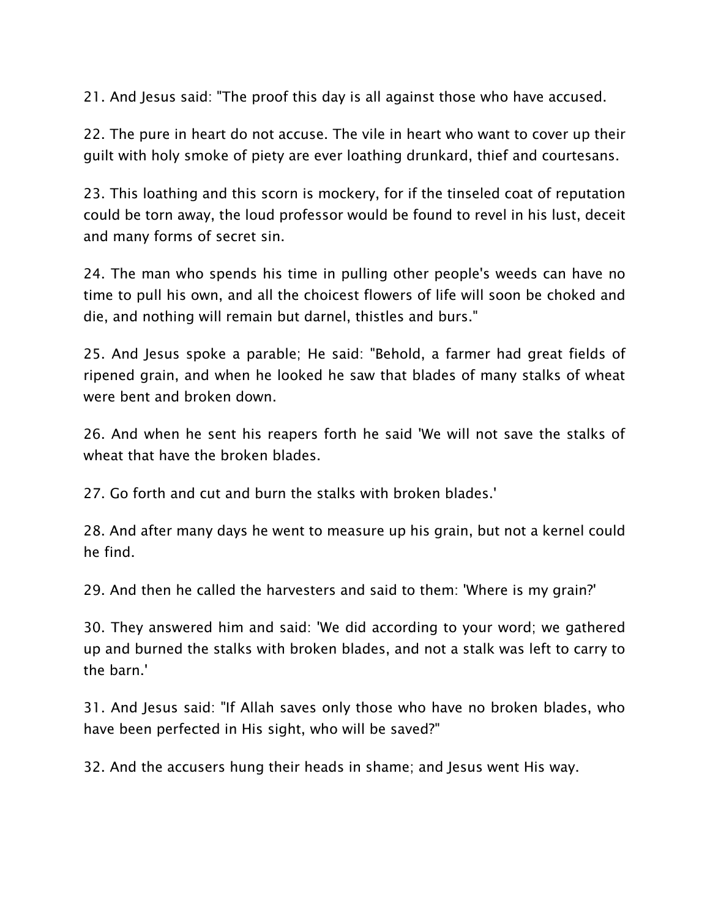21. And Jesus said: "The proof this day is all against those who have accused.

22. The pure in heart do not accuse. The vile in heart who want to cover up their guilt with holy smoke of piety are ever loathing drunkard, thief and courtesans.

23. This loathing and this scorn is mockery, for if the tinseled coat of reputation could be torn away, the loud professor would be found to revel in his lust, deceit and many forms of secret sin.

24. The man who spends his time in pulling other people's weeds can have no time to pull his own, and all the choicest flowers of life will soon be choked and die, and nothing will remain but darnel, thistles and burs."

25. And Jesus spoke a parable; He said: "Behold, a farmer had great fields of ripened grain, and when he looked he saw that blades of many stalks of wheat were bent and broken down.

26. And when he sent his reapers forth he said 'We will not save the stalks of wheat that have the broken blades.

27. Go forth and cut and burn the stalks with broken blades.'

28. And after many days he went to measure up his grain, but not a kernel could he find.

29. And then he called the harvesters and said to them: 'Where is my grain?'

30. They answered him and said: 'We did according to your word; we gathered up and burned the stalks with broken blades, and not a stalk was left to carry to the barn.'

31. And Jesus said: "If Allah saves only those who have no broken blades, who have been perfected in His sight, who will be saved?"

32. And the accusers hung their heads in shame; and Jesus went His way.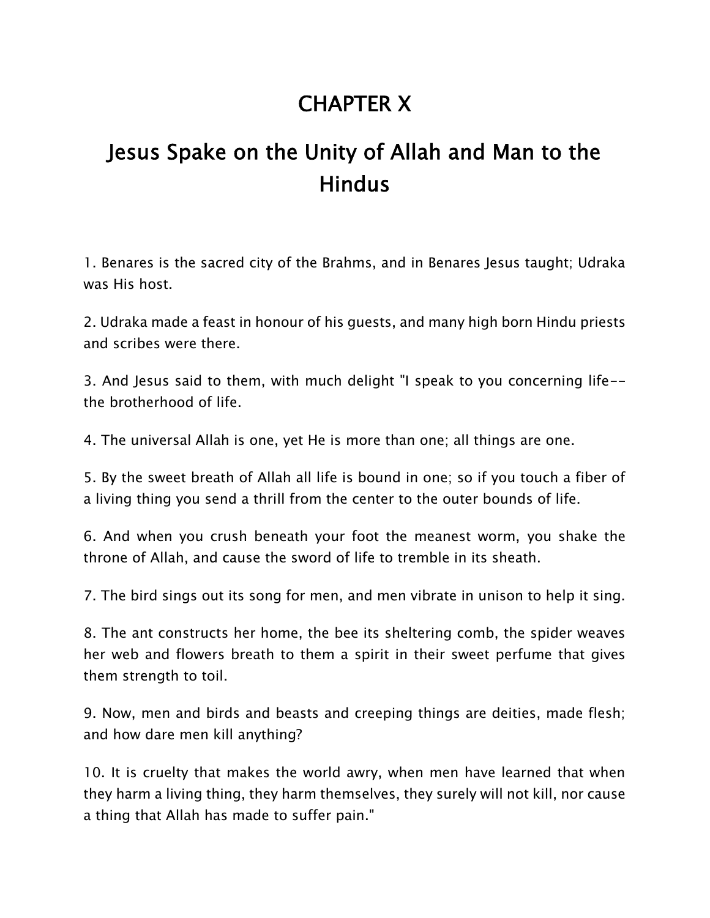# **CHAPTER X**

# **Jesus Spake on the Unity of Allah and Man to the Hindus**

1. Benares is the sacred city of the Brahms, and in Benares Jesus taught; Udraka was His host.

2. Udraka made a feast in honour of his guests, and many high born Hindu priests and scribes were there.

3. And Jesus said to them, with much delight "I speak to you concerning life- the brotherhood of life.

4. The universal Allah is one, yet He is more than one; all things are one.

5. By the sweet breath of Allah all life is bound in one; so if you touch a fiber of a living thing you send a thrill from the center to the outer bounds of life.

6. And when you crush beneath your foot the meanest worm, you shake the throne of Allah, and cause the sword of life to tremble in its sheath.

7. The bird sings out its song for men, and men vibrate in unison to help it sing.

8. The ant constructs her home, the bee its sheltering comb, the spider weaves her web and flowers breath to them a spirit in their sweet perfume that gives them strength to toil.

9. Now, men and birds and beasts and creeping things are deities, made flesh; and how dare men kill anything?

10. It is cruelty that makes the world awry, when men have learned that when they harm a living thing, they harm themselves, they surely will not kill, nor cause a thing that Allah has made to suffer pain."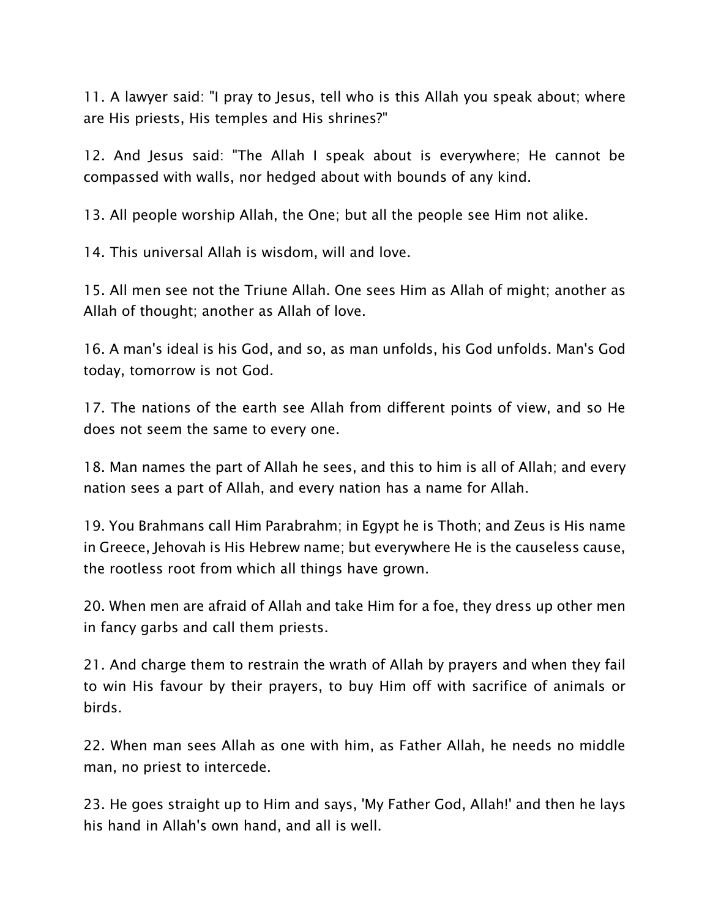11. A lawyer said: "I pray to Jesus, tell who is this Allah you speak about; where are His priests, His temples and His shrines?"

12. And Jesus said: "The Allah I speak about is everywhere; He cannot be compassed with walls, nor hedged about with bounds of any kind.

13. All people worship Allah, the One; but all the people see Him not alike.

14. This universal Allah is wisdom, will and love.

15. All men see not the Triune Allah. One sees Him as Allah of might; another as Allah of thought; another as Allah of love.

16. A man's ideal is his God, and so, as man unfolds, his God unfolds. Man's God today, tomorrow is not God.

17. The nations of the earth see Allah from different points of view, and so He does not seem the same to every one.

18. Man names the part of Allah he sees, and this to him is all of Allah; and every nation sees a part of Allah, and every nation has a name for Allah.

19. You Brahmans call Him Parabrahm; in Egypt he is Thoth; and Zeus is His name in Greece, Jehovah is His Hebrew name; but everywhere He is the causeless cause, the rootless root from which all things have grown.

20. When men are afraid of Allah and take Him for a foe, they dress up other men in fancy garbs and call them priests.

21. And charge them to restrain the wrath of Allah by prayers and when they fail to win His favour by their prayers, to buy Him off with sacrifice of animals or birds.

22. When man sees Allah as one with him, as Father Allah, he needs no middle man, no priest to intercede.

23. He goes straight up to Him and says, 'My Father God, Allah!' and then he lays his hand in Allah's own hand, and all is well.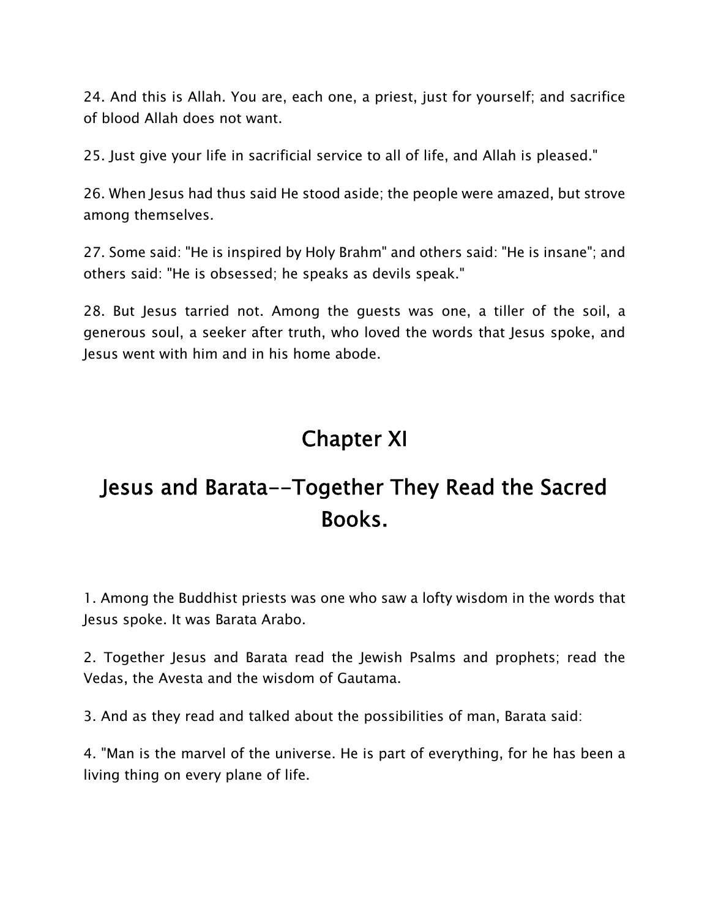24. And this is Allah. You are, each one, a priest, just for yourself; and sacrifice of blood Allah does not want.

25. Just give your life in sacrificial service to all of life, and Allah is pleased."

26. When Jesus had thus said He stood aside; the people were amazed, but strove among themselves.

27. Some said: "He is inspired by Holy Brahm" and others said: "He is insane"; and others said: "He is obsessed; he speaks as devils speak."

28. But Jesus tarried not. Among the guests was one, a tiller of the soil, a generous soul, a seeker after truth, who loved the words that Jesus spoke, and Jesus went with him and in his home abode.

# **Chapter XI**

# **Jesus and Barata--Together They Read the Sacred Books.**

1. Among the Buddhist priests was one who saw a lofty wisdom in the words that Jesus spoke. It was Barata Arabo.

2. Together Jesus and Barata read the Jewish Psalms and prophets; read the Vedas, the Avesta and the wisdom of Gautama.

3. And as they read and talked about the possibilities of man, Barata said:

4. "Man is the marvel of the universe. He is part of everything, for he has been a living thing on every plane of life.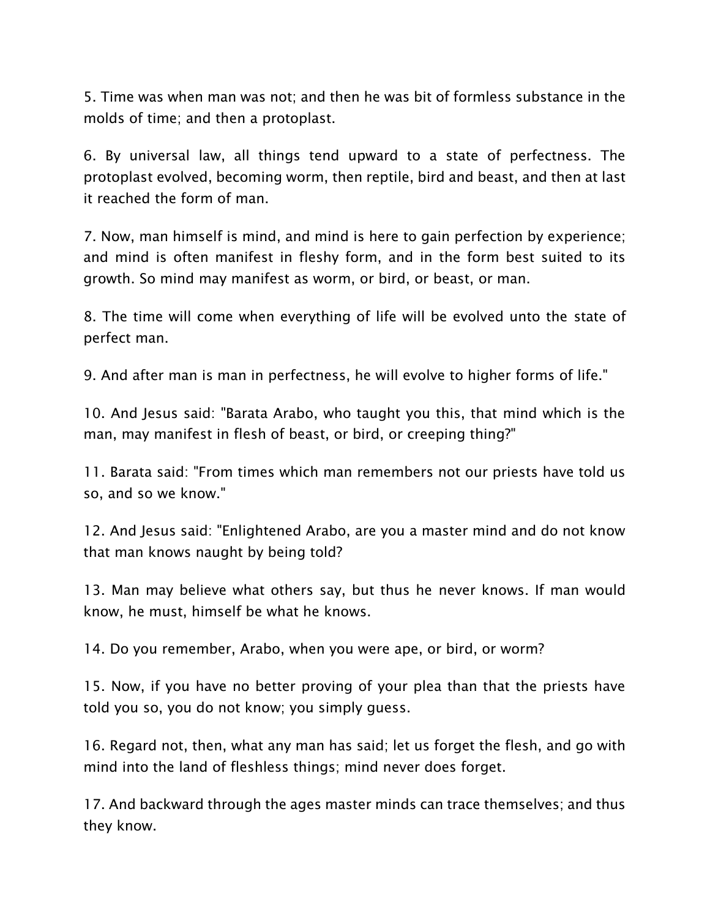5. Time was when man was not; and then he was bit of formless substance in the molds of time; and then a protoplast.

6. By universal law, all things tend upward to a state of perfectness. The protoplast evolved, becoming worm, then reptile, bird and beast, and then at last it reached the form of man.

7. Now, man himself is mind, and mind is here to gain perfection by experience; and mind is often manifest in fleshy form, and in the form best suited to its growth. So mind may manifest as worm, or bird, or beast, or man.

8. The time will come when everything of life will be evolved unto the state of perfect man.

9. And after man is man in perfectness, he will evolve to higher forms of life."

10. And Jesus said: "Barata Arabo, who taught you this, that mind which is the man, may manifest in flesh of beast, or bird, or creeping thing?"

11. Barata said: "From times which man remembers not our priests have told us so, and so we know."

12. And Jesus said: "Enlightened Arabo, are you a master mind and do not know that man knows naught by being told?

13. Man may believe what others say, but thus he never knows. If man would know, he must, himself be what he knows.

14. Do you remember, Arabo, when you were ape, or bird, or worm?

15. Now, if you have no better proving of your plea than that the priests have told you so, you do not know; you simply guess.

16. Regard not, then, what any man has said; let us forget the flesh, and go with mind into the land of fleshless things; mind never does forget.

17. And backward through the ages master minds can trace themselves; and thus they know.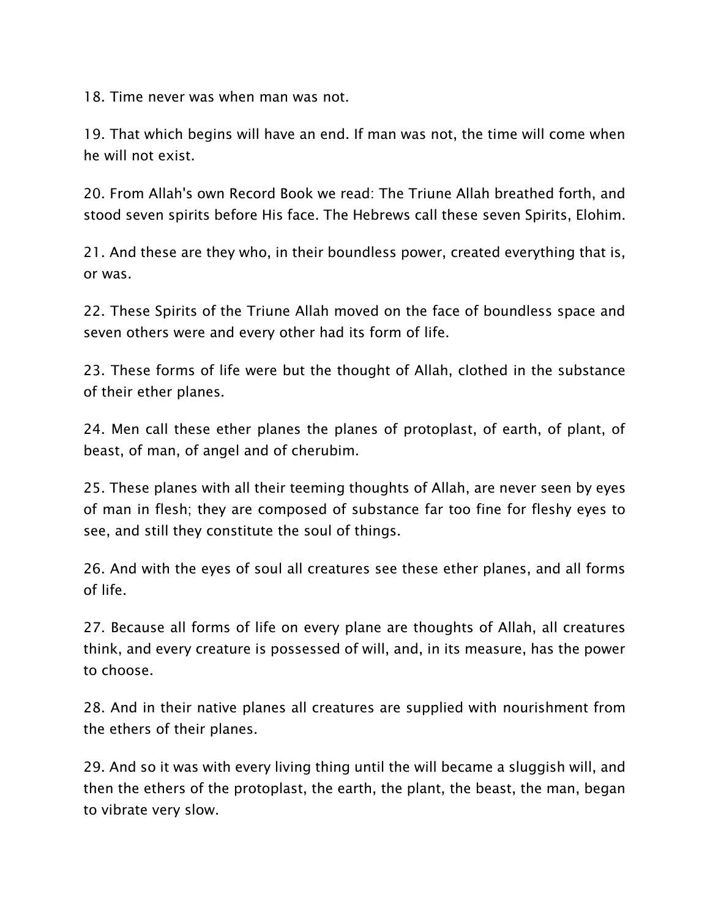18. Time never was when man was not.

19. That which begins will have an end. If man was not, the time will come when he will not exist.

20. From Allah's own Record Book we read: The Triune Allah breathed forth, and stood seven spirits before His face. The Hebrews call these seven Spirits, Elohim.

21. And these are they who, in their boundless power, created everything that is, or was.

22. These Spirits of the Triune Allah moved on the face of boundless space and seven others were and every other had its form of life.

23. These forms of life were but the thought of Allah, clothed in the substance of their ether planes.

24. Men call these ether planes the planes of protoplast, of earth, of plant, of beast, of man, of angel and of cherubim.

25. These planes with all their teeming thoughts of Allah, are never seen by eyes of man in flesh; they are composed of substance far too fine for fleshy eyes to see, and still they constitute the soul of things.

26. And with the eyes of soul all creatures see these ether planes, and all forms of life.

27. Because all forms of life on every plane are thoughts of Allah, all creatures think, and every creature is possessed of will, and, in its measure, has the power to choose.

28. And in their native planes all creatures are supplied with nourishment from the ethers of their planes.

29. And so it was with every living thing until the will became a sluggish will, and then the ethers of the protoplast, the earth, the plant, the beast, the man, began to vibrate very slow.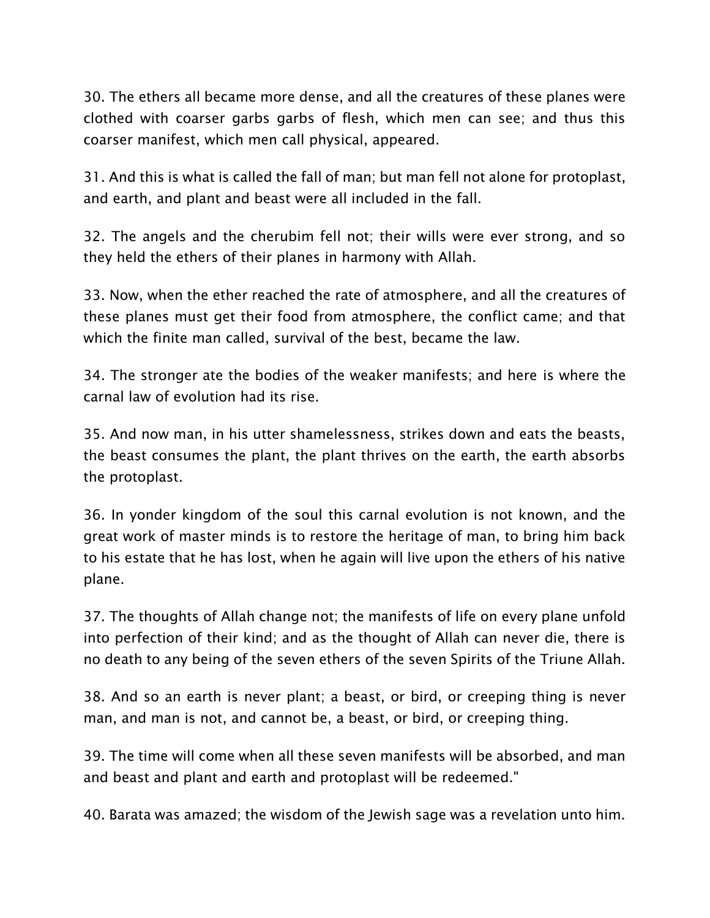30. The ethers all became more dense, and all the creatures of these planes were clothed with coarser garbs garbs of flesh, which men can see; and thus this coarser manifest, which men call physical, appeared.

31. And this is what is called the fall of man; but man fell not alone for protoplast, and earth, and plant and beast were all included in the fall.

32. The angels and the cherubim fell not; their wills were ever strong, and so they held the ethers of their planes in harmony with Allah.

33. Now, when the ether reached the rate of atmosphere, and all the creatures of these planes must get their food from atmosphere, the conflict came; and that which the finite man called, survival of the best, became the law.

34. The stronger ate the bodies of the weaker manifests; and here is where the carnal law of evolution had its rise.

35. And now man, in his utter shamelessness, strikes down and eats the beasts, the beast consumes the plant, the plant thrives on the earth, the earth absorbs the protoplast.

36. In yonder kingdom of the soul this carnal evolution is not known, and the great work of master minds is to restore the heritage of man, to bring him back to his estate that he has lost, when he again will live upon the ethers of his native plane.

37. The thoughts of Allah change not; the manifests of life on every plane unfold into perfection of their kind; and as the thought of Allah can never die, there is no death to any being of the seven ethers of the seven Spirits of the Triune Allah.

38. And so an earth is never plant; a beast, or bird, or creeping thing is never man, and man is not, and cannot be, a beast, or bird, or creeping thing.

39. The time will come when all these seven manifests will be absorbed, and man and beast and plant and earth and protoplast will be redeemed."

40. Barata was amazed; the wisdom of the Jewish sage was a revelation unto him.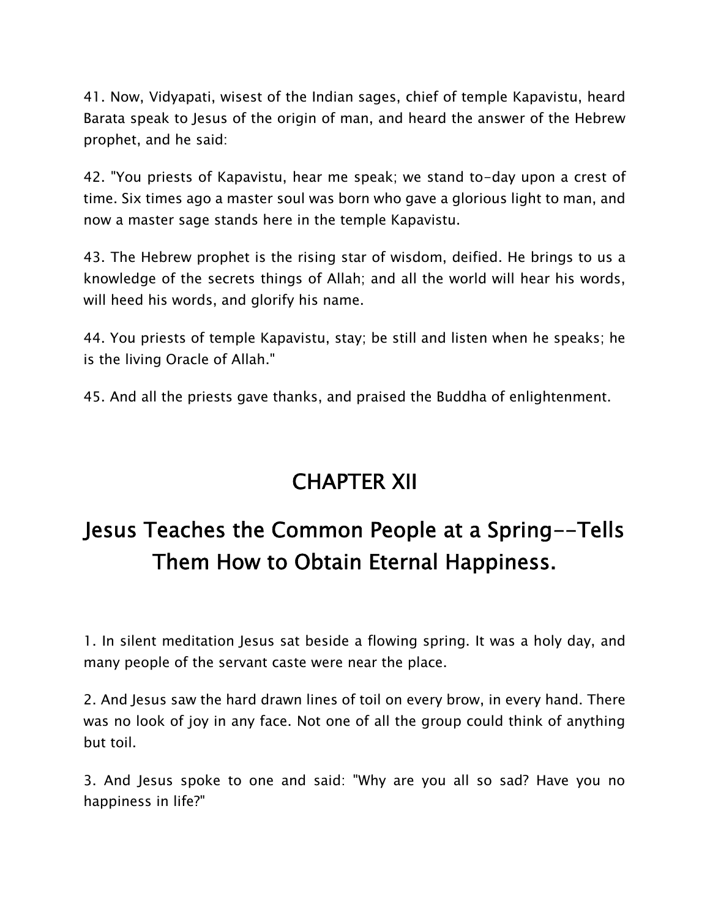41. Now, Vidyapati, wisest of the Indian sages, chief of temple Kapavistu, heard Barata speak to Jesus of the origin of man, and heard the answer of the Hebrew prophet, and he said:

42. "You priests of Kapavistu, hear me speak; we stand to-day upon a crest of time. Six times ago a master soul was born who gave a glorious light to man, and now a master sage stands here in the temple Kapavistu.

43. The Hebrew prophet is the rising star of wisdom, deified. He brings to us a knowledge of the secrets things of Allah; and all the world will hear his words, will heed his words, and glorify his name.

44. You priests of temple Kapavistu, stay; be still and listen when he speaks; he is the living Oracle of Allah."

45. And all the priests gave thanks, and praised the Buddha of enlightenment.

# **CHAPTER XII**

# **Jesus Teaches the Common People at a Spring--Tells Them How to Obtain Eternal Happiness.**

1. In silent meditation Jesus sat beside a flowing spring. It was a holy day, and many people of the servant caste were near the place.

2. And Jesus saw the hard drawn lines of toil on every brow, in every hand. There was no look of joy in any face. Not one of all the group could think of anything but toil.

3. And Jesus spoke to one and said: "Why are you all so sad? Have you no happiness in life?"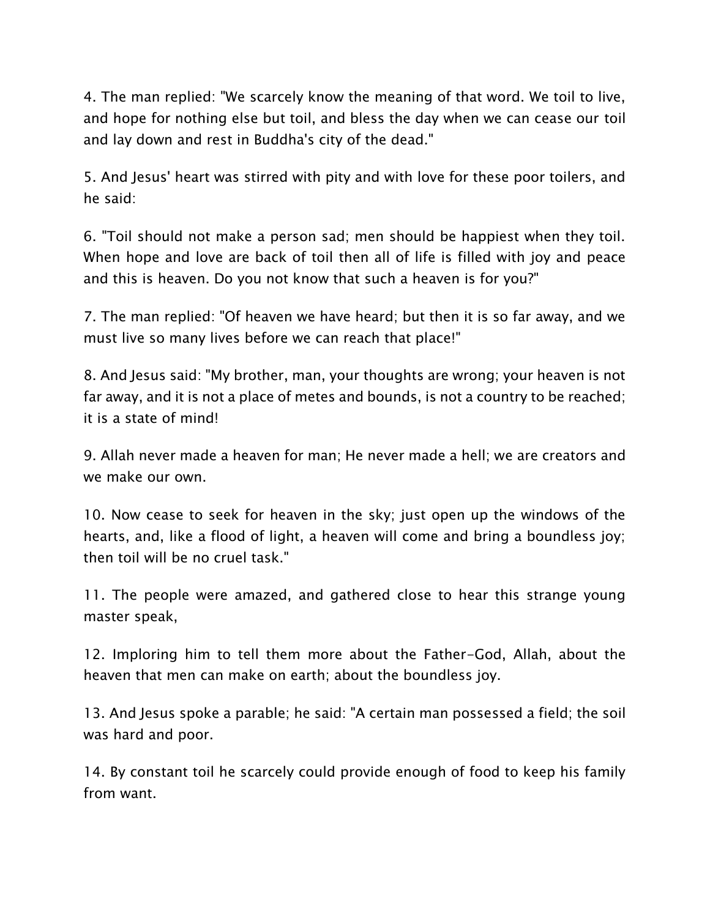4. The man replied: "We scarcely know the meaning of that word. We toil to live, and hope for nothing else but toil, and bless the day when we can cease our toil and lay down and rest in Buddha's city of the dead."

5. And Jesus' heart was stirred with pity and with love for these poor toilers, and he said:

6. "Toil should not make a person sad; men should be happiest when they toil. When hope and love are back of toil then all of life is filled with joy and peace and this is heaven. Do you not know that such a heaven is for you?"

7. The man replied: "Of heaven we have heard; but then it is so far away, and we must live so many lives before we can reach that place!"

8. And Jesus said: "My brother, man, your thoughts are wrong; your heaven is not far away, and it is not a place of metes and bounds, is not a country to be reached; it is a state of mind!

9. Allah never made a heaven for man; He never made a hell; we are creators and we make our own.

10. Now cease to seek for heaven in the sky; just open up the windows of the hearts, and, like a flood of light, a heaven will come and bring a boundless joy; then toil will be no cruel task."

11. The people were amazed, and gathered close to hear this strange young master speak,

12. Imploring him to tell them more about the Father-God, Allah, about the heaven that men can make on earth; about the boundless joy.

13. And Jesus spoke a parable; he said: "A certain man possessed a field; the soil was hard and poor.

14. By constant toil he scarcely could provide enough of food to keep his family from want.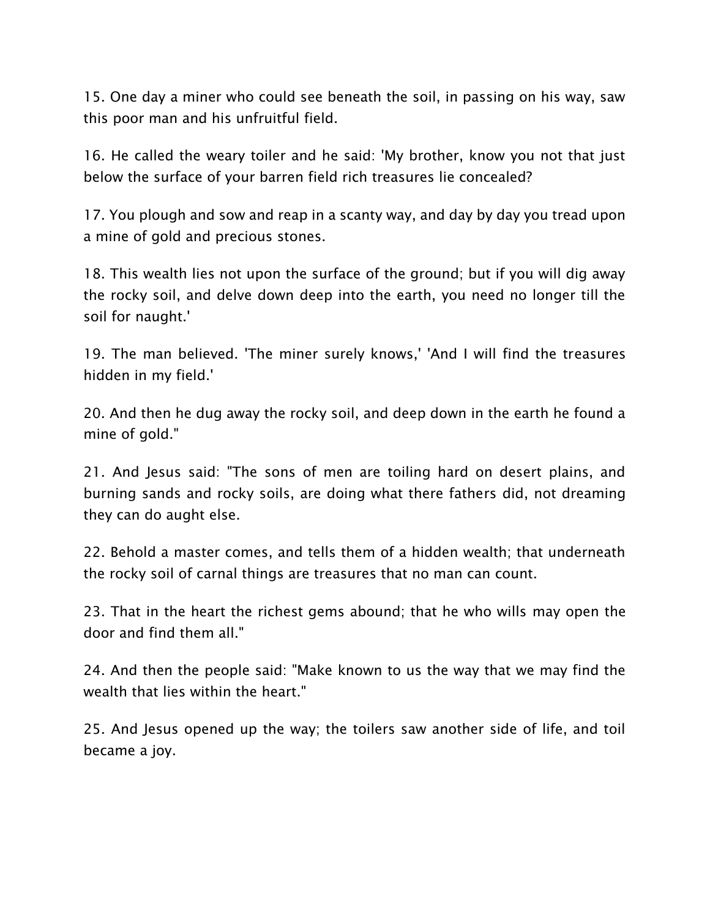15. One day a miner who could see beneath the soil, in passing on his way, saw this poor man and his unfruitful field.

16. He called the weary toiler and he said: 'My brother, know you not that just below the surface of your barren field rich treasures lie concealed?

17. You plough and sow and reap in a scanty way, and day by day you tread upon a mine of gold and precious stones.

18. This wealth lies not upon the surface of the ground; but if you will dig away the rocky soil, and delve down deep into the earth, you need no longer till the soil for naught.'

19. The man believed. 'The miner surely knows,' 'And I will find the treasures hidden in my field.'

20. And then he dug away the rocky soil, and deep down in the earth he found a mine of gold."

21. And Jesus said: "The sons of men are toiling hard on desert plains, and burning sands and rocky soils, are doing what there fathers did, not dreaming they can do aught else.

22. Behold a master comes, and tells them of a hidden wealth; that underneath the rocky soil of carnal things are treasures that no man can count.

23. That in the heart the richest gems abound; that he who wills may open the door and find them all."

24. And then the people said: "Make known to us the way that we may find the wealth that lies within the heart."

25. And Jesus opened up the way; the toilers saw another side of life, and toil became a joy.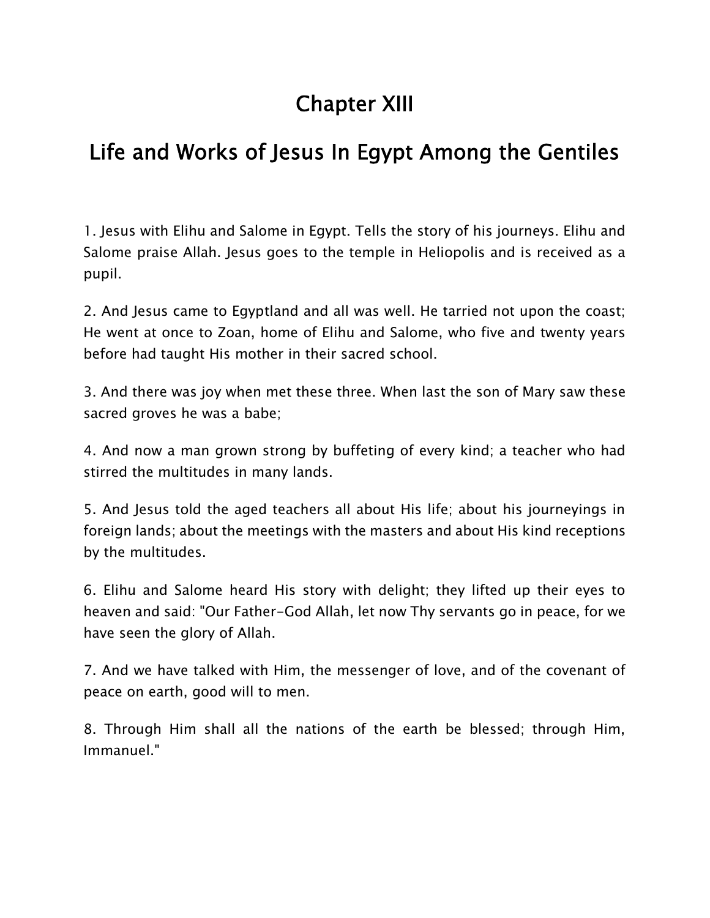# **Chapter XIII**

## **Life and Works of Jesus In Egypt Among the Gentiles**

1. Jesus with Elihu and Salome in Egypt. Tells the story of his journeys. Elihu and Salome praise Allah. Jesus goes to the temple in Heliopolis and is received as a pupil.

2. And Jesus came to Egyptland and all was well. He tarried not upon the coast; He went at once to Zoan, home of Elihu and Salome, who five and twenty years before had taught His mother in their sacred school.

3. And there was joy when met these three. When last the son of Mary saw these sacred groves he was a babe;

4. And now a man grown strong by buffeting of every kind; a teacher who had stirred the multitudes in many lands.

5. And Jesus told the aged teachers all about His life; about his journeyings in foreign lands; about the meetings with the masters and about His kind receptions by the multitudes.

6. Elihu and Salome heard His story with delight; they lifted up their eyes to heaven and said: "Our Father-God Allah, let now Thy servants go in peace, for we have seen the glory of Allah.

7. And we have talked with Him, the messenger of love, and of the covenant of peace on earth, good will to men.

8. Through Him shall all the nations of the earth be blessed; through Him, Immanuel."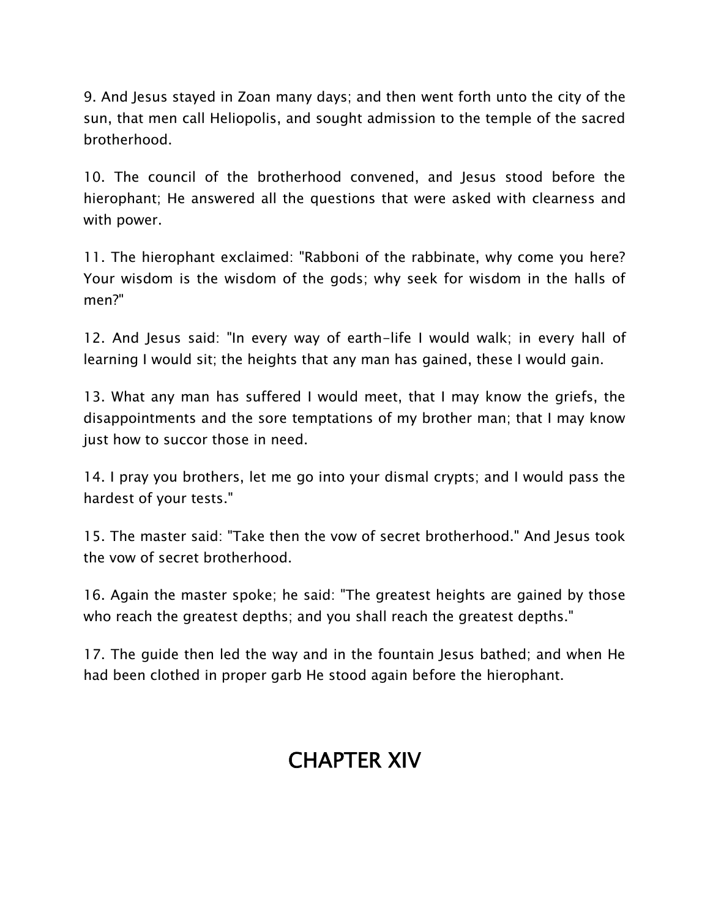9. And Jesus stayed in Zoan many days; and then went forth unto the city of the sun, that men call Heliopolis, and sought admission to the temple of the sacred brotherhood.

10. The council of the brotherhood convened, and Jesus stood before the hierophant; He answered all the questions that were asked with clearness and with power.

11. The hierophant exclaimed: "Rabboni of the rabbinate, why come you here? Your wisdom is the wisdom of the gods; why seek for wisdom in the halls of men?"

12. And Jesus said: "In every way of earth-life I would walk; in every hall of learning I would sit; the heights that any man has gained, these I would gain.

13. What any man has suffered I would meet, that I may know the griefs, the disappointments and the sore temptations of my brother man; that I may know just how to succor those in need.

14. I pray you brothers, let me go into your dismal crypts; and I would pass the hardest of your tests."

15. The master said: "Take then the vow of secret brotherhood." And Jesus took the vow of secret brotherhood.

16. Again the master spoke; he said: "The greatest heights are gained by those who reach the greatest depths; and you shall reach the greatest depths."

17. The guide then led the way and in the fountain Jesus bathed; and when He had been clothed in proper garb He stood again before the hierophant.

# **CHAPTER XIV**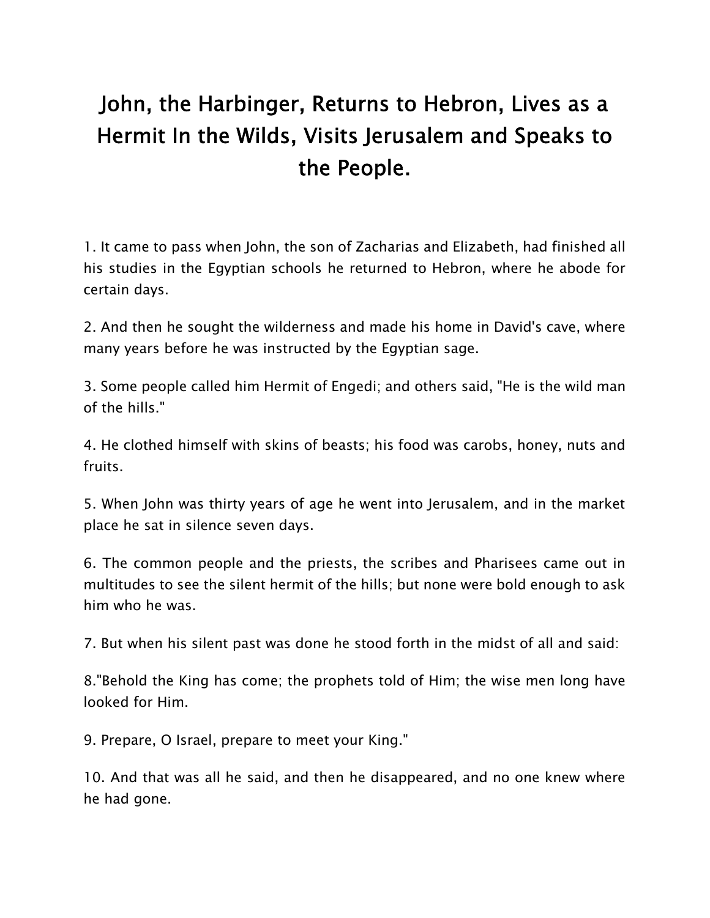# **John, the Harbinger, Returns to Hebron, Lives as a Hermit In the Wilds, Visits Jerusalem and Speaks to the People.**

1. It came to pass when John, the son of Zacharias and Elizabeth, had finished all his studies in the Egyptian schools he returned to Hebron, where he abode for certain days.

2. And then he sought the wilderness and made his home in David's cave, where many years before he was instructed by the Egyptian sage.

3. Some people called him Hermit of Engedi; and others said, "He is the wild man of the hills."

4. He clothed himself with skins of beasts; his food was carobs, honey, nuts and fruits.

5. When John was thirty years of age he went into Jerusalem, and in the market place he sat in silence seven days.

6. The common people and the priests, the scribes and Pharisees came out in multitudes to see the silent hermit of the hills; but none were bold enough to ask him who he was.

7. But when his silent past was done he stood forth in the midst of all and said:

8."Behold the King has come; the prophets told of Him; the wise men long have looked for Him.

9. Prepare, O Israel, prepare to meet your King."

10. And that was all he said, and then he disappeared, and no one knew where he had gone.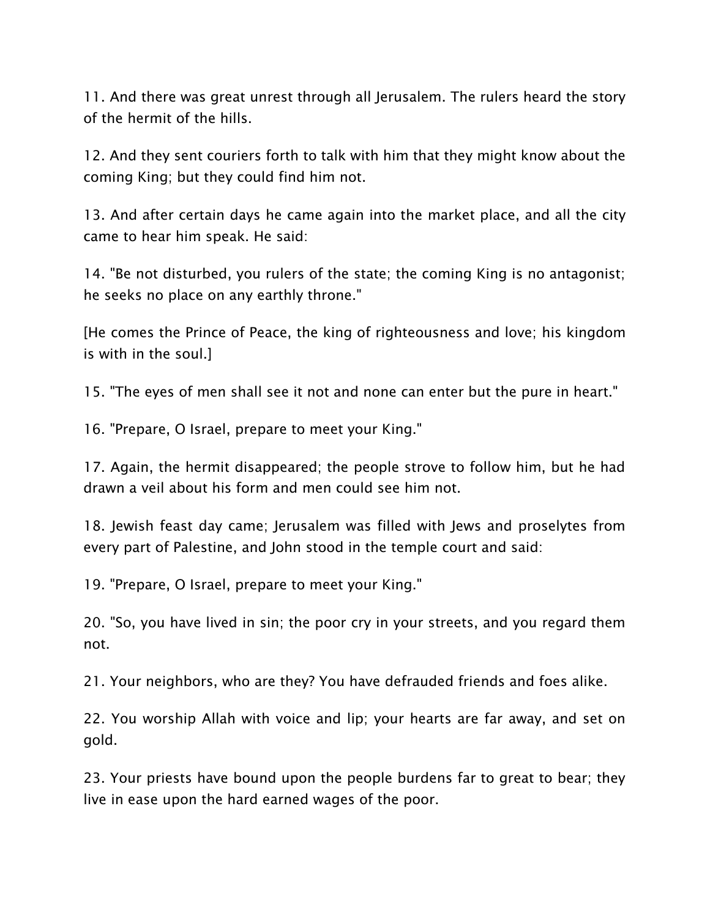11. And there was great unrest through all Jerusalem. The rulers heard the story of the hermit of the hills.

12. And they sent couriers forth to talk with him that they might know about the coming King; but they could find him not.

13. And after certain days he came again into the market place, and all the city came to hear him speak. He said:

14. "Be not disturbed, you rulers of the state; the coming King is no antagonist; he seeks no place on any earthly throne."

[He comes the Prince of Peace, the king of righteousness and love; his kingdom is with in the soul.]

15. "The eyes of men shall see it not and none can enter but the pure in heart."

16. "Prepare, O Israel, prepare to meet your King."

17. Again, the hermit disappeared; the people strove to follow him, but he had drawn a veil about his form and men could see him not.

18. Jewish feast day came; Jerusalem was filled with Jews and proselytes from every part of Palestine, and John stood in the temple court and said:

19. "Prepare, O Israel, prepare to meet your King."

20. "So, you have lived in sin; the poor cry in your streets, and you regard them not.

21. Your neighbors, who are they? You have defrauded friends and foes alike.

22. You worship Allah with voice and lip; your hearts are far away, and set on gold.

23. Your priests have bound upon the people burdens far to great to bear; they live in ease upon the hard earned wages of the poor.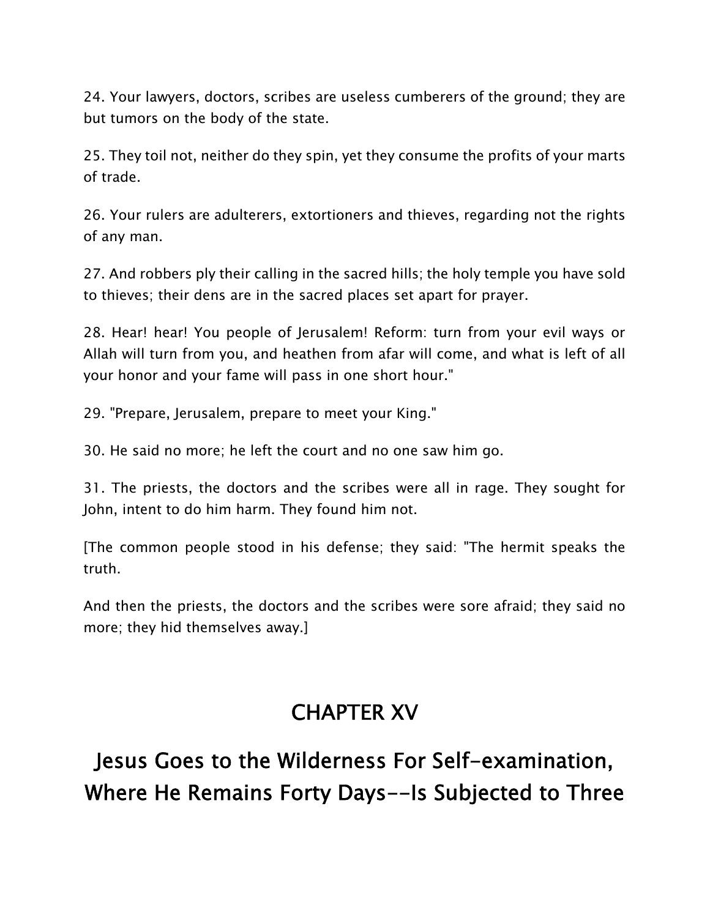24. Your lawyers, doctors, scribes are useless cumberers of the ground; they are but tumors on the body of the state.

25. They toil not, neither do they spin, yet they consume the profits of your marts of trade.

26. Your rulers are adulterers, extortioners and thieves, regarding not the rights of any man.

27. And robbers ply their calling in the sacred hills; the holy temple you have sold to thieves; their dens are in the sacred places set apart for prayer.

28. Hear! hear! You people of Jerusalem! Reform: turn from your evil ways or Allah will turn from you, and heathen from afar will come, and what is left of all your honor and your fame will pass in one short hour."

29. "Prepare, Jerusalem, prepare to meet your King."

30. He said no more; he left the court and no one saw him go.

31. The priests, the doctors and the scribes were all in rage. They sought for John, intent to do him harm. They found him not.

[The common people stood in his defense; they said: "The hermit speaks the truth.

And then the priests, the doctors and the scribes were sore afraid; they said no more; they hid themselves away.]

#### **CHAPTER XV**

# **Jesus Goes to the Wilderness For Self-examination, Where He Remains Forty Days--Is Subjected to Three**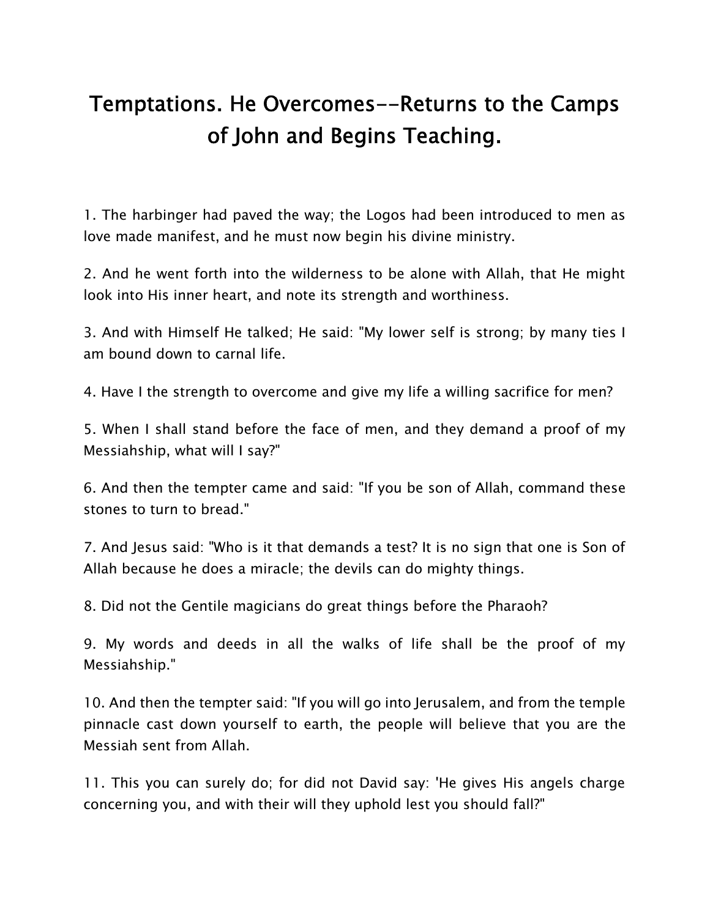# **Temptations. He Overcomes--Returns to the Camps of John and Begins Teaching.**

1. The harbinger had paved the way; the Logos had been introduced to men as love made manifest, and he must now begin his divine ministry.

2. And he went forth into the wilderness to be alone with Allah, that He might look into His inner heart, and note its strength and worthiness.

3. And with Himself He talked; He said: "My lower self is strong; by many ties I am bound down to carnal life.

4. Have I the strength to overcome and give my life a willing sacrifice for men?

5. When I shall stand before the face of men, and they demand a proof of my Messiahship, what will I say?"

6. And then the tempter came and said: "If you be son of Allah, command these stones to turn to bread."

7. And Jesus said: "Who is it that demands a test? It is no sign that one is Son of Allah because he does a miracle; the devils can do mighty things.

8. Did not the Gentile magicians do great things before the Pharaoh?

9. My words and deeds in all the walks of life shall be the proof of my Messiahship."

10. And then the tempter said: "If you will go into Jerusalem, and from the temple pinnacle cast down yourself to earth, the people will believe that you are the Messiah sent from Allah.

11. This you can surely do; for did not David say: 'He gives His angels charge concerning you, and with their will they uphold lest you should fall?"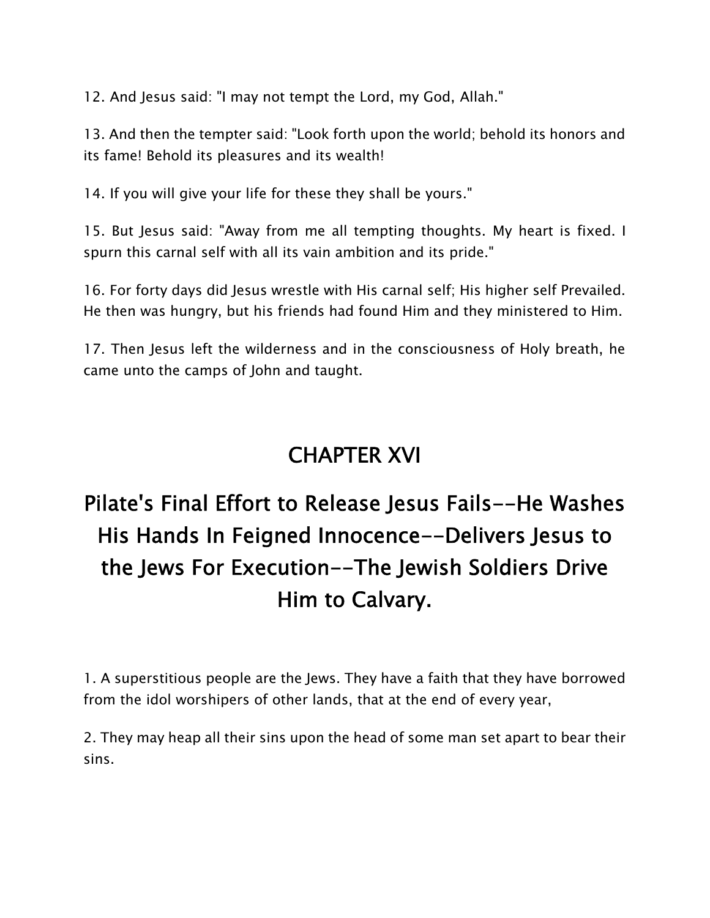12. And Jesus said: "I may not tempt the Lord, my God, Allah."

13. And then the tempter said: "Look forth upon the world; behold its honors and its fame! Behold its pleasures and its wealth!

14. If you will give your life for these they shall be yours."

15. But Jesus said: "Away from me all tempting thoughts. My heart is fixed. I spurn this carnal self with all its vain ambition and its pride."

16. For forty days did Jesus wrestle with His carnal self; His higher self Prevailed. He then was hungry, but his friends had found Him and they ministered to Him.

17. Then Jesus left the wilderness and in the consciousness of Holy breath, he came unto the camps of John and taught.

#### **CHAPTER XVI**

# **Pilate's Final Effort to Release Jesus Fails--He Washes His Hands In Feigned Innocence--Delivers Jesus to the Jews For Execution--The Jewish Soldiers Drive Him to Calvary.**

1. A superstitious people are the Jews. They have a faith that they have borrowed from the idol worshipers of other lands, that at the end of every year,

2. They may heap all their sins upon the head of some man set apart to bear their sins.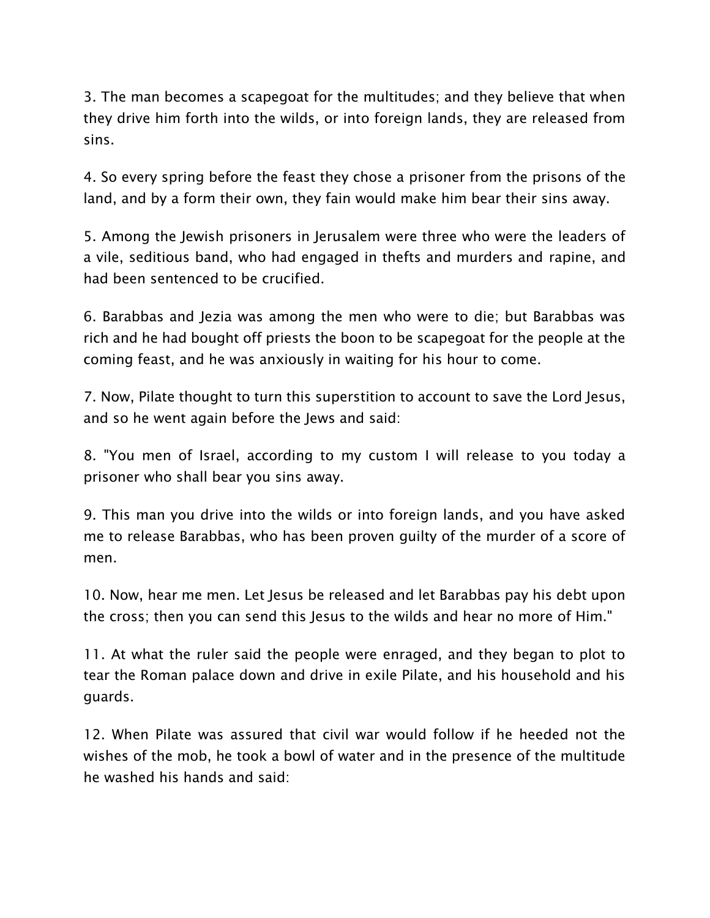3. The man becomes a scapegoat for the multitudes; and they believe that when they drive him forth into the wilds, or into foreign lands, they are released from sins.

4. So every spring before the feast they chose a prisoner from the prisons of the land, and by a form their own, they fain would make him bear their sins away.

5. Among the Jewish prisoners in Jerusalem were three who were the leaders of a vile, seditious band, who had engaged in thefts and murders and rapine, and had been sentenced to be crucified.

6. Barabbas and Jezia was among the men who were to die; but Barabbas was rich and he had bought off priests the boon to be scapegoat for the people at the coming feast, and he was anxiously in waiting for his hour to come.

7. Now, Pilate thought to turn this superstition to account to save the Lord Jesus, and so he went again before the Jews and said:

8. "You men of Israel, according to my custom I will release to you today a prisoner who shall bear you sins away.

9. This man you drive into the wilds or into foreign lands, and you have asked me to release Barabbas, who has been proven guilty of the murder of a score of men.

10. Now, hear me men. Let Jesus be released and let Barabbas pay his debt upon the cross; then you can send this Jesus to the wilds and hear no more of Him."

11. At what the ruler said the people were enraged, and they began to plot to tear the Roman palace down and drive in exile Pilate, and his household and his guards.

12. When Pilate was assured that civil war would follow if he heeded not the wishes of the mob, he took a bowl of water and in the presence of the multitude he washed his hands and said: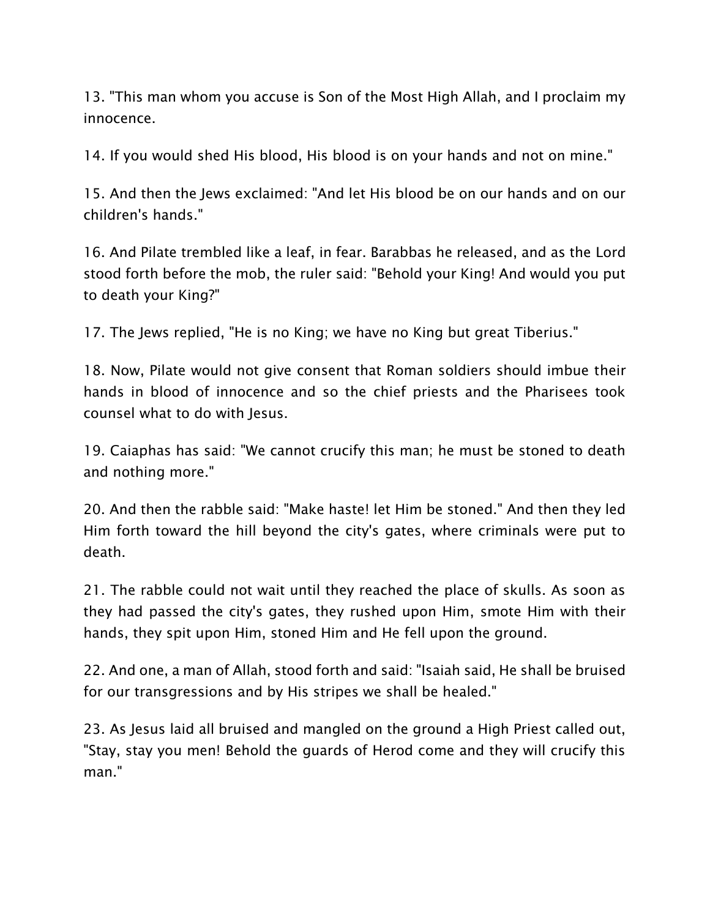13. "This man whom you accuse is Son of the Most High Allah, and I proclaim my innocence.

14. If you would shed His blood, His blood is on your hands and not on mine."

15. And then the Jews exclaimed: "And let His blood be on our hands and on our children's hands."

16. And Pilate trembled like a leaf, in fear. Barabbas he released, and as the Lord stood forth before the mob, the ruler said: "Behold your King! And would you put to death your King?"

17. The Jews replied, "He is no King; we have no King but great Tiberius."

18. Now, Pilate would not give consent that Roman soldiers should imbue their hands in blood of innocence and so the chief priests and the Pharisees took counsel what to do with Jesus.

19. Caiaphas has said: "We cannot crucify this man; he must be stoned to death and nothing more."

20. And then the rabble said: "Make haste! let Him be stoned." And then they led Him forth toward the hill beyond the city's gates, where criminals were put to death.

21. The rabble could not wait until they reached the place of skulls. As soon as they had passed the city's gates, they rushed upon Him, smote Him with their hands, they spit upon Him, stoned Him and He fell upon the ground.

22. And one, a man of Allah, stood forth and said: "Isaiah said, He shall be bruised for our transgressions and by His stripes we shall be healed."

23. As Jesus laid all bruised and mangled on the ground a High Priest called out, "Stay, stay you men! Behold the guards of Herod come and they will crucify this man."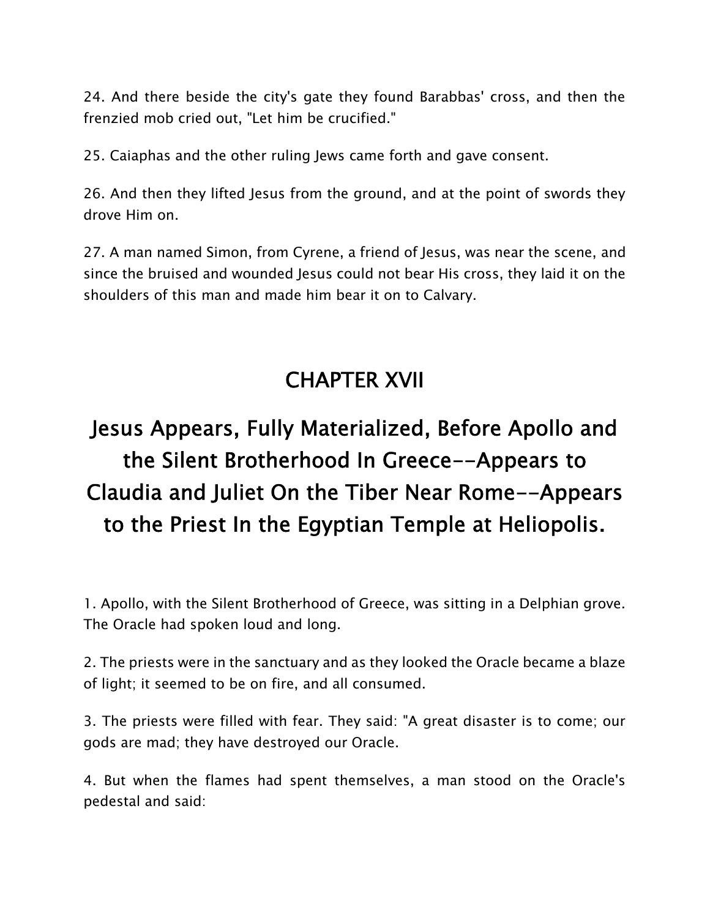24. And there beside the city's gate they found Barabbas' cross, and then the frenzied mob cried out, "Let him be crucified."

25. Caiaphas and the other ruling Jews came forth and gave consent.

26. And then they lifted Jesus from the ground, and at the point of swords they drove Him on.

27. A man named Simon, from Cyrene, a friend of Jesus, was near the scene, and since the bruised and wounded Jesus could not bear His cross, they laid it on the shoulders of this man and made him bear it on to Calvary.

#### **CHAPTER XVII**

# **Jesus Appears, Fully Materialized, Before Apollo and the Silent Brotherhood In Greece--Appears to Claudia and Juliet On the Tiber Near Rome--Appears to the Priest In the Egyptian Temple at Heliopolis.**

1. Apollo, with the Silent Brotherhood of Greece, was sitting in a Delphian grove. The Oracle had spoken loud and long.

2. The priests were in the sanctuary and as they looked the Oracle became a blaze of light; it seemed to be on fire, and all consumed.

3. The priests were filled with fear. They said: "A great disaster is to come; our gods are mad; they have destroyed our Oracle.

4. But when the flames had spent themselves, a man stood on the Oracle's pedestal and said: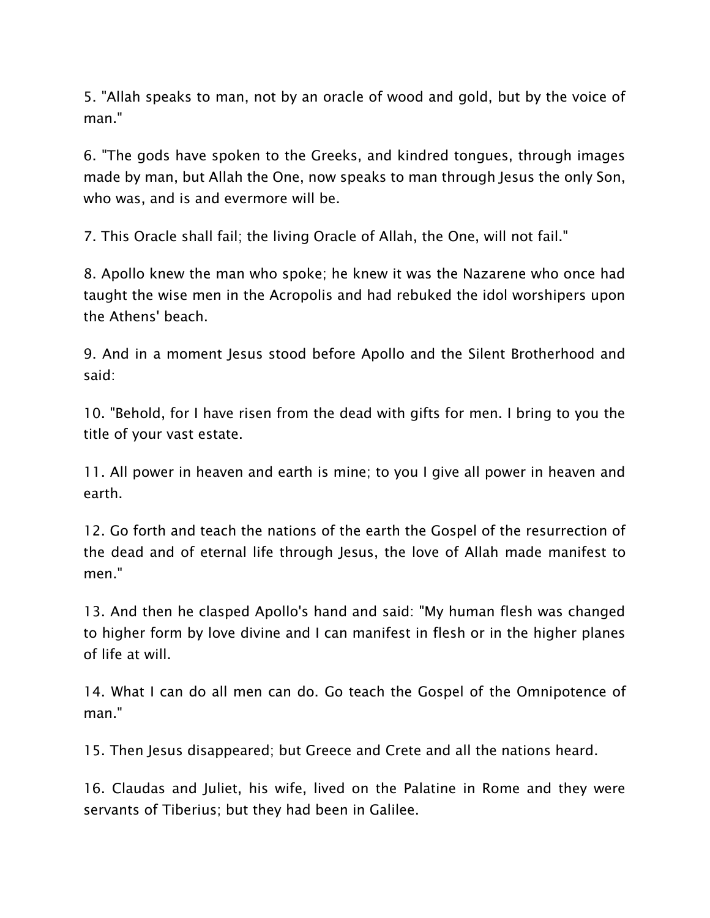5. "Allah speaks to man, not by an oracle of wood and gold, but by the voice of man."

6. "The gods have spoken to the Greeks, and kindred tongues, through images made by man, but Allah the One, now speaks to man through Jesus the only Son, who was, and is and evermore will be.

7. This Oracle shall fail; the living Oracle of Allah, the One, will not fail."

8. Apollo knew the man who spoke; he knew it was the Nazarene who once had taught the wise men in the Acropolis and had rebuked the idol worshipers upon the Athens' beach.

9. And in a moment Jesus stood before Apollo and the Silent Brotherhood and said:

10. "Behold, for I have risen from the dead with gifts for men. I bring to you the title of your vast estate.

11. All power in heaven and earth is mine; to you I give all power in heaven and earth.

12. Go forth and teach the nations of the earth the Gospel of the resurrection of the dead and of eternal life through Jesus, the love of Allah made manifest to men."

13. And then he clasped Apollo's hand and said: "My human flesh was changed to higher form by love divine and I can manifest in flesh or in the higher planes of life at will.

14. What I can do all men can do. Go teach the Gospel of the Omnipotence of man."

15. Then Jesus disappeared; but Greece and Crete and all the nations heard.

16. Claudas and Juliet, his wife, lived on the Palatine in Rome and they were servants of Tiberius; but they had been in Galilee.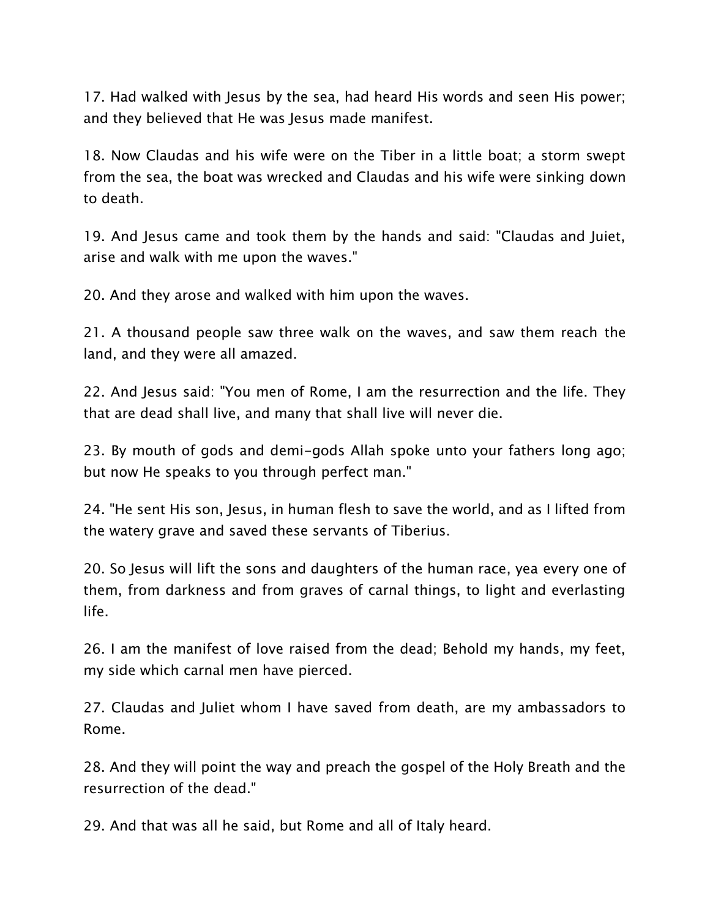17. Had walked with Jesus by the sea, had heard His words and seen His power; and they believed that He was Jesus made manifest.

18. Now Claudas and his wife were on the Tiber in a little boat; a storm swept from the sea, the boat was wrecked and Claudas and his wife were sinking down to death.

19. And Jesus came and took them by the hands and said: "Claudas and Juiet, arise and walk with me upon the waves."

20. And they arose and walked with him upon the waves.

21. A thousand people saw three walk on the waves, and saw them reach the land, and they were all amazed.

22. And Jesus said: "You men of Rome, I am the resurrection and the life. They that are dead shall live, and many that shall live will never die.

23. By mouth of gods and demi-gods Allah spoke unto your fathers long ago; but now He speaks to you through perfect man."

24. "He sent His son, Jesus, in human flesh to save the world, and as I lifted from the watery grave and saved these servants of Tiberius.

20. So Jesus will lift the sons and daughters of the human race, yea every one of them, from darkness and from graves of carnal things, to light and everlasting life.

26. I am the manifest of love raised from the dead; Behold my hands, my feet, my side which carnal men have pierced.

27. Claudas and Juliet whom I have saved from death, are my ambassadors to Rome.

28. And they will point the way and preach the gospel of the Holy Breath and the resurrection of the dead."

29. And that was all he said, but Rome and all of Italy heard.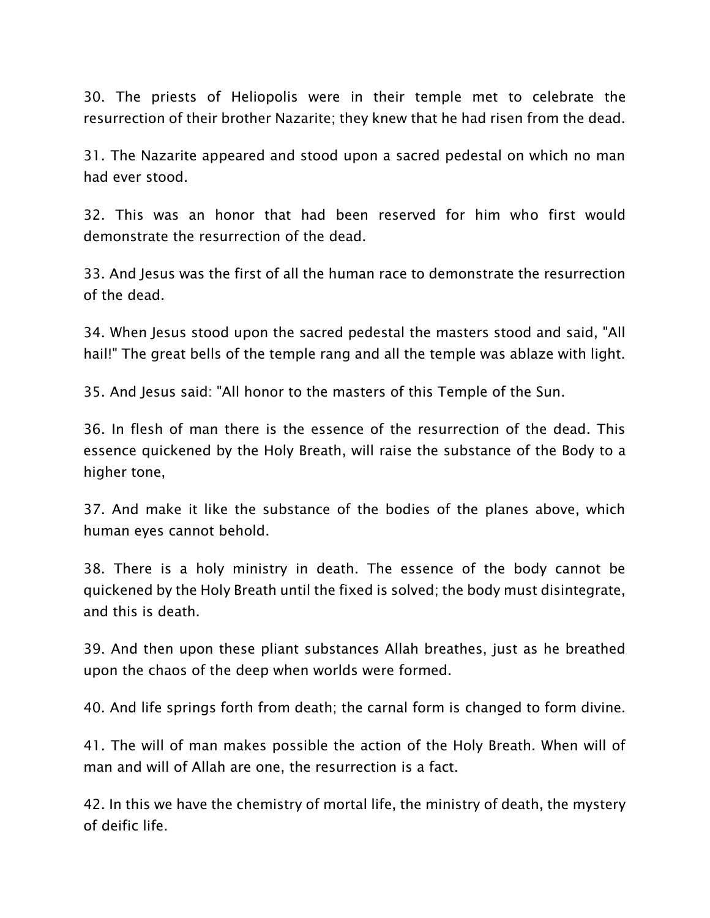30. The priests of Heliopolis were in their temple met to celebrate the resurrection of their brother Nazarite; they knew that he had risen from the dead.

31. The Nazarite appeared and stood upon a sacred pedestal on which no man had ever stood.

32. This was an honor that had been reserved for him who first would demonstrate the resurrection of the dead.

33. And Jesus was the first of all the human race to demonstrate the resurrection of the dead.

34. When Jesus stood upon the sacred pedestal the masters stood and said, "All hail!" The great bells of the temple rang and all the temple was ablaze with light.

35. And Jesus said: "All honor to the masters of this Temple of the Sun.

36. In flesh of man there is the essence of the resurrection of the dead. This essence quickened by the Holy Breath, will raise the substance of the Body to a higher tone,

37. And make it like the substance of the bodies of the planes above, which human eyes cannot behold.

38. There is a holy ministry in death. The essence of the body cannot be quickened by the Holy Breath until the fixed is solved; the body must disintegrate, and this is death.

39. And then upon these pliant substances Allah breathes, just as he breathed upon the chaos of the deep when worlds were formed.

40. And life springs forth from death; the carnal form is changed to form divine.

41. The will of man makes possible the action of the Holy Breath. When will of man and will of Allah are one, the resurrection is a fact.

42. In this we have the chemistry of mortal life, the ministry of death, the mystery of deific life.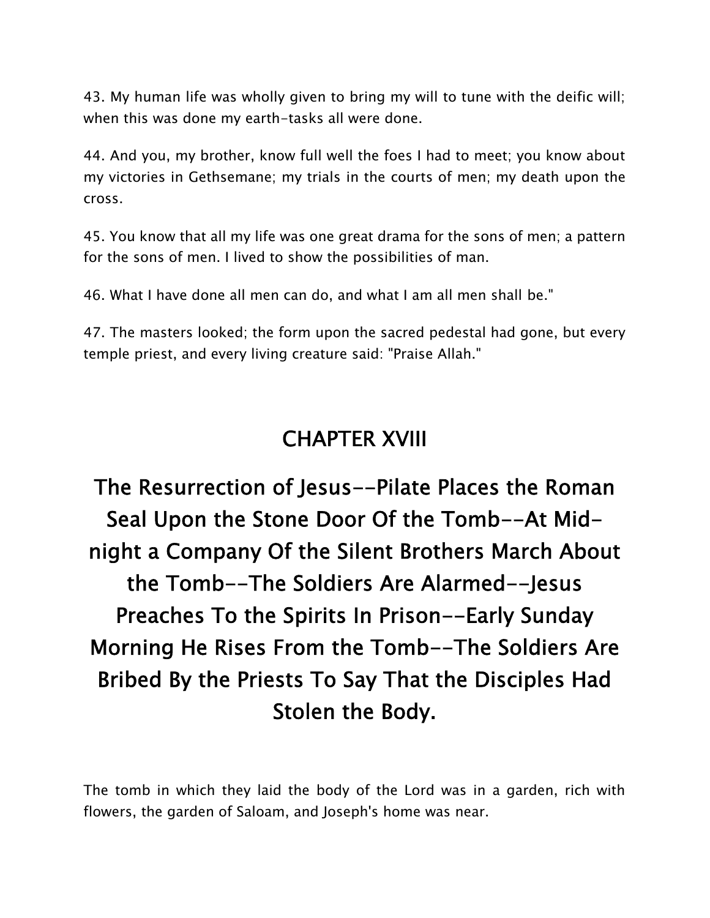43. My human life was wholly given to bring my will to tune with the deific will; when this was done my earth-tasks all were done.

44. And you, my brother, know full well the foes I had to meet; you know about my victories in Gethsemane; my trials in the courts of men; my death upon the cross.

45. You know that all my life was one great drama for the sons of men; a pattern for the sons of men. I lived to show the possibilities of man.

46. What I have done all men can do, and what I am all men shall be."

47. The masters looked; the form upon the sacred pedestal had gone, but every temple priest, and every living creature said: "Praise Allah."

#### **CHAPTER XVIII**

**The Resurrection of Jesus--Pilate Places the Roman Seal Upon the Stone Door Of the Tomb--At Mid night a Company Of the Silent Brothers March About the Tomb--The Soldiers Are Alarmed--Jesus Preaches To the Spirits In Prison--Early Sunday Morning He Rises From the Tomb--The Soldiers Are Bribed By the Priests To Say That the Disciples Had Stolen the Body.**

The tomb in which they laid the body of the Lord was in a garden, rich with flowers, the garden of Saloam, and Joseph's home was near.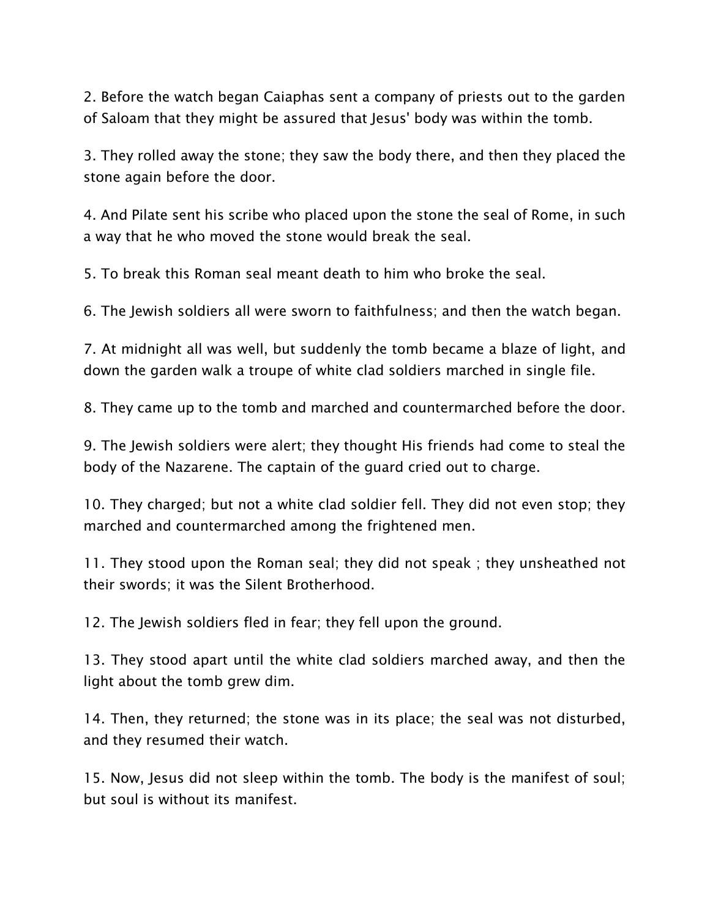2. Before the watch began Caiaphas sent a company of priests out to the garden of Saloam that they might be assured that Jesus' body was within the tomb.

3. They rolled away the stone; they saw the body there, and then they placed the stone again before the door.

4. And Pilate sent his scribe who placed upon the stone the seal of Rome, in such a way that he who moved the stone would break the seal.

5. To break this Roman seal meant death to him who broke the seal.

6. The Jewish soldiers all were sworn to faithfulness; and then the watch began.

7. At midnight all was well, but suddenly the tomb became a blaze of light, and down the garden walk a troupe of white clad soldiers marched in single file.

8. They came up to the tomb and marched and countermarched before the door.

9. The Jewish soldiers were alert; they thought His friends had come to steal the body of the Nazarene. The captain of the guard cried out to charge.

10. They charged; but not a white clad soldier fell. They did not even stop; they marched and countermarched among the frightened men.

11. They stood upon the Roman seal; they did not speak ; they unsheathed not their swords; it was the Silent Brotherhood.

12. The Jewish soldiers fled in fear; they fell upon the ground.

13. They stood apart until the white clad soldiers marched away, and then the light about the tomb grew dim.

14. Then, they returned; the stone was in its place; the seal was not disturbed, and they resumed their watch.

15. Now, Jesus did not sleep within the tomb. The body is the manifest of soul; but soul is without its manifest.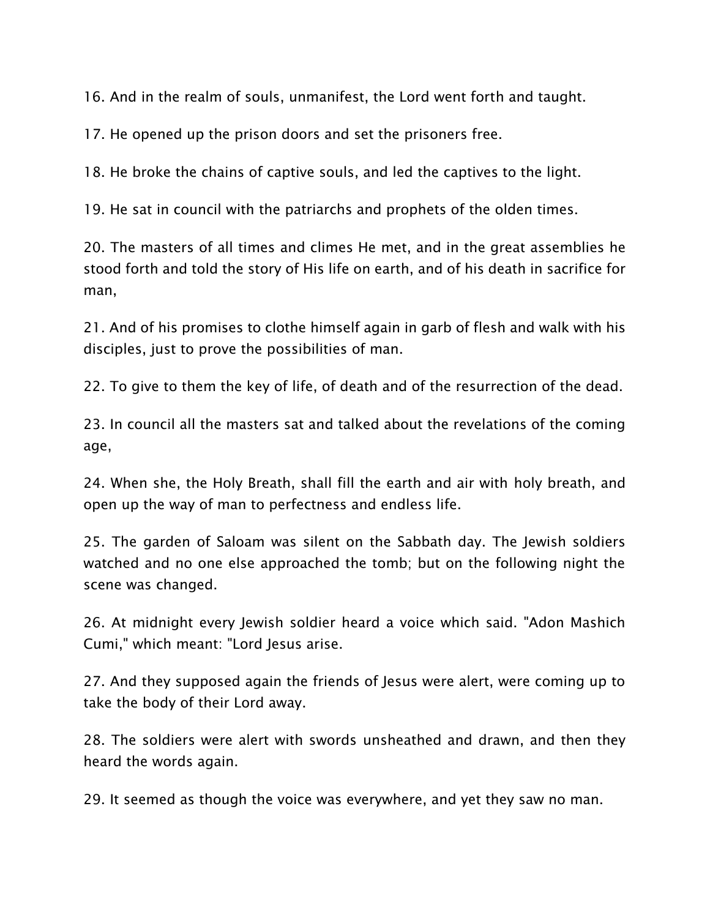16. And in the realm of souls, unmanifest, the Lord went forth and taught.

17. He opened up the prison doors and set the prisoners free.

18. He broke the chains of captive souls, and led the captives to the light.

19. He sat in council with the patriarchs and prophets of the olden times.

20. The masters of all times and climes He met, and in the great assemblies he stood forth and told the story of His life on earth, and of his death in sacrifice for man,

21. And of his promises to clothe himself again in garb of flesh and walk with his disciples, just to prove the possibilities of man.

22. To give to them the key of life, of death and of the resurrection of the dead.

23. In council all the masters sat and talked about the revelations of the coming age,

24. When she, the Holy Breath, shall fill the earth and air with holy breath, and open up the way of man to perfectness and endless life.

25. The garden of Saloam was silent on the Sabbath day. The Jewish soldiers watched and no one else approached the tomb; but on the following night the scene was changed.

26. At midnight every Jewish soldier heard a voice which said. "Adon Mashich Cumi," which meant: "Lord Jesus arise.

27. And they supposed again the friends of Jesus were alert, were coming up to take the body of their Lord away.

28. The soldiers were alert with swords unsheathed and drawn, and then they heard the words again.

29. It seemed as though the voice was everywhere, and yet they saw no man.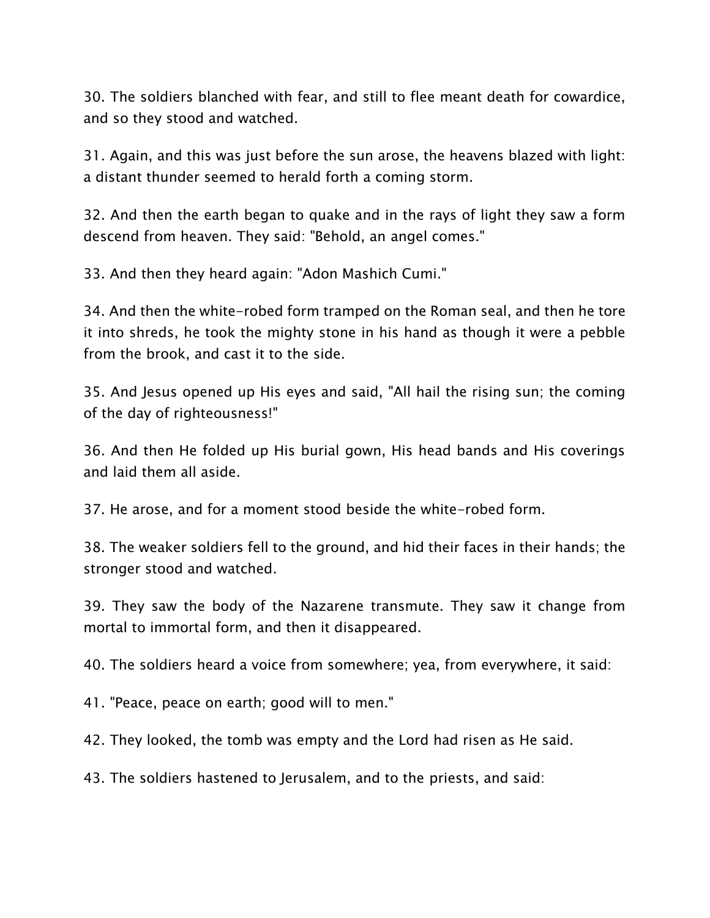30. The soldiers blanched with fear, and still to flee meant death for cowardice, and so they stood and watched.

31. Again, and this was just before the sun arose, the heavens blazed with light: a distant thunder seemed to herald forth a coming storm.

32. And then the earth began to quake and in the rays of light they saw a form descend from heaven. They said: "Behold, an angel comes."

33. And then they heard again: "Adon Mashich Cumi."

34. And then the white-robed form tramped on the Roman seal, and then he tore it into shreds, he took the mighty stone in his hand as though it were a pebble from the brook, and cast it to the side.

35. And Jesus opened up His eyes and said, "All hail the rising sun; the coming of the day of righteousness!"

36. And then He folded up His burial gown, His head bands and His coverings and laid them all aside.

37. He arose, and for a moment stood beside the white-robed form.

38. The weaker soldiers fell to the ground, and hid their faces in their hands; the stronger stood and watched.

39. They saw the body of the Nazarene transmute. They saw it change from mortal to immortal form, and then it disappeared.

40. The soldiers heard a voice from somewhere; yea, from everywhere, it said:

41. "Peace, peace on earth; good will to men."

42. They looked, the tomb was empty and the Lord had risen as He said.

43. The soldiers hastened to Jerusalem, and to the priests, and said: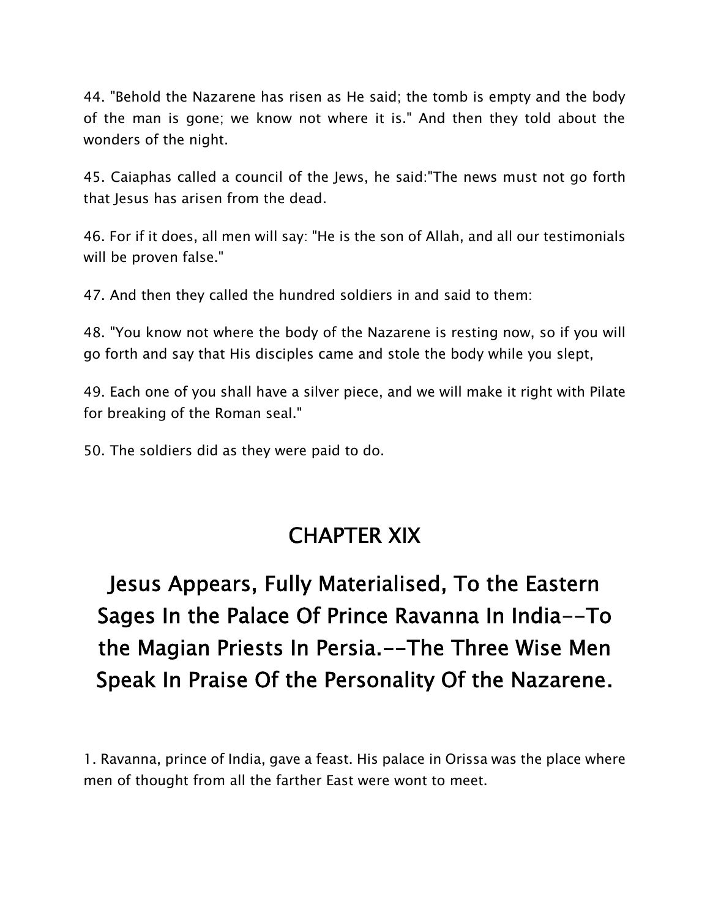44. "Behold the Nazarene has risen as He said; the tomb is empty and the body of the man is gone; we know not where it is." And then they told about the wonders of the night.

45. Caiaphas called a council of the Jews, he said:"The news must not go forth that Jesus has arisen from the dead.

46. For if it does, all men will say: "He is the son of Allah, and all our testimonials will be proven false."

47. And then they called the hundred soldiers in and said to them:

48. "You know not where the body of the Nazarene is resting now, so if you will go forth and say that His disciples came and stole the body while you slept,

49. Each one of you shall have a silver piece, and we will make it right with Pilate for breaking of the Roman seal."

50. The soldiers did as they were paid to do.

#### **CHAPTER XIX**

# **Jesus Appears, Fully Materialised, To the Eastern Sages In the Palace Of Prince Ravanna In India--To the Magian Priests In Persia.--The Three Wise Men Speak In Praise Of the Personality Of the Nazarene.**

1. Ravanna, prince of India, gave a feast. His palace in Orissa was the place where men of thought from all the farther East were wont to meet.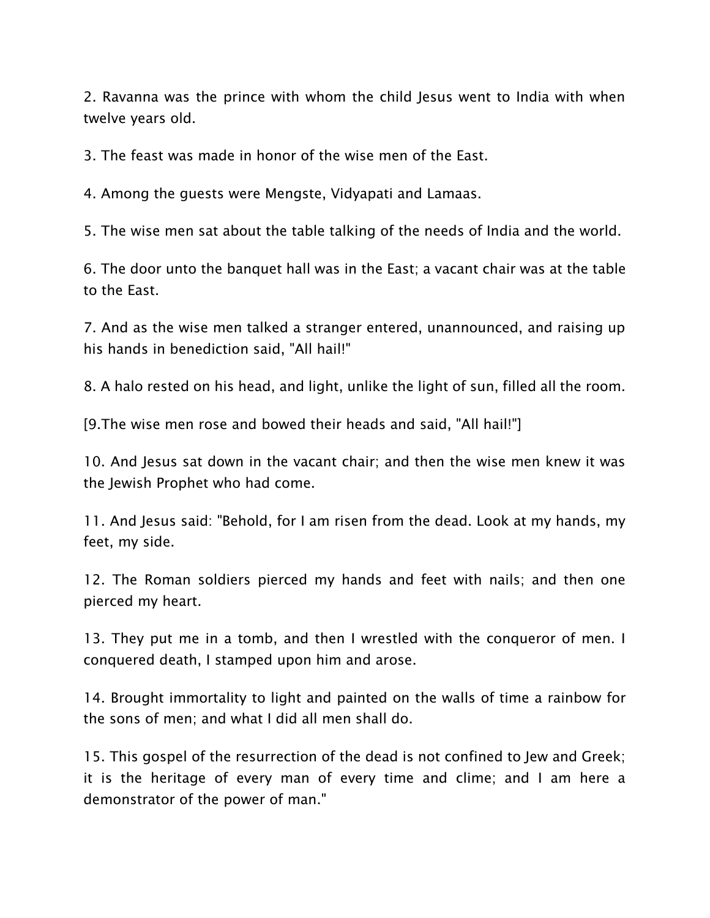2. Ravanna was the prince with whom the child Jesus went to India with when twelve years old.

3. The feast was made in honor of the wise men of the East.

4. Among the guests were Mengste, Vidyapati and Lamaas.

5. The wise men sat about the table talking of the needs of India and the world.

6. The door unto the banquet hall was in the East; a vacant chair was at the table to the East.

7. And as the wise men talked a stranger entered, unannounced, and raising up his hands in benediction said, "All hail!"

8. A halo rested on his head, and light, unlike the light of sun, filled all the room.

[9.The wise men rose and bowed their heads and said, "All hail!"]

10. And Jesus sat down in the vacant chair; and then the wise men knew it was the Jewish Prophet who had come.

11. And Jesus said: "Behold, for I am risen from the dead. Look at my hands, my feet, my side.

12. The Roman soldiers pierced my hands and feet with nails; and then one pierced my heart.

13. They put me in a tomb, and then I wrestled with the conqueror of men. I conquered death, I stamped upon him and arose.

14. Brought immortality to light and painted on the walls of time a rainbow for the sons of men; and what I did all men shall do.

15. This gospel of the resurrection of the dead is not confined to Jew and Greek; it is the heritage of every man of every time and clime; and I am here a demonstrator of the power of man."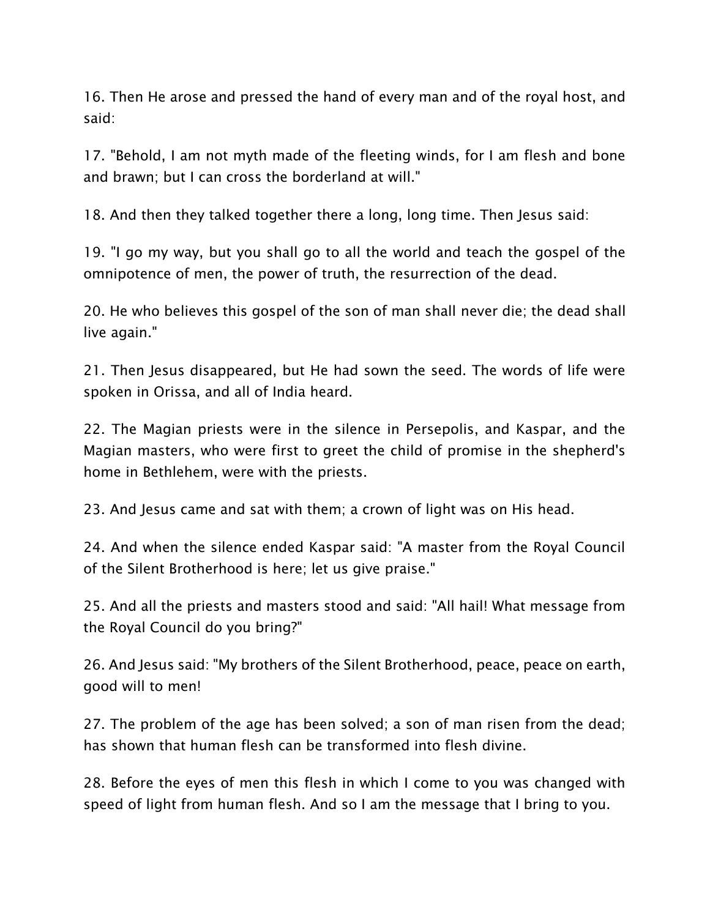16. Then He arose and pressed the hand of every man and of the royal host, and said:

17. "Behold, I am not myth made of the fleeting winds, for I am flesh and bone and brawn; but I can cross the borderland at will."

18. And then they talked together there a long, long time. Then Jesus said:

19. "I go my way, but you shall go to all the world and teach the gospel of the omnipotence of men, the power of truth, the resurrection of the dead.

20. He who believes this gospel of the son of man shall never die; the dead shall live again."

21. Then Jesus disappeared, but He had sown the seed. The words of life were spoken in Orissa, and all of India heard.

22. The Magian priests were in the silence in Persepolis, and Kaspar, and the Magian masters, who were first to greet the child of promise in the shepherd's home in Bethlehem, were with the priests.

23. And Jesus came and sat with them; a crown of light was on His head.

24. And when the silence ended Kaspar said: "A master from the Royal Council of the Silent Brotherhood is here; let us give praise."

25. And all the priests and masters stood and said: "All hail! What message from the Royal Council do you bring?"

26. And Jesus said: "My brothers of the Silent Brotherhood, peace, peace on earth, good will to men!

27. The problem of the age has been solved; a son of man risen from the dead; has shown that human flesh can be transformed into flesh divine.

28. Before the eyes of men this flesh in which I come to you was changed with speed of light from human flesh. And so I am the message that I bring to you.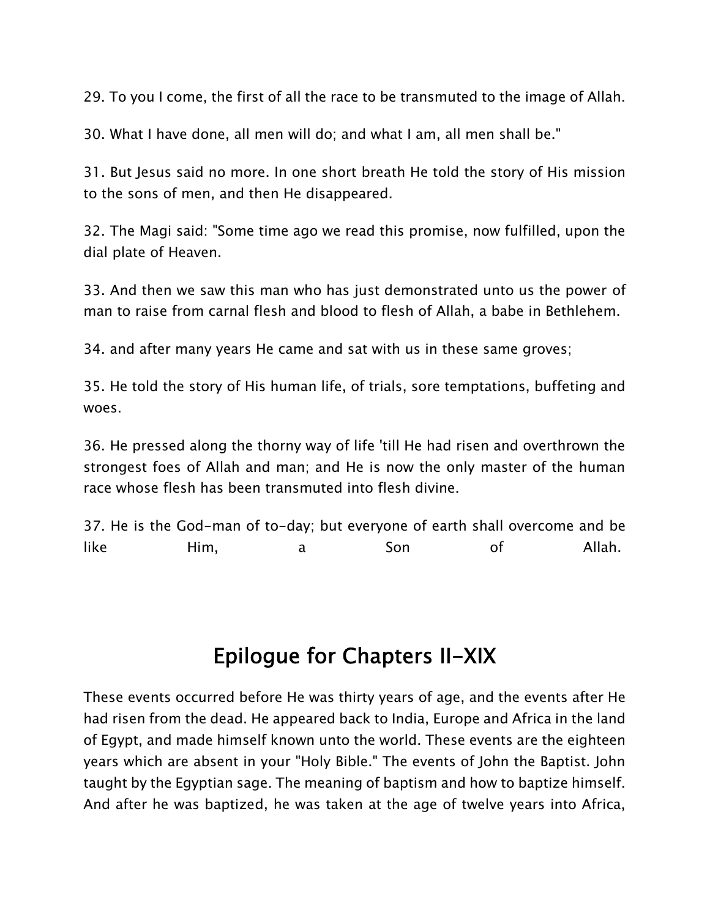29. To you I come, the first of all the race to be transmuted to the image of Allah.

30. What I have done, all men will do; and what I am, all men shall be."

31. But Jesus said no more. In one short breath He told the story of His mission to the sons of men, and then He disappeared.

32. The Magi said: "Some time ago we read this promise, now fulfilled, upon the dial plate of Heaven.

33. And then we saw this man who has just demonstrated unto us the power of man to raise from carnal flesh and blood to flesh of Allah, a babe in Bethlehem.

34. and after many years He came and sat with us in these same groves;

35. He told the story of His human life, of trials, sore temptations, buffeting and woes.

36. He pressed along the thorny way of life 'till He had risen and overthrown the strongest foes of Allah and man; and He is now the only master of the human race whose flesh has been transmuted into flesh divine.

37. He is the God-man of to-day; but everyone of earth shall overcome and be like Him, a Son of Allah.

#### **Epilogue for Chapters II-XIX**

These events occurred before He was thirty years of age, and the events after He had risen from the dead. He appeared back to India, Europe and Africa in the land of Egypt, and made himself known unto the world. These events are the eighteen years which are absent in your "Holy Bible." The events of John the Baptist. John taught by the Egyptian sage. The meaning of baptism and how to baptize himself. And after he was baptized, he was taken at the age of twelve years into Africa,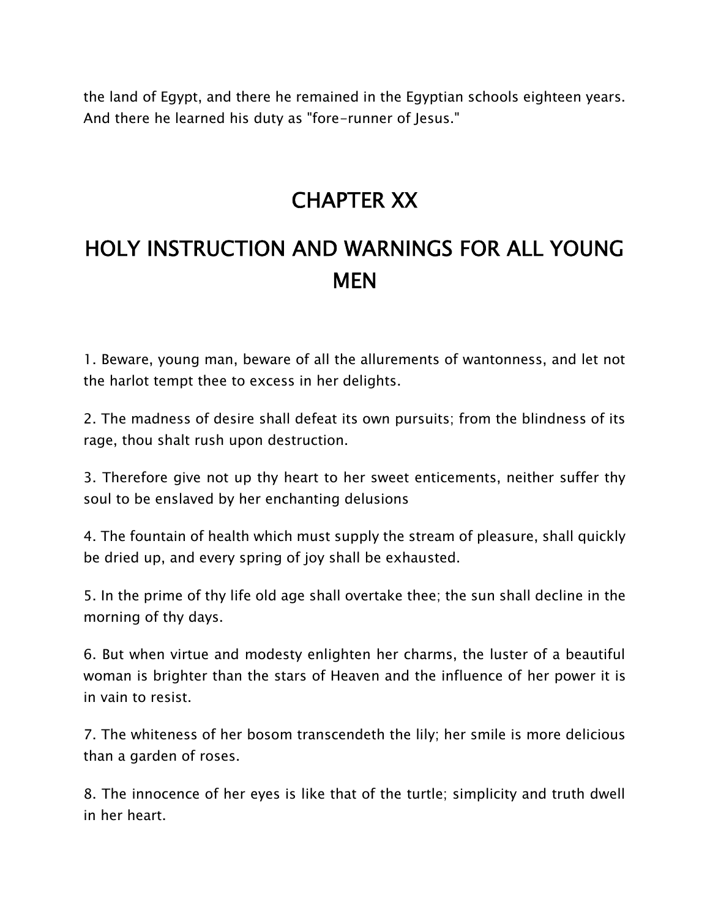the land of Egypt, and there he remained in the Egyptian schools eighteen years. And there he learned his duty as "fore-runner of Jesus."

#### **CHAPTER XX**

# **HOLY INSTRUCTION AND WARNINGS FOR ALL YOUNG MEN**

1. Beware, young man, beware of all the allurements of wantonness, and let not the harlot tempt thee to excess in her delights.

2. The madness of desire shall defeat its own pursuits; from the blindness of its rage, thou shalt rush upon destruction.

3. Therefore give not up thy heart to her sweet enticements, neither suffer thy soul to be enslaved by her enchanting delusions

4. The fountain of health which must supply the stream of pleasure, shall quickly be dried up, and every spring of joy shall be exhausted.

5. In the prime of thy life old age shall overtake thee; the sun shall decline in the morning of thy days.

6. But when virtue and modesty enlighten her charms, the luster of a beautiful woman is brighter than the stars of Heaven and the influence of her power it is in vain to resist.

7. The whiteness of her bosom transcendeth the lily; her smile is more delicious than a garden of roses.

8. The innocence of her eyes is like that of the turtle; simplicity and truth dwell in her heart.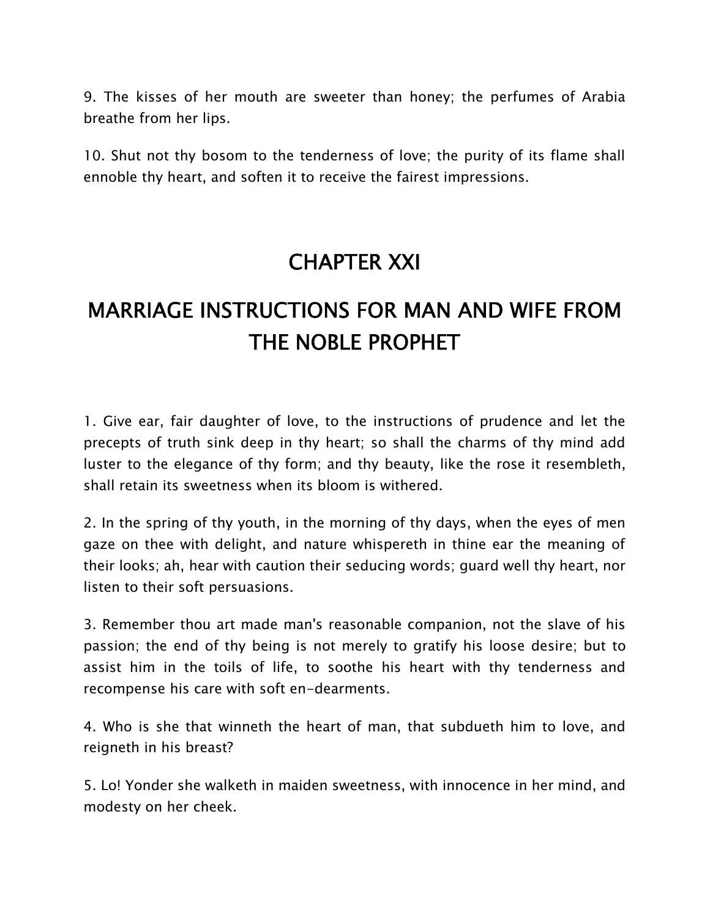9. The kisses of her mouth are sweeter than honey; the perfumes of Arabia breathe from her lips.

10. Shut not thy bosom to the tenderness of love; the purity of its flame shall ennoble thy heart, and soften it to receive the fairest impressions.

## **CHAPTER XXI**

# **MARRIAGE INSTRUCTIONS FOR MAN AND WIFE FROM THE NOBLE PROPHET**

1. Give ear, fair daughter of love, to the instructions of prudence and let the precepts of truth sink deep in thy heart; so shall the charms of thy mind add luster to the elegance of thy form; and thy beauty, like the rose it resembleth, shall retain its sweetness when its bloom is withered.

2. In the spring of thy youth, in the morning of thy days, when the eyes of men gaze on thee with delight, and nature whispereth in thine ear the meaning of their looks; ah, hear with caution their seducing words; guard well thy heart, nor listen to their soft persuasions.

3. Remember thou art made man's reasonable companion, not the slave of his passion; the end of thy being is not merely to gratify his loose desire; but to assist him in the toils of life, to soothe his heart with thy tenderness and recompense his care with soft en-dearments.

4. Who is she that winneth the heart of man, that subdueth him to love, and reigneth in his breast?

5. Lo! Yonder she walketh in maiden sweetness, with innocence in her mind, and modesty on her cheek.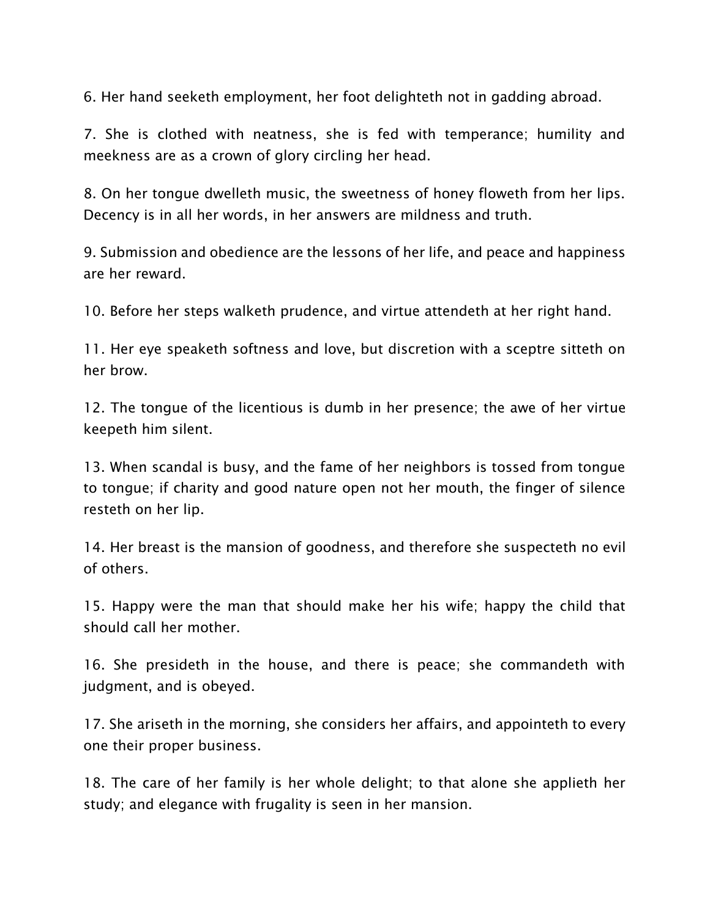6. Her hand seeketh employment, her foot delighteth not in gadding abroad.

7. She is clothed with neatness, she is fed with temperance; humility and meekness are as a crown of glory circling her head.

8. On her tongue dwelleth music, the sweetness of honey floweth from her lips. Decency is in all her words, in her answers are mildness and truth.

9. Submission and obedience are the lessons of her life, and peace and happiness are her reward.

10. Before her steps walketh prudence, and virtue attendeth at her right hand.

11. Her eye speaketh softness and love, but discretion with a sceptre sitteth on her brow.

12. The tongue of the licentious is dumb in her presence; the awe of her virtue keepeth him silent.

13. When scandal is busy, and the fame of her neighbors is tossed from tongue to tongue; if charity and good nature open not her mouth, the finger of silence resteth on her lip.

14. Her breast is the mansion of goodness, and therefore she suspecteth no evil of others.

15. Happy were the man that should make her his wife; happy the child that should call her mother.

16. She presideth in the house, and there is peace; she commandeth with judgment, and is obeyed.

17. She ariseth in the morning, she considers her affairs, and appointeth to every one their proper business.

18. The care of her family is her whole delight; to that alone she applieth her study; and elegance with frugality is seen in her mansion.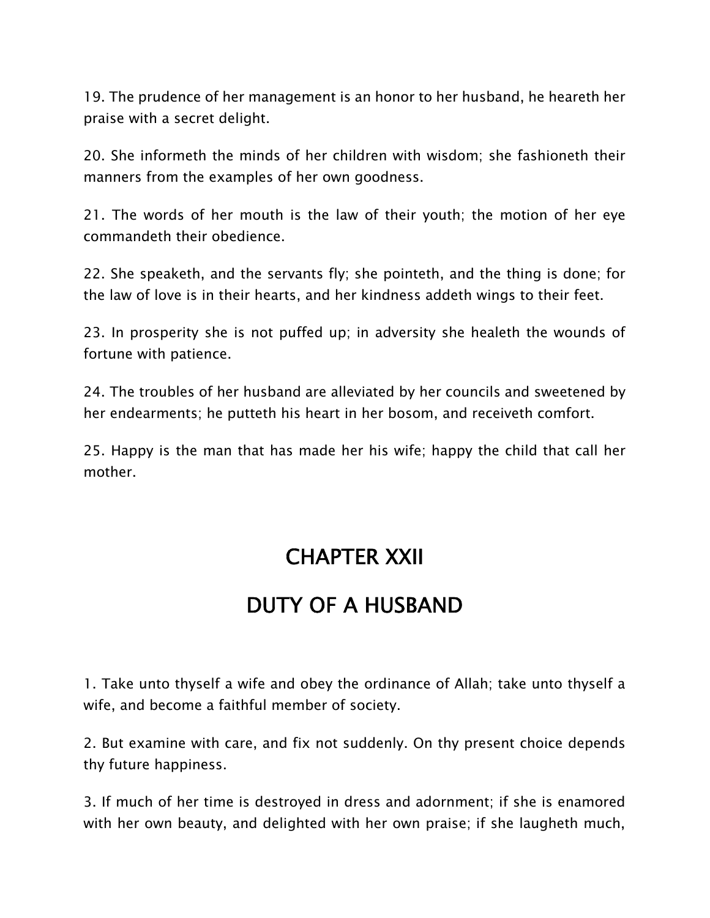19. The prudence of her management is an honor to her husband, he heareth her praise with a secret delight.

20. She informeth the minds of her children with wisdom; she fashioneth their manners from the examples of her own goodness.

21. The words of her mouth is the law of their youth; the motion of her eye commandeth their obedience.

22. She speaketh, and the servants fly; she pointeth, and the thing is done; for the law of love is in their hearts, and her kindness addeth wings to their feet.

23. In prosperity she is not puffed up; in adversity she healeth the wounds of fortune with patience.

24. The troubles of her husband are alleviated by her councils and sweetened by her endearments; he putteth his heart in her bosom, and receiveth comfort.

25. Happy is the man that has made her his wife; happy the child that call her mother.

#### **CHAPTER XXII**

## **DUTY OF A HUSBAND**

1. Take unto thyself a wife and obey the ordinance of Allah; take unto thyself a wife, and become a faithful member of society.

2. But examine with care, and fix not suddenly. On thy present choice depends thy future happiness.

3. If much of her time is destroyed in dress and adornment; if she is enamored with her own beauty, and delighted with her own praise; if she laugheth much,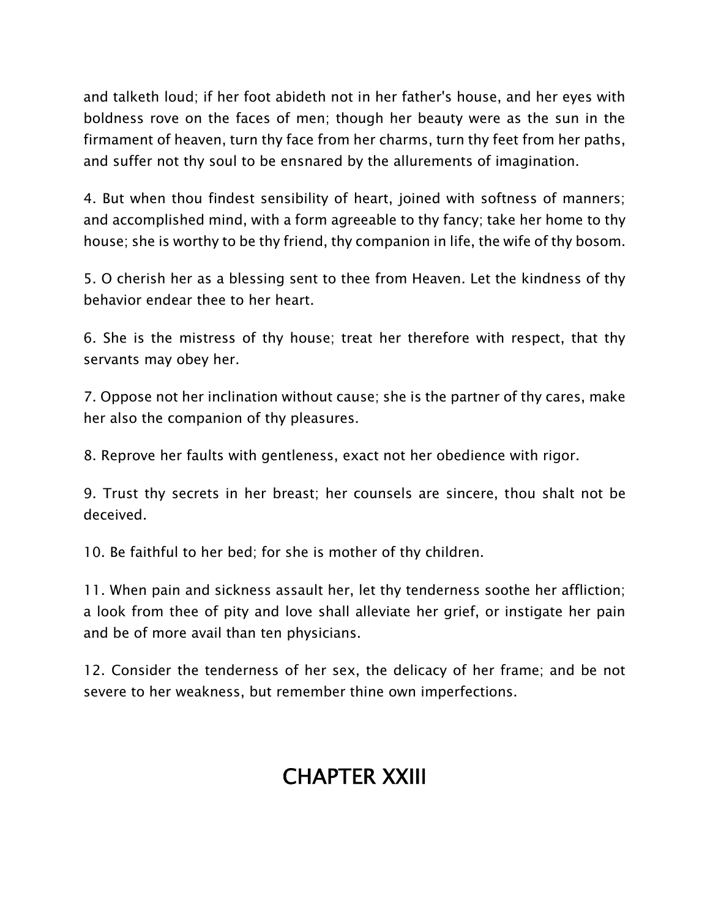and talketh loud; if her foot abideth not in her father's house, and her eyes with boldness rove on the faces of men; though her beauty were as the sun in the firmament of heaven, turn thy face from her charms, turn thy feet from her paths, and suffer not thy soul to be ensnared by the allurements of imagination.

4. But when thou findest sensibility of heart, joined with softness of manners; and accomplished mind, with a form agreeable to thy fancy; take her home to thy house; she is worthy to be thy friend, thy companion in life, the wife of thy bosom.

5. O cherish her as a blessing sent to thee from Heaven. Let the kindness of thy behavior endear thee to her heart.

6. She is the mistress of thy house; treat her therefore with respect, that thy servants may obey her.

7. Oppose not her inclination without cause; she is the partner of thy cares, make her also the companion of thy pleasures.

8. Reprove her faults with gentleness, exact not her obedience with rigor.

9. Trust thy secrets in her breast; her counsels are sincere, thou shalt not be deceived.

10. Be faithful to her bed; for she is mother of thy children.

11. When pain and sickness assault her, let thy tenderness soothe her affliction; a look from thee of pity and love shall alleviate her grief, or instigate her pain and be of more avail than ten physicians.

12. Consider the tenderness of her sex, the delicacy of her frame; and be not severe to her weakness, but remember thine own imperfections.

# **CHAPTER XXIII**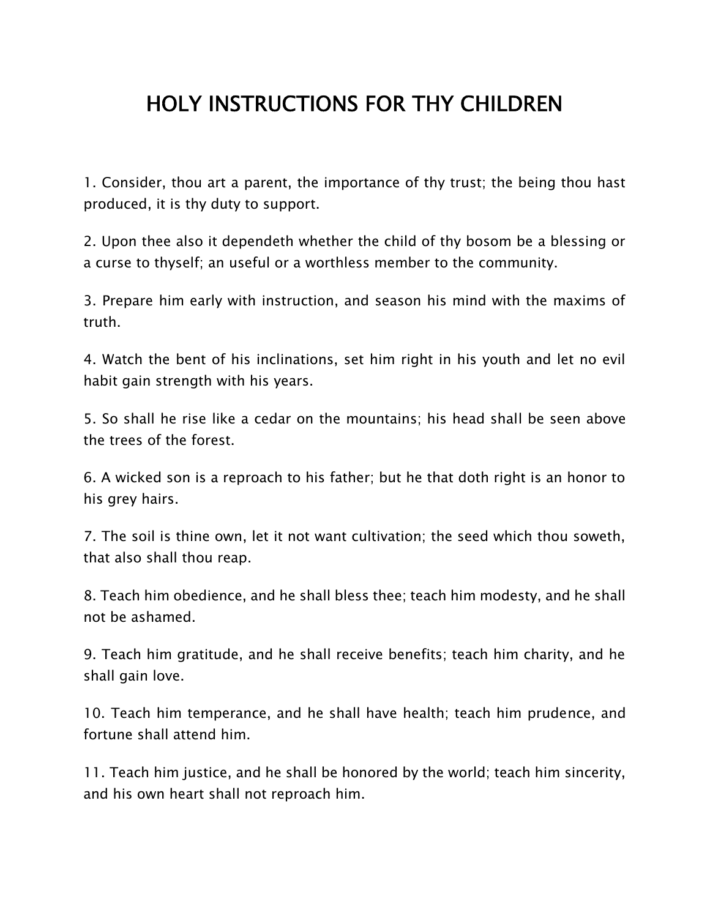# **HOLY INSTRUCTIONS FOR THY CHILDREN**

1. Consider, thou art a parent, the importance of thy trust; the being thou hast produced, it is thy duty to support.

2. Upon thee also it dependeth whether the child of thy bosom be a blessing or a curse to thyself; an useful or a worthless member to the community.

3. Prepare him early with instruction, and season his mind with the maxims of truth.

4. Watch the bent of his inclinations, set him right in his youth and let no evil habit gain strength with his years.

5. So shall he rise like a cedar on the mountains; his head shall be seen above the trees of the forest.

6. A wicked son is a reproach to his father; but he that doth right is an honor to his grey hairs.

7. The soil is thine own, let it not want cultivation; the seed which thou soweth, that also shall thou reap.

8. Teach him obedience, and he shall bless thee; teach him modesty, and he shall not be ashamed.

9. Teach him gratitude, and he shall receive benefits; teach him charity, and he shall gain love.

10. Teach him temperance, and he shall have health; teach him prudence, and fortune shall attend him.

11. Teach him justice, and he shall be honored by the world; teach him sincerity, and his own heart shall not reproach him.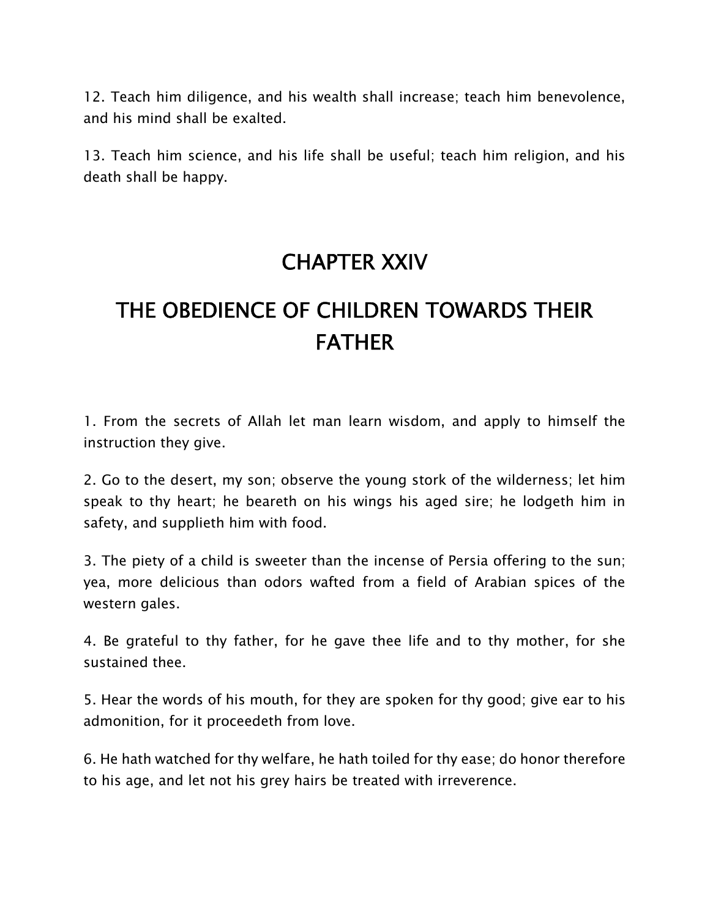12. Teach him diligence, and his wealth shall increase; teach him benevolence, and his mind shall be exalted.

13. Teach him science, and his life shall be useful; teach him religion, and his death shall be happy.

#### **CHAPTER XXIV**

# **THE OBEDIENCE OF CHILDREN TOWARDS THEIR FATHER**

1. From the secrets of Allah let man learn wisdom, and apply to himself the instruction they give.

2. Go to the desert, my son; observe the young stork of the wilderness; let him speak to thy heart; he beareth on his wings his aged sire; he lodgeth him in safety, and supplieth him with food.

3. The piety of a child is sweeter than the incense of Persia offering to the sun; yea, more delicious than odors wafted from a field of Arabian spices of the western gales.

4. Be grateful to thy father, for he gave thee life and to thy mother, for she sustained thee.

5. Hear the words of his mouth, for they are spoken for thy good; give ear to his admonition, for it proceedeth from love.

6. He hath watched for thy welfare, he hath toiled for thy ease; do honor therefore to his age, and let not his grey hairs be treated with irreverence.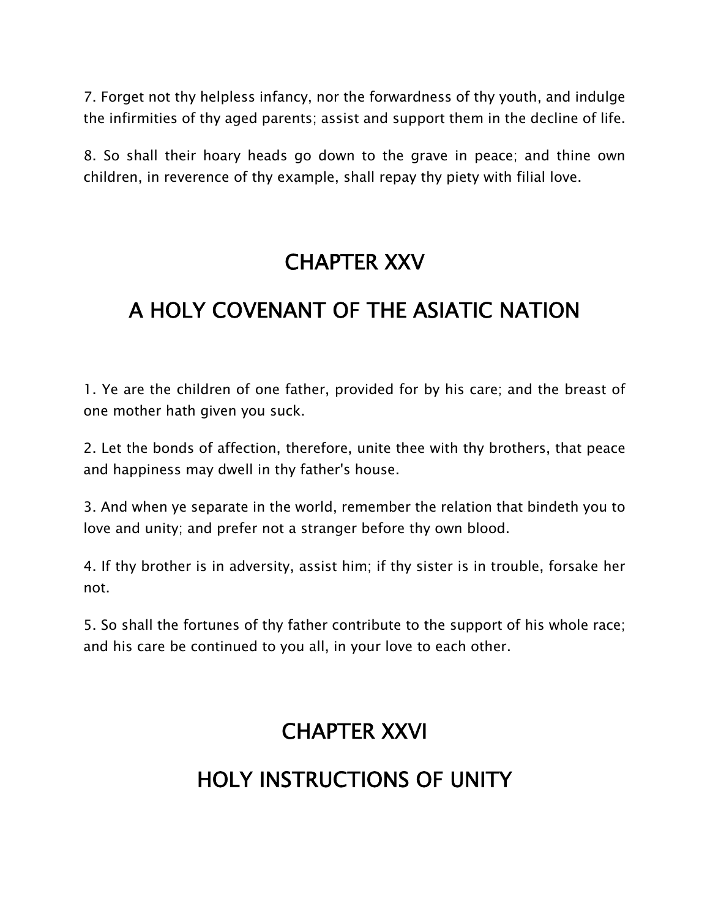7. Forget not thy helpless infancy, nor the forwardness of thy youth, and indulge the infirmities of thy aged parents; assist and support them in the decline of life.

8. So shall their hoary heads go down to the grave in peace; and thine own children, in reverence of thy example, shall repay thy piety with filial love.

#### **CHAPTER XXV**

## **A HOLY COVENANT OF THE ASIATIC NATION**

1. Ye are the children of one father, provided for by his care; and the breast of one mother hath given you suck.

2. Let the bonds of affection, therefore, unite thee with thy brothers, that peace and happiness may dwell in thy father's house.

3. And when ye separate in the world, remember the relation that bindeth you to love and unity; and prefer not a stranger before thy own blood.

4. If thy brother is in adversity, assist him; if thy sister is in trouble, forsake her not.

5. So shall the fortunes of thy father contribute to the support of his whole race; and his care be continued to you all, in your love to each other.

## **CHAPTER XXVI**

## **HOLY INSTRUCTIONS OF UNITY**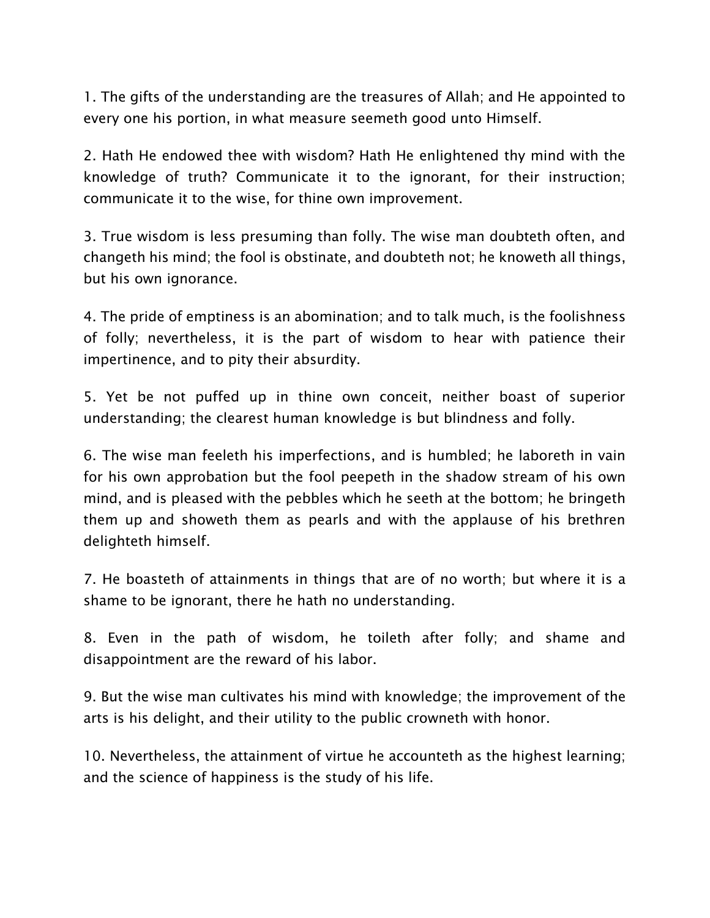1. The gifts of the understanding are the treasures of Allah; and He appointed to every one his portion, in what measure seemeth good unto Himself.

2. Hath He endowed thee with wisdom? Hath He enlightened thy mind with the knowledge of truth? Communicate it to the ignorant, for their instruction; communicate it to the wise, for thine own improvement.

3. True wisdom is less presuming than folly. The wise man doubteth often, and changeth his mind; the fool is obstinate, and doubteth not; he knoweth all things, but his own ignorance.

4. The pride of emptiness is an abomination; and to talk much, is the foolishness of folly; nevertheless, it is the part of wisdom to hear with patience their impertinence, and to pity their absurdity.

5. Yet be not puffed up in thine own conceit, neither boast of superior understanding; the clearest human knowledge is but blindness and folly.

6. The wise man feeleth his imperfections, and is humbled; he laboreth in vain for his own approbation but the fool peepeth in the shadow stream of his own mind, and is pleased with the pebbles which he seeth at the bottom; he bringeth them up and showeth them as pearls and with the applause of his brethren delighteth himself.

7. He boasteth of attainments in things that are of no worth; but where it is a shame to be ignorant, there he hath no understanding.

8. Even in the path of wisdom, he toileth after folly; and shame and disappointment are the reward of his labor.

9. But the wise man cultivates his mind with knowledge; the improvement of the arts is his delight, and their utility to the public crowneth with honor.

10. Nevertheless, the attainment of virtue he accounteth as the highest learning; and the science of happiness is the study of his life.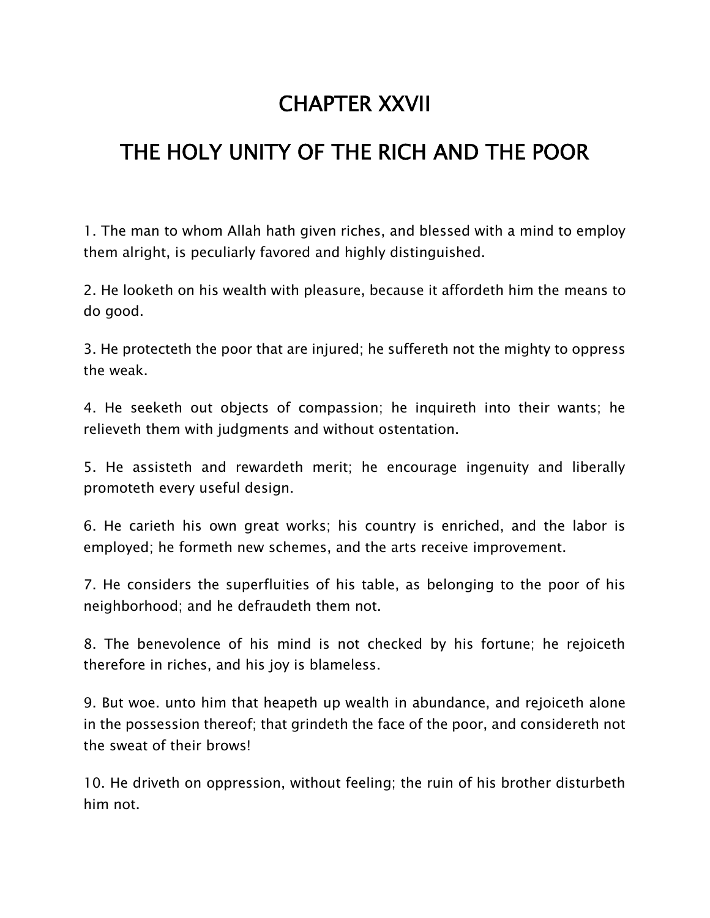### **CHAPTER XXVII**

## **THE HOLY UNITY OF THE RICH AND THE POOR**

1. The man to whom Allah hath given riches, and blessed with a mind to employ them alright, is peculiarly favored and highly distinguished.

2. He looketh on his wealth with pleasure, because it affordeth him the means to do good.

3. He protecteth the poor that are injured; he suffereth not the mighty to oppress the weak.

4. He seeketh out objects of compassion; he inquireth into their wants; he relieveth them with judgments and without ostentation.

5. He assisteth and rewardeth merit; he encourage ingenuity and liberally promoteth every useful design.

6. He carieth his own great works; his country is enriched, and the labor is employed; he formeth new schemes, and the arts receive improvement.

7. He considers the superfluities of his table, as belonging to the poor of his neighborhood; and he defraudeth them not.

8. The benevolence of his mind is not checked by his fortune; he rejoiceth therefore in riches, and his joy is blameless.

9. But woe. unto him that heapeth up wealth in abundance, and rejoiceth alone in the possession thereof; that grindeth the face of the poor, and considereth not the sweat of their brows!

10. He driveth on oppression, without feeling; the ruin of his brother disturbeth him not.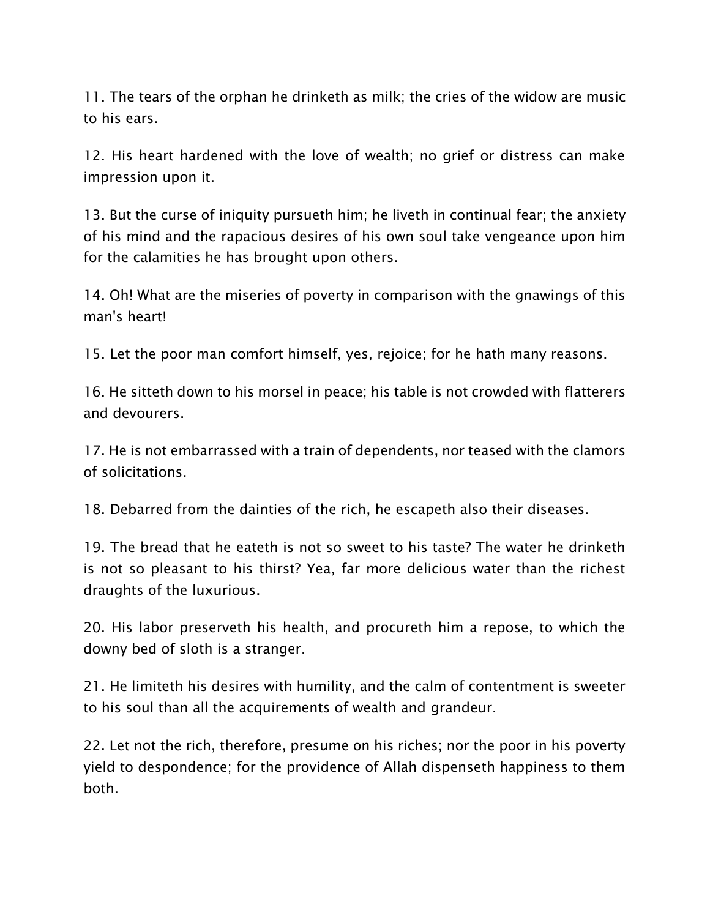11. The tears of the orphan he drinketh as milk; the cries of the widow are music to his ears.

12. His heart hardened with the love of wealth; no grief or distress can make impression upon it.

13. But the curse of iniquity pursueth him; he liveth in continual fear; the anxiety of his mind and the rapacious desires of his own soul take vengeance upon him for the calamities he has brought upon others.

14. Oh! What are the miseries of poverty in comparison with the gnawings of this man's heart!

15. Let the poor man comfort himself, yes, rejoice; for he hath many reasons.

16. He sitteth down to his morsel in peace; his table is not crowded with flatterers and devourers.

17. He is not embarrassed with a train of dependents, nor teased with the clamors of solicitations.

18. Debarred from the dainties of the rich, he escapeth also their diseases.

19. The bread that he eateth is not so sweet to his taste? The water he drinketh is not so pleasant to his thirst? Yea, far more delicious water than the richest draughts of the luxurious.

20. His labor preserveth his health, and procureth him a repose, to which the downy bed of sloth is a stranger.

21. He limiteth his desires with humility, and the calm of contentment is sweeter to his soul than all the acquirements of wealth and grandeur.

22. Let not the rich, therefore, presume on his riches; nor the poor in his poverty yield to despondence; for the providence of Allah dispenseth happiness to them both.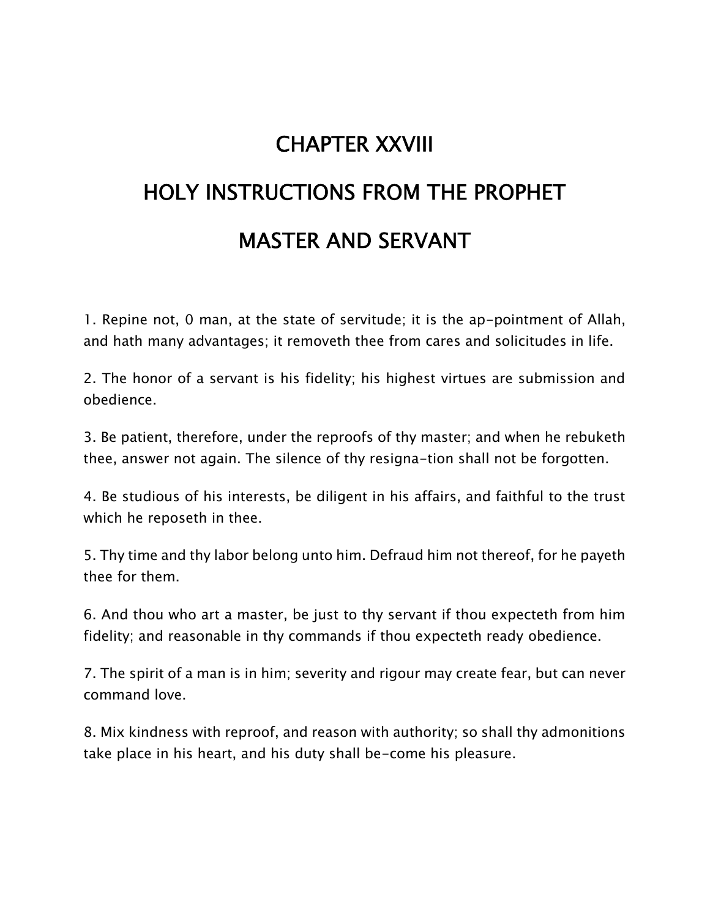# **CHAPTER XXVIII HOLY INSTRUCTIONS FROM THE PROPHET MASTER AND SERVANT**

1. Repine not, 0 man, at the state of servitude; it is the ap-pointment of Allah, and hath many advantages; it removeth thee from cares and solicitudes in life.

2. The honor of a servant is his fidelity; his highest virtues are submission and obedience.

3. Be patient, therefore, under the reproofs of thy master; and when he rebuketh thee, answer not again. The silence of thy resigna-tion shall not be forgotten.

4. Be studious of his interests, be diligent in his affairs, and faithful to the trust which he reposeth in thee.

5. Thy time and thy labor belong unto him. Defraud him not thereof, for he payeth thee for them.

6. And thou who art a master, be just to thy servant if thou expecteth from him fidelity; and reasonable in thy commands if thou expecteth ready obedience.

7. The spirit of a man is in him; severity and rigour may create fear, but can never command love.

8. Mix kindness with reproof, and reason with authority; so shall thy admonitions take place in his heart, and his duty shall be-come his pleasure.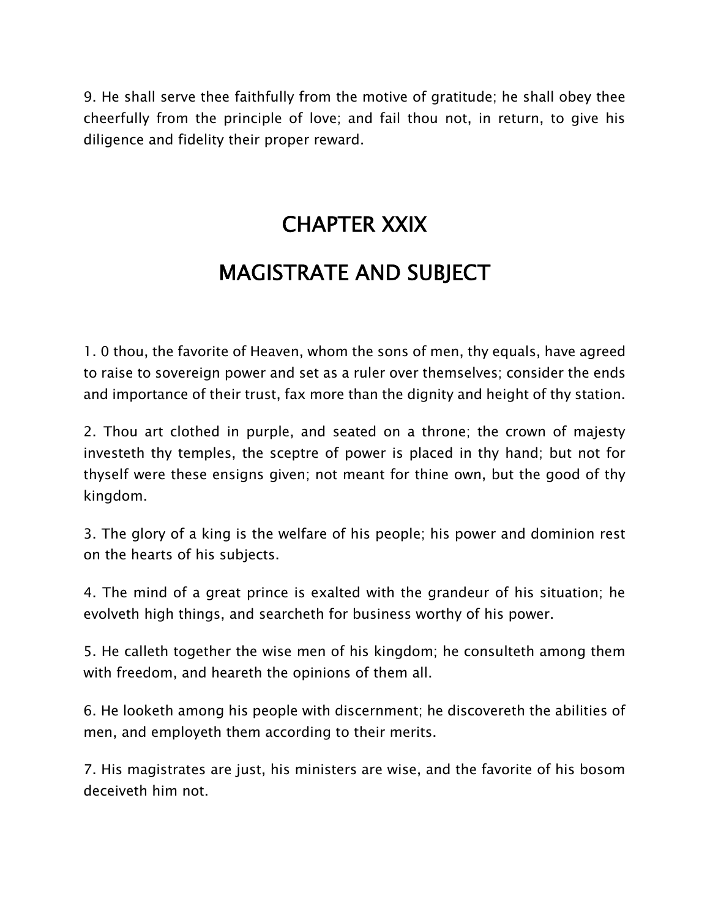9. He shall serve thee faithfully from the motive of gratitude; he shall obey thee cheerfully from the principle of love; and fail thou not, in return, to give his diligence and fidelity their proper reward.

### **CHAPTER XXIX**

### **MAGISTRATE AND SUBJECT**

1. 0 thou, the favorite of Heaven, whom the sons of men, thy equals, have agreed to raise to sovereign power and set as a ruler over themselves; consider the ends and importance of their trust, fax more than the dignity and height of thy station.

2. Thou art clothed in purple, and seated on a throne; the crown of majesty investeth thy temples, the sceptre of power is placed in thy hand; but not for thyself were these ensigns given; not meant for thine own, but the good of thy kingdom.

3. The glory of a king is the welfare of his people; his power and dominion rest on the hearts of his subjects.

4. The mind of a great prince is exalted with the grandeur of his situation; he evolveth high things, and searcheth for business worthy of his power.

5. He calleth together the wise men of his kingdom; he consulteth among them with freedom, and heareth the opinions of them all.

6. He looketh among his people with discernment; he discovereth the abilities of men, and employeth them according to their merits.

7. His magistrates are just, his ministers are wise, and the favorite of his bosom deceiveth him not.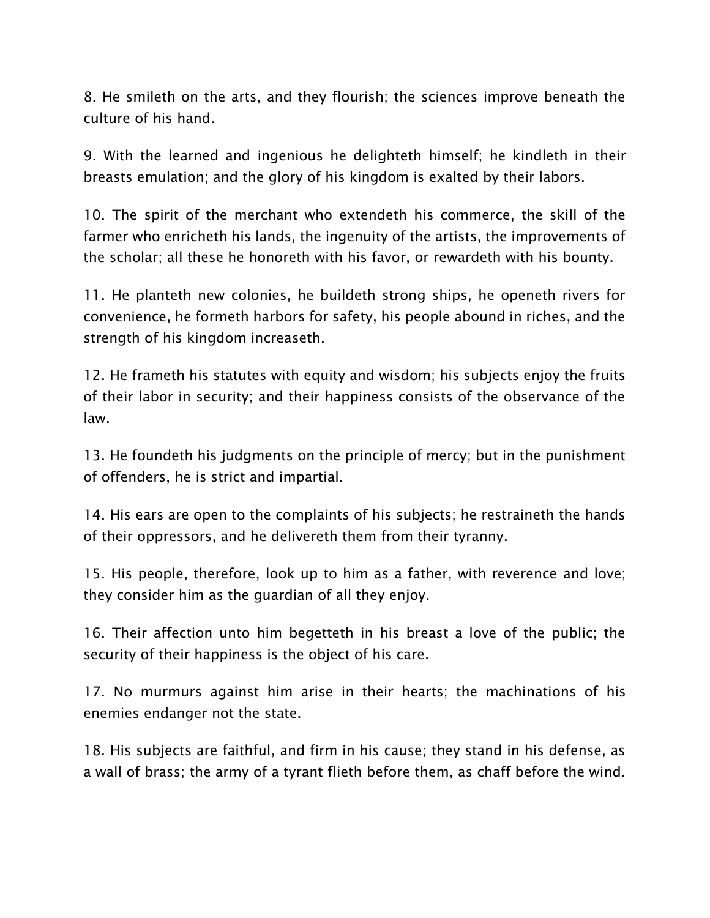8. He smileth on the arts, and they flourish; the sciences improve beneath the culture of his hand.

9. With the learned and ingenious he delighteth himself; he kindleth in their breasts emulation; and the glory of his kingdom is exalted by their labors.

10. The spirit of the merchant who extendeth his commerce, the skill of the farmer who enricheth his lands, the ingenuity of the artists, the improvements of the scholar; all these he honoreth with his favor, or rewardeth with his bounty.

11. He planteth new colonies, he buildeth strong ships, he openeth rivers for convenience, he formeth harbors for safety, his people abound in riches, and the strength of his kingdom increaseth.

12. He frameth his statutes with equity and wisdom; his subjects enjoy the fruits of their labor in security; and their happiness consists of the observance of the law.

13. He foundeth his judgments on the principle of mercy; but in the punishment of offenders, he is strict and impartial.

14. His ears are open to the complaints of his subjects; he restraineth the hands of their oppressors, and he delivereth them from their tyranny.

15. His people, therefore, look up to him as a father, with reverence and love; they consider him as the guardian of all they enjoy.

16. Their affection unto him begetteth in his breast a love of the public; the security of their happiness is the object of his care.

17. No murmurs against him arise in their hearts; the machinations of his enemies endanger not the state.

18. His subjects are faithful, and firm in his cause; they stand in his defense, as a wall of brass; the army of a tyrant flieth before them, as chaff before the wind.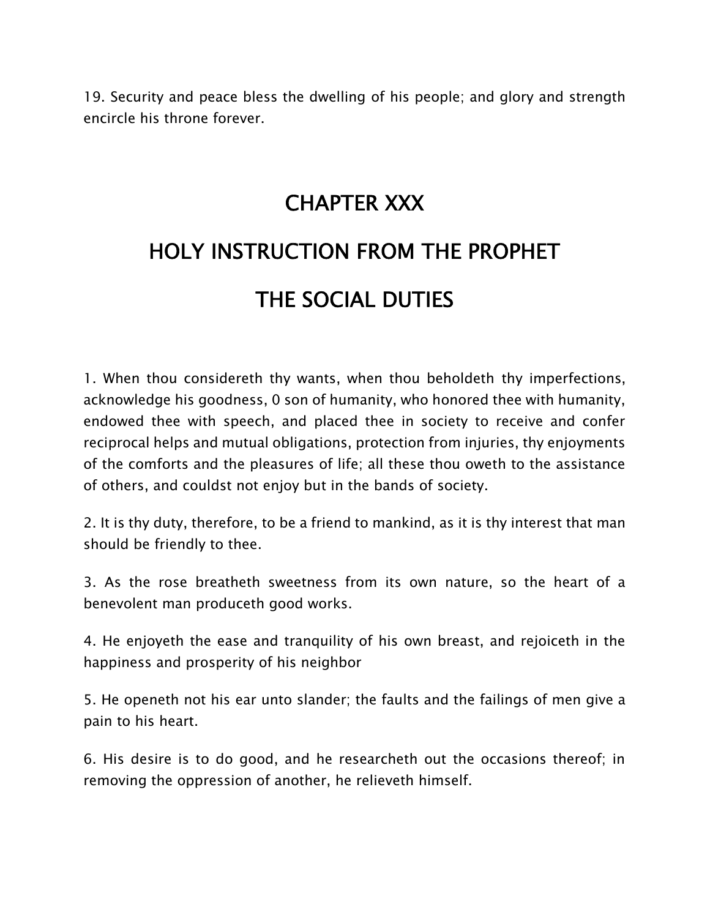19. Security and peace bless the dwelling of his people; and glory and strength encircle his throne forever.

### **CHAPTER XXX**

### **HOLY INSTRUCTION FROM THE PROPHET THE SOCIAL DUTIES**

1. When thou considereth thy wants, when thou beholdeth thy imperfections, acknowledge his goodness, 0 son of humanity, who honored thee with humanity, endowed thee with speech, and placed thee in society to receive and confer reciprocal helps and mutual obligations, protection from injuries, thy enjoyments of the comforts and the pleasures of life; all these thou oweth to the assistance of others, and couldst not enjoy but in the bands of society.

2. It is thy duty, therefore, to be a friend to mankind, as it is thy interest that man should be friendly to thee.

3. As the rose breatheth sweetness from its own nature, so the heart of a benevolent man produceth good works.

4. He enjoyeth the ease and tranquility of his own breast, and rejoiceth in the happiness and prosperity of his neighbor

5. He openeth not his ear unto slander; the faults and the failings of men give a pain to his heart.

6. His desire is to do good, and he researcheth out the occasions thereof; in removing the oppression of another, he relieveth himself.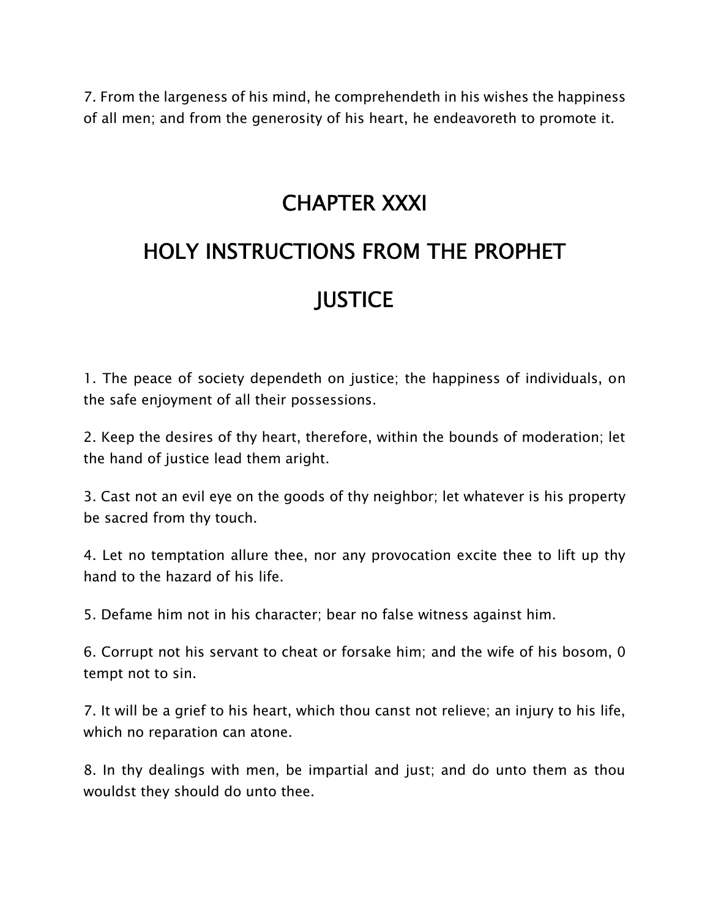7. From the largeness of his mind, he comprehendeth in his wishes the happiness of all men; and from the generosity of his heart, he endeavoreth to promote it.

#### **CHAPTER XXXI**

### **HOLY INSTRUCTIONS FROM THE PROPHET JUSTICE**

1. The peace of society dependeth on justice; the happiness of individuals, on the safe enjoyment of all their possessions.

2. Keep the desires of thy heart, therefore, within the bounds of moderation; let the hand of justice lead them aright.

3. Cast not an evil eye on the goods of thy neighbor; let whatever is his property be sacred from thy touch.

4. Let no temptation allure thee, nor any provocation excite thee to lift up thy hand to the hazard of his life.

5. Defame him not in his character; bear no false witness against him.

6. Corrupt not his servant to cheat or forsake him; and the wife of his bosom, 0 tempt not to sin.

7. It will be a grief to his heart, which thou canst not relieve; an injury to his life, which no reparation can atone.

8. In thy dealings with men, be impartial and just; and do unto them as thou wouldst they should do unto thee.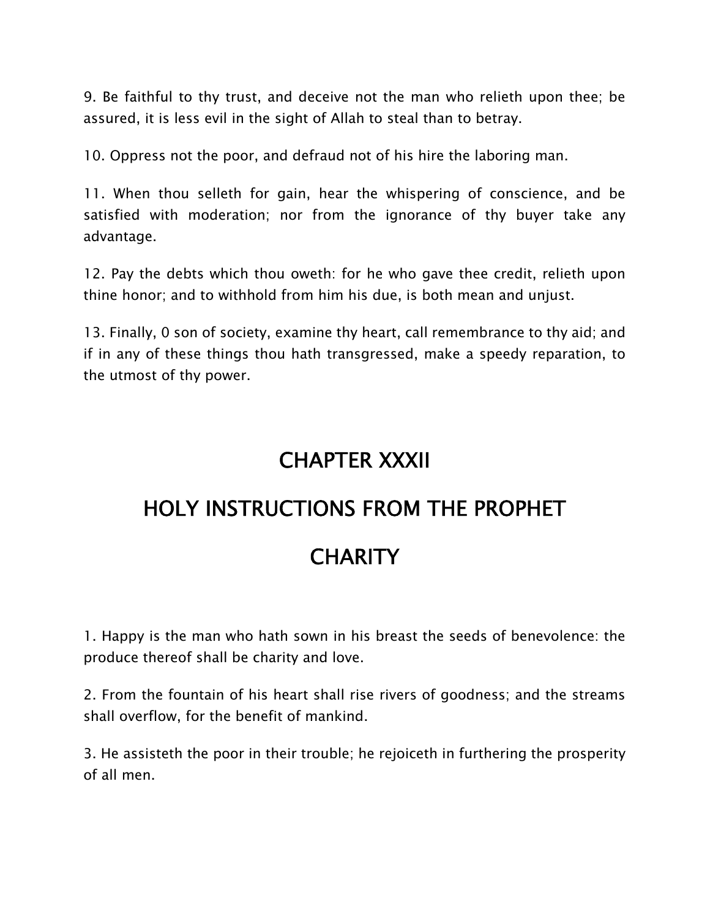9. Be faithful to thy trust, and deceive not the man who relieth upon thee; be assured, it is less evil in the sight of Allah to steal than to betray.

10. Oppress not the poor, and defraud not of his hire the laboring man.

11. When thou selleth for gain, hear the whispering of conscience, and be satisfied with moderation; nor from the ignorance of thy buyer take any advantage.

12. Pay the debts which thou oweth: for he who gave thee credit, relieth upon thine honor; and to withhold from him his due, is both mean and unjust.

13. Finally, 0 son of society, examine thy heart, call remembrance to thy aid; and if in any of these things thou hath transgressed, make a speedy reparation, to the utmost of thy power.

### **CHAPTER XXXII**

# **HOLY INSTRUCTIONS FROM THE PROPHET**

### **CHARITY**

1. Happy is the man who hath sown in his breast the seeds of benevolence: the produce thereof shall be charity and love.

2. From the fountain of his heart shall rise rivers of goodness; and the streams shall overflow, for the benefit of mankind.

3. He assisteth the poor in their trouble; he rejoiceth in furthering the prosperity of all men.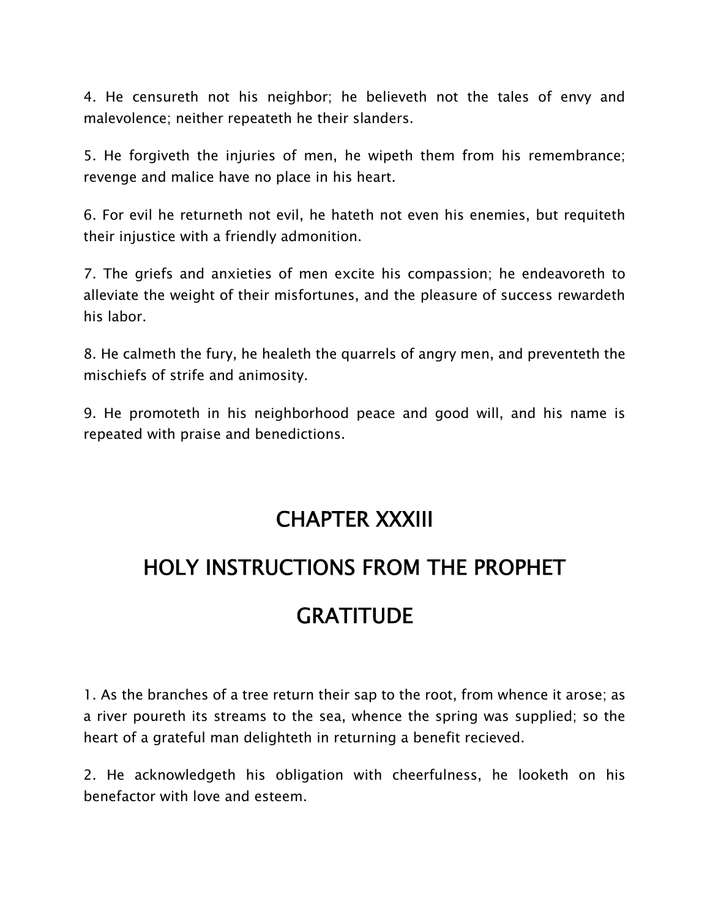4. He censureth not his neighbor; he believeth not the tales of envy and malevolence; neither repeateth he their slanders.

5. He forgiveth the injuries of men, he wipeth them from his remembrance; revenge and malice have no place in his heart.

6. For evil he returneth not evil, he hateth not even his enemies, but requiteth their injustice with a friendly admonition.

7. The griefs and anxieties of men excite his compassion; he endeavoreth to alleviate the weight of their misfortunes, and the pleasure of success rewardeth his labor.

8. He calmeth the fury, he healeth the quarrels of angry men, and preventeth the mischiefs of strife and animosity.

9. He promoteth in his neighborhood peace and good will, and his name is repeated with praise and benedictions.

### **CHAPTER XXXIII**

### **HOLY INSTRUCTIONS FROM THE PROPHET**

### **GRATITUDE**

1. As the branches of a tree return their sap to the root, from whence it arose; as a river poureth its streams to the sea, whence the spring was supplied; so the heart of a grateful man delighteth in returning a benefit recieved.

2. He acknowledgeth his obligation with cheerfulness, he looketh on his benefactor with love and esteem.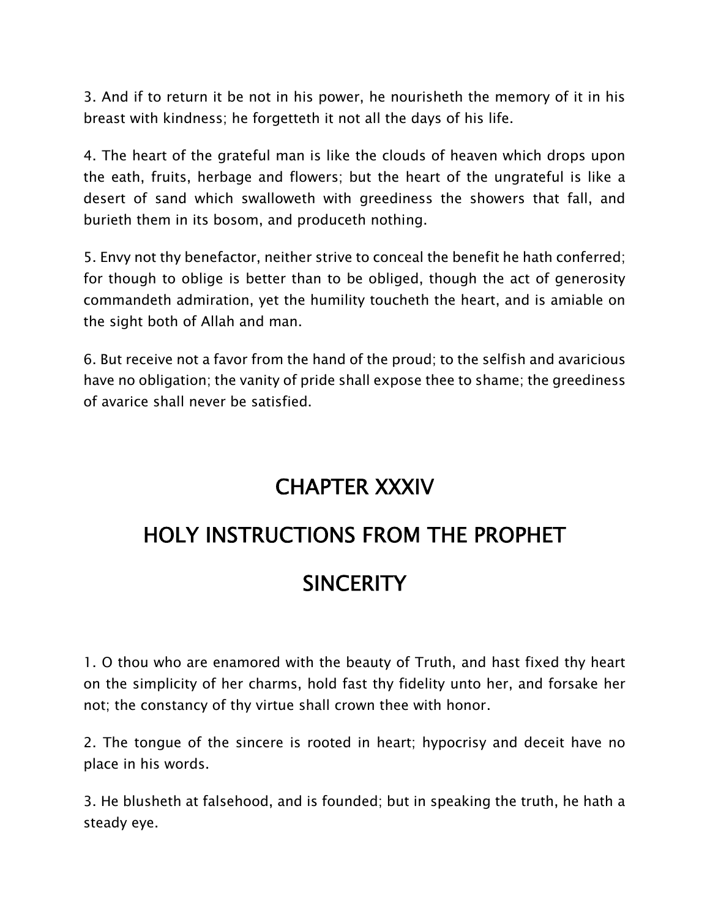3. And if to return it be not in his power, he nourisheth the memory of it in his breast with kindness; he forgetteth it not all the days of his life.

4. The heart of the grateful man is like the clouds of heaven which drops upon the eath, fruits, herbage and flowers; but the heart of the ungrateful is like a desert of sand which swalloweth with greediness the showers that fall, and burieth them in its bosom, and produceth nothing.

5. Envy not thy benefactor, neither strive to conceal the benefit he hath conferred; for though to oblige is better than to be obliged, though the act of generosity commandeth admiration, yet the humility toucheth the heart, and is amiable on the sight both of Allah and man.

6. But receive not a favor from the hand of the proud; to the selfish and avaricious have no obligation; the vanity of pride shall expose thee to shame; the greediness of avarice shall never be satisfied.

### **CHAPTER XXXIV**

### **HOLY INSTRUCTIONS FROM THE PROPHET**

### **SINCERITY**

1. O thou who are enamored with the beauty of Truth, and hast fixed thy heart on the simplicity of her charms, hold fast thy fidelity unto her, and forsake her not; the constancy of thy virtue shall crown thee with honor.

2. The tongue of the sincere is rooted in heart; hypocrisy and deceit have no place in his words.

3. He blusheth at falsehood, and is founded; but in speaking the truth, he hath a steady eye.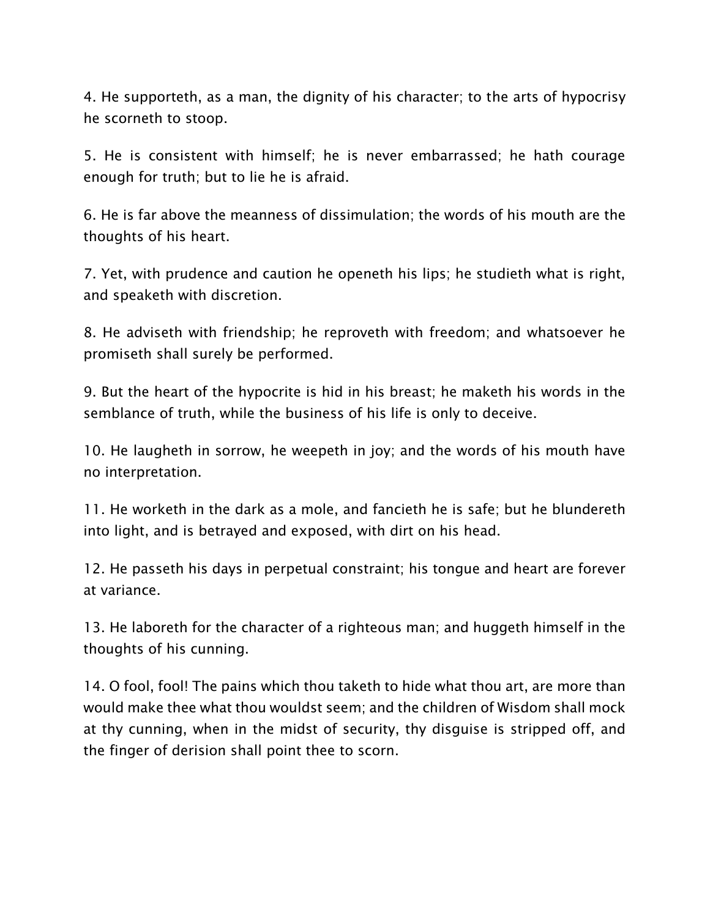4. He supporteth, as a man, the dignity of his character; to the arts of hypocrisy he scorneth to stoop.

5. He is consistent with himself; he is never embarrassed; he hath courage enough for truth; but to lie he is afraid.

6. He is far above the meanness of dissimulation; the words of his mouth are the thoughts of his heart.

7. Yet, with prudence and caution he openeth his lips; he studieth what is right, and speaketh with discretion.

8. He adviseth with friendship; he reproveth with freedom; and whatsoever he promiseth shall surely be performed.

9. But the heart of the hypocrite is hid in his breast; he maketh his words in the semblance of truth, while the business of his life is only to deceive.

10. He laugheth in sorrow, he weepeth in joy; and the words of his mouth have no interpretation.

11. He worketh in the dark as a mole, and fancieth he is safe; but he blundereth into light, and is betrayed and exposed, with dirt on his head.

12. He passeth his days in perpetual constraint; his tongue and heart are forever at variance.

13. He laboreth for the character of a righteous man; and huggeth himself in the thoughts of his cunning.

14. O fool, fool! The pains which thou taketh to hide what thou art, are more than would make thee what thou wouldst seem; and the children of Wisdom shall mock at thy cunning, when in the midst of security, thy disguise is stripped off, and the finger of derision shall point thee to scorn.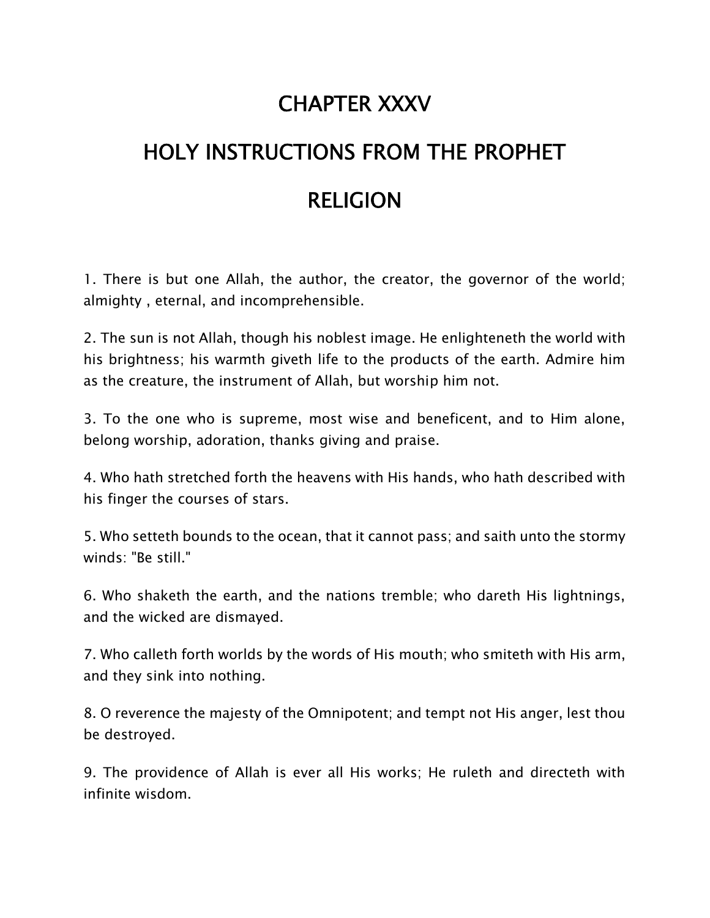### **CHAPTER XXXV**

### **HOLY INSTRUCTIONS FROM THE PROPHET RELIGION**

1. There is but one Allah, the author, the creator, the governor of the world; almighty , eternal, and incomprehensible.

2. The sun is not Allah, though his noblest image. He enlighteneth the world with his brightness; his warmth giveth life to the products of the earth. Admire him as the creature, the instrument of Allah, but worship him not.

3. To the one who is supreme, most wise and beneficent, and to Him alone, belong worship, adoration, thanks giving and praise.

4. Who hath stretched forth the heavens with His hands, who hath described with his finger the courses of stars.

5. Who setteth bounds to the ocean, that it cannot pass; and saith unto the stormy winds: "Be still."

6. Who shaketh the earth, and the nations tremble; who dareth His lightnings, and the wicked are dismayed.

7. Who calleth forth worlds by the words of His mouth; who smiteth with His arm, and they sink into nothing.

8. O reverence the majesty of the Omnipotent; and tempt not His anger, lest thou be destroyed.

9. The providence of Allah is ever all His works; He ruleth and directeth with infinite wisdom.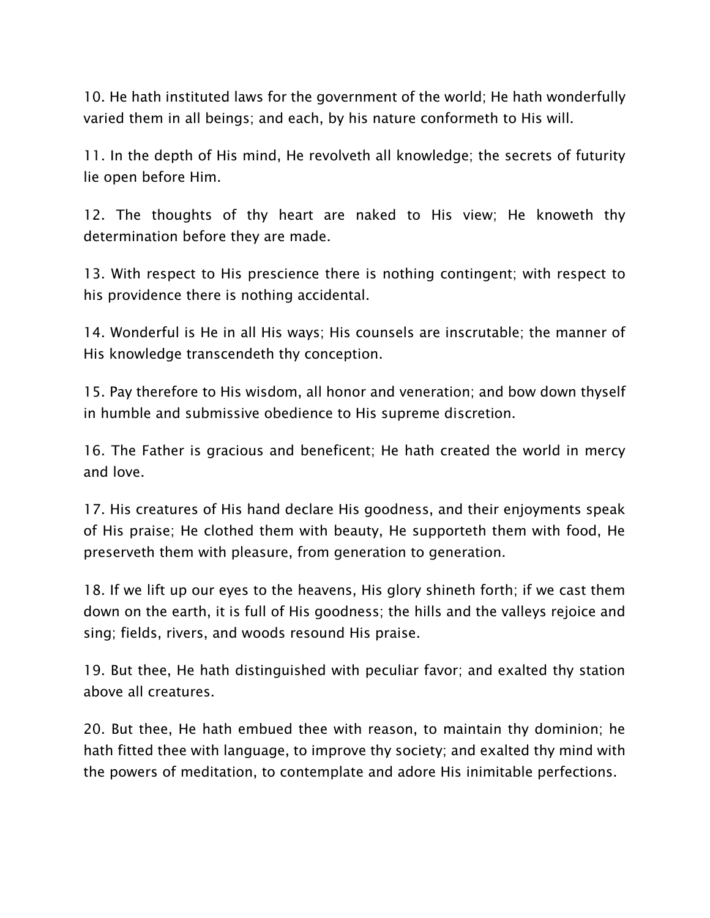10. He hath instituted laws for the government of the world; He hath wonderfully varied them in all beings; and each, by his nature conformeth to His will.

11. In the depth of His mind, He revolveth all knowledge; the secrets of futurity lie open before Him.

12. The thoughts of thy heart are naked to His view; He knoweth thy determination before they are made.

13. With respect to His prescience there is nothing contingent; with respect to his providence there is nothing accidental.

14. Wonderful is He in all His ways; His counsels are inscrutable; the manner of His knowledge transcendeth thy conception.

15. Pay therefore to His wisdom, all honor and veneration; and bow down thyself in humble and submissive obedience to His supreme discretion.

16. The Father is gracious and beneficent; He hath created the world in mercy and love.

17. His creatures of His hand declare His goodness, and their enjoyments speak of His praise; He clothed them with beauty, He supporteth them with food, He preserveth them with pleasure, from generation to generation.

18. If we lift up our eyes to the heavens, His glory shineth forth; if we cast them down on the earth, it is full of His goodness; the hills and the valleys rejoice and sing; fields, rivers, and woods resound His praise.

19. But thee, He hath distinguished with peculiar favor; and exalted thy station above all creatures.

20. But thee, He hath embued thee with reason, to maintain thy dominion; he hath fitted thee with language, to improve thy society; and exalted thy mind with the powers of meditation, to contemplate and adore His inimitable perfections.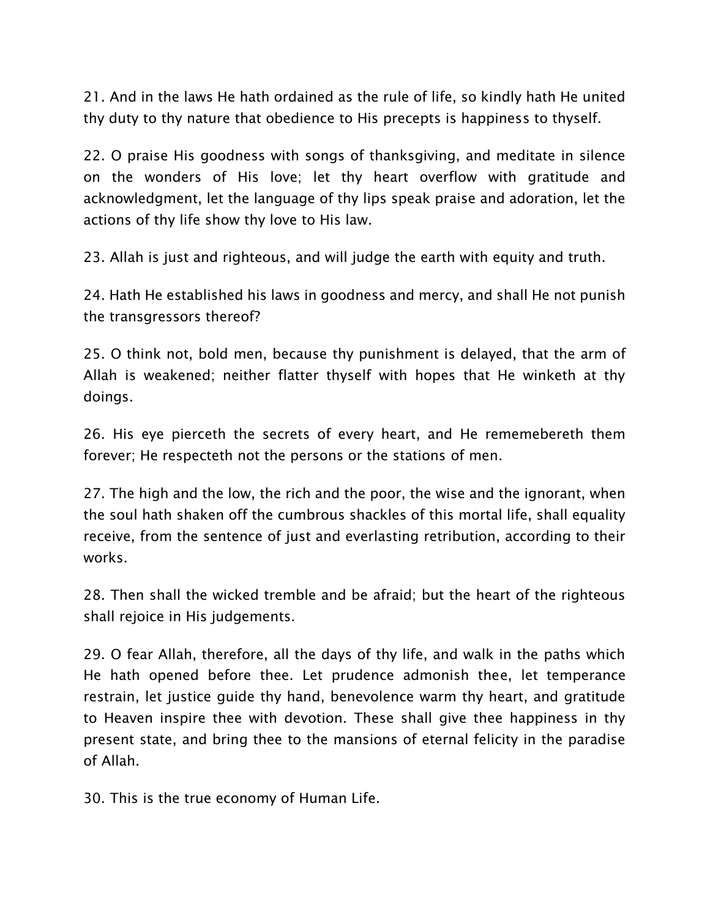21. And in the laws He hath ordained as the rule of life, so kindly hath He united thy duty to thy nature that obedience to His precepts is happiness to thyself.

22. O praise His goodness with songs of thanksgiving, and meditate in silence on the wonders of His love; let thy heart overflow with gratitude and acknowledgment, let the language of thy lips speak praise and adoration, let the actions of thy life show thy love to His law.

23. Allah is just and righteous, and will judge the earth with equity and truth.

24. Hath He established his laws in goodness and mercy, and shall He not punish the transgressors thereof?

25. O think not, bold men, because thy punishment is delayed, that the arm of Allah is weakened; neither flatter thyself with hopes that He winketh at thy doings.

26. His eye pierceth the secrets of every heart, and He rememebereth them forever; He respecteth not the persons or the stations of men.

27. The high and the low, the rich and the poor, the wise and the ignorant, when the soul hath shaken off the cumbrous shackles of this mortal life, shall equality receive, from the sentence of just and everlasting retribution, according to their works.

28. Then shall the wicked tremble and be afraid; but the heart of the righteous shall rejoice in His judgements.

29. O fear Allah, therefore, all the days of thy life, and walk in the paths which He hath opened before thee. Let prudence admonish thee, let temperance restrain, let justice guide thy hand, benevolence warm thy heart, and gratitude to Heaven inspire thee with devotion. These shall give thee happiness in thy present state, and bring thee to the mansions of eternal felicity in the paradise of Allah.

30. This is the true economy of Human Life.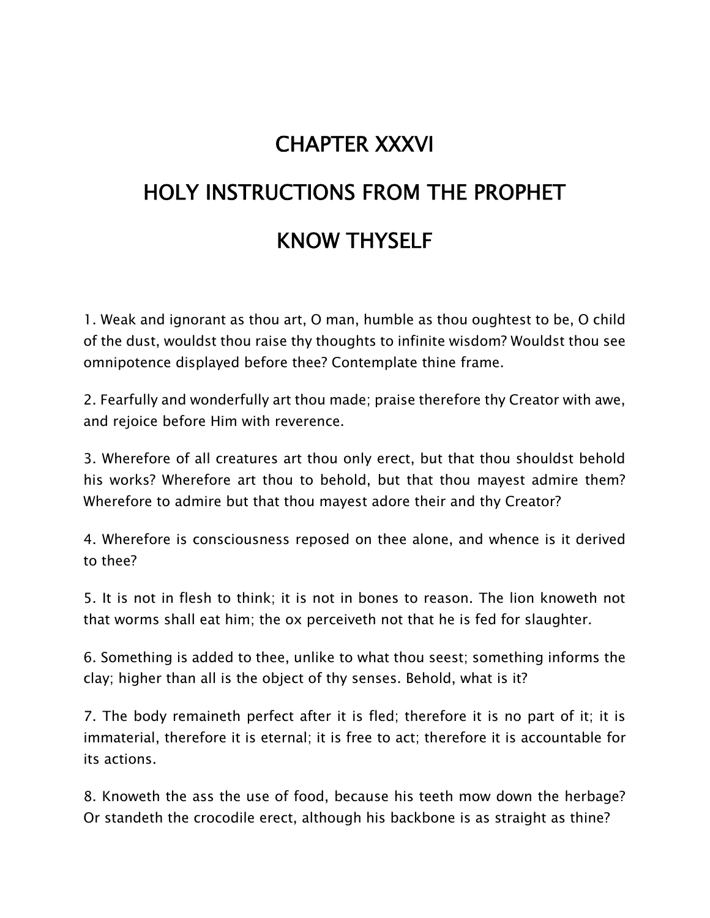### **CHAPTER XXXVI**

## **HOLY INSTRUCTIONS FROM THE PROPHET KNOW THYSELF**

1. Weak and ignorant as thou art, O man, humble as thou oughtest to be, O child of the dust, wouldst thou raise thy thoughts to infinite wisdom? Wouldst thou see omnipotence displayed before thee? Contemplate thine frame.

2. Fearfully and wonderfully art thou made; praise therefore thy Creator with awe, and rejoice before Him with reverence.

3. Wherefore of all creatures art thou only erect, but that thou shouldst behold his works? Wherefore art thou to behold, but that thou mayest admire them? Wherefore to admire but that thou mayest adore their and thy Creator?

4. Wherefore is consciousness reposed on thee alone, and whence is it derived to thee?

5. It is not in flesh to think; it is not in bones to reason. The lion knoweth not that worms shall eat him; the ox perceiveth not that he is fed for slaughter.

6. Something is added to thee, unlike to what thou seest; something informs the clay; higher than all is the object of thy senses. Behold, what is it?

7. The body remaineth perfect after it is fled; therefore it is no part of it; it is immaterial, therefore it is eternal; it is free to act; therefore it is accountable for its actions.

8. Knoweth the ass the use of food, because his teeth mow down the herbage? Or standeth the crocodile erect, although his backbone is as straight as thine?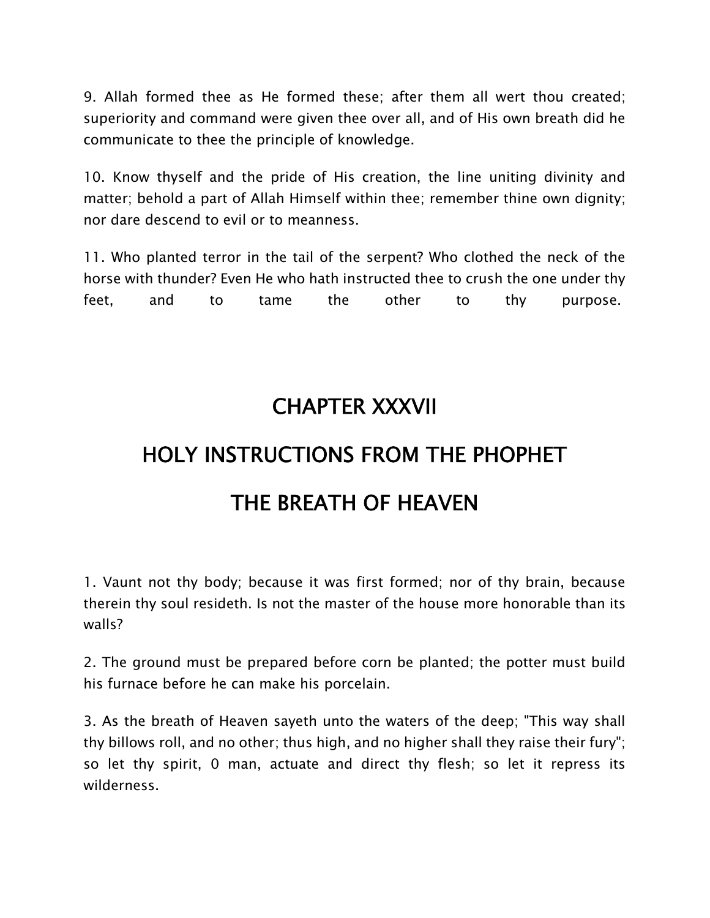9. Allah formed thee as He formed these; after them all wert thou created; superiority and command were given thee over all, and of His own breath did he communicate to thee the principle of knowledge.

10. Know thyself and the pride of His creation, the line uniting divinity and matter; behold a part of Allah Himself within thee; remember thine own dignity; nor dare descend to evil or to meanness.

11. Who planted terror in the tail of the serpent? Who clothed the neck of the horse with thunder? Even He who hath instructed thee to crush the one under thy feet, and to tame the other to thy purpose.

### **CHAPTER XXXVII**

### **HOLY INSTRUCTIONS FROM THE PHOPHET THE BREATH OF HEAVEN**

1. Vaunt not thy body; because it was first formed; nor of thy brain, because therein thy soul resideth. Is not the master of the house more honorable than its walls?

2. The ground must be prepared before corn be planted; the potter must build his furnace before he can make his porcelain.

3. As the breath of Heaven sayeth unto the waters of the deep; "This way shall thy billows roll, and no other; thus high, and no higher shall they raise their fury"; so let thy spirit, 0 man, actuate and direct thy flesh; so let it repress its wilderness.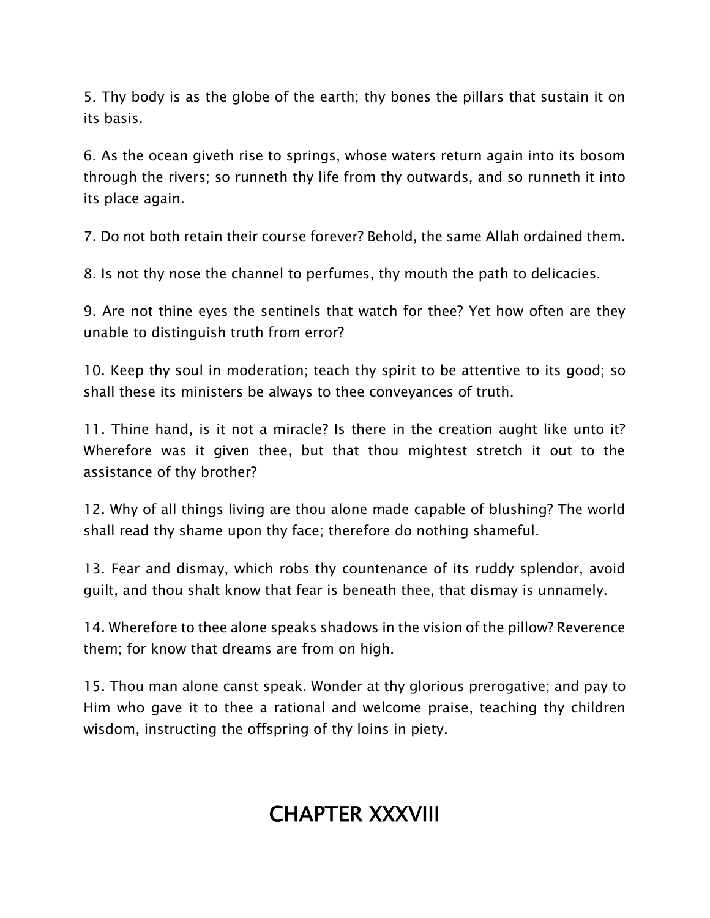5. Thy body is as the globe of the earth; thy bones the pillars that sustain it on its basis.

6. As the ocean giveth rise to springs, whose waters return again into its bosom through the rivers; so runneth thy life from thy outwards, and so runneth it into its place again.

7. Do not both retain their course forever? Behold, the same Allah ordained them.

8. Is not thy nose the channel to perfumes, thy mouth the path to delicacies.

9. Are not thine eyes the sentinels that watch for thee? Yet how often are they unable to distinguish truth from error?

10. Keep thy soul in moderation; teach thy spirit to be attentive to its good; so shall these its ministers be always to thee conveyances of truth.

11. Thine hand, is it not a miracle? Is there in the creation aught like unto it? Wherefore was it given thee, but that thou mightest stretch it out to the assistance of thy brother?

12. Why of all things living are thou alone made capable of blushing? The world shall read thy shame upon thy face; therefore do nothing shameful.

13. Fear and dismay, which robs thy countenance of its ruddy splendor, avoid guilt, and thou shalt know that fear is beneath thee, that dismay is unnamely.

14. Wherefore to thee alone speaks shadows in the vision of the pillow? Reverence them; for know that dreams are from on high.

15. Thou man alone canst speak. Wonder at thy glorious prerogative; and pay to Him who gave it to thee a rational and welcome praise, teaching thy children wisdom, instructing the offspring of thy loins in piety.

### **CHAPTER XXXVIII**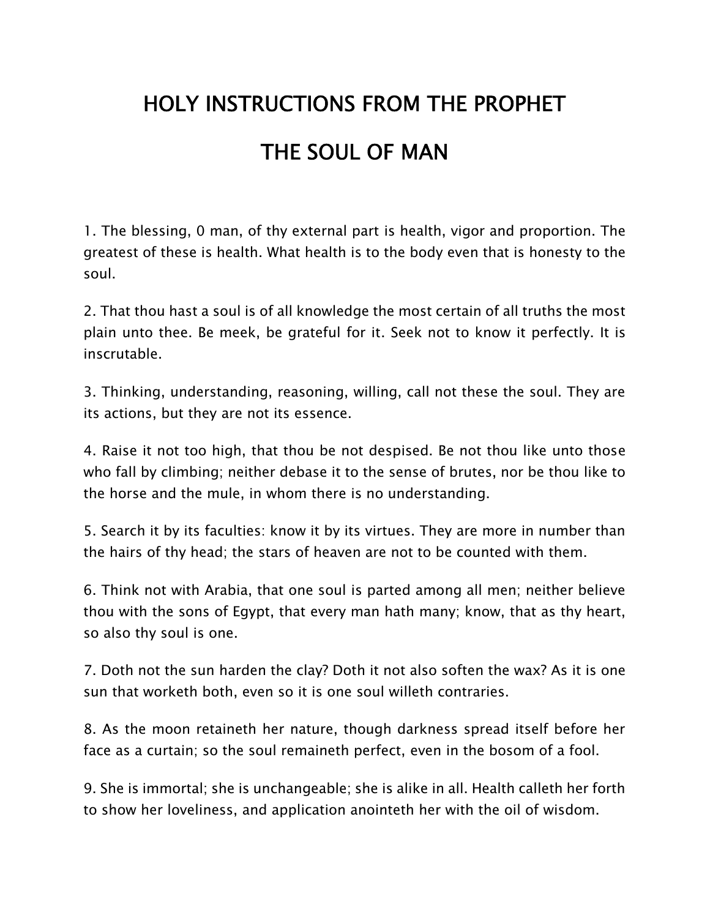# **HOLY INSTRUCTIONS FROM THE PROPHET THE SOUL OF MAN**

1. The blessing, 0 man, of thy external part is health, vigor and proportion. The greatest of these is health. What health is to the body even that is honesty to the soul.

2. That thou hast a soul is of all knowledge the most certain of all truths the most plain unto thee. Be meek, be grateful for it. Seek not to know it perfectly. It is inscrutable.

3. Thinking, understanding, reasoning, willing, call not these the soul. They are its actions, but they are not its essence.

4. Raise it not too high, that thou be not despised. Be not thou like unto those who fall by climbing; neither debase it to the sense of brutes, nor be thou like to the horse and the mule, in whom there is no understanding.

5. Search it by its faculties: know it by its virtues. They are more in number than the hairs of thy head; the stars of heaven are not to be counted with them.

6. Think not with Arabia, that one soul is parted among all men; neither believe thou with the sons of Egypt, that every man hath many; know, that as thy heart, so also thy soul is one.

7. Doth not the sun harden the clay? Doth it not also soften the wax? As it is one sun that worketh both, even so it is one soul willeth contraries.

8. As the moon retaineth her nature, though darkness spread itself before her face as a curtain; so the soul remaineth perfect, even in the bosom of a fool.

9. She is immortal; she is unchangeable; she is alike in all. Health calleth her forth to show her loveliness, and application anointeth her with the oil of wisdom.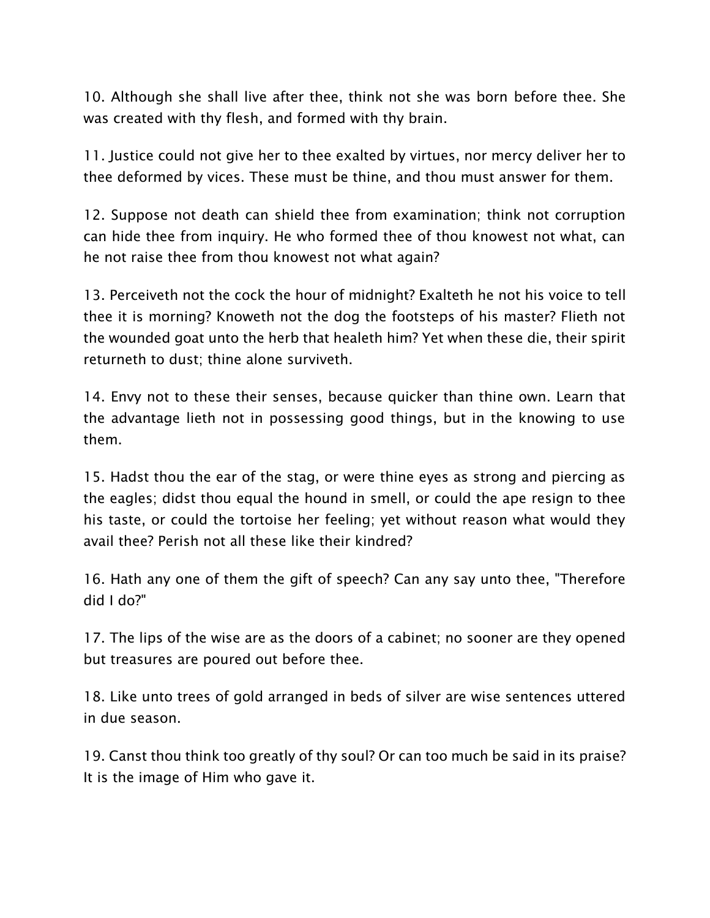10. Although she shall live after thee, think not she was born before thee. She was created with thy flesh, and formed with thy brain.

11. Justice could not give her to thee exalted by virtues, nor mercy deliver her to thee deformed by vices. These must be thine, and thou must answer for them.

12. Suppose not death can shield thee from examination; think not corruption can hide thee from inquiry. He who formed thee of thou knowest not what, can he not raise thee from thou knowest not what again?

13. Perceiveth not the cock the hour of midnight? Exalteth he not his voice to tell thee it is morning? Knoweth not the dog the footsteps of his master? Flieth not the wounded goat unto the herb that healeth him? Yet when these die, their spirit returneth to dust; thine alone surviveth.

14. Envy not to these their senses, because quicker than thine own. Learn that the advantage lieth not in possessing good things, but in the knowing to use them.

15. Hadst thou the ear of the stag, or were thine eyes as strong and piercing as the eagles; didst thou equal the hound in smell, or could the ape resign to thee his taste, or could the tortoise her feeling; yet without reason what would they avail thee? Perish not all these like their kindred?

16. Hath any one of them the gift of speech? Can any say unto thee, "Therefore did I do?"

17. The lips of the wise are as the doors of a cabinet; no sooner are they opened but treasures are poured out before thee.

18. Like unto trees of gold arranged in beds of silver are wise sentences uttered in due season.

19. Canst thou think too greatly of thy soul? Or can too much be said in its praise? It is the image of Him who gave it.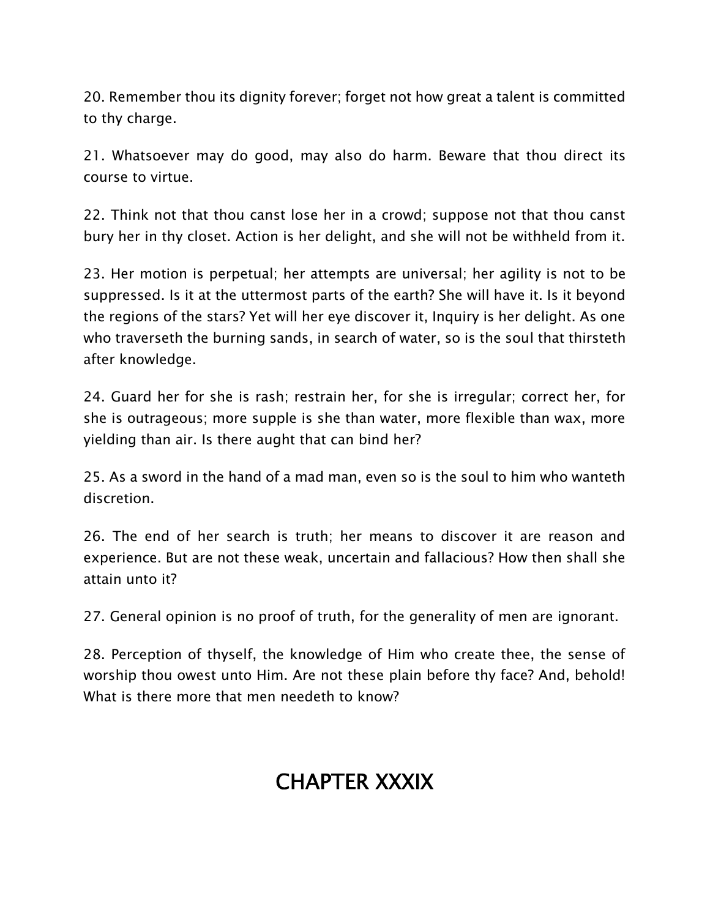20. Remember thou its dignity forever; forget not how great a talent is committed to thy charge.

21. Whatsoever may do good, may also do harm. Beware that thou direct its course to virtue.

22. Think not that thou canst lose her in a crowd; suppose not that thou canst bury her in thy closet. Action is her delight, and she will not be withheld from it.

23. Her motion is perpetual; her attempts are universal; her agility is not to be suppressed. Is it at the uttermost parts of the earth? She will have it. Is it beyond the regions of the stars? Yet will her eye discover it, Inquiry is her delight. As one who traverseth the burning sands, in search of water, so is the soul that thirsteth after knowledge.

24. Guard her for she is rash; restrain her, for she is irregular; correct her, for she is outrageous; more supple is she than water, more flexible than wax, more yielding than air. Is there aught that can bind her?

25. As a sword in the hand of a mad man, even so is the soul to him who wanteth discretion.

26. The end of her search is truth; her means to discover it are reason and experience. But are not these weak, uncertain and fallacious? How then shall she attain unto it?

27. General opinion is no proof of truth, for the generality of men are ignorant.

28. Perception of thyself, the knowledge of Him who create thee, the sense of worship thou owest unto Him. Are not these plain before thy face? And, behold! What is there more that men needeth to know?

### **CHAPTER XXXIX**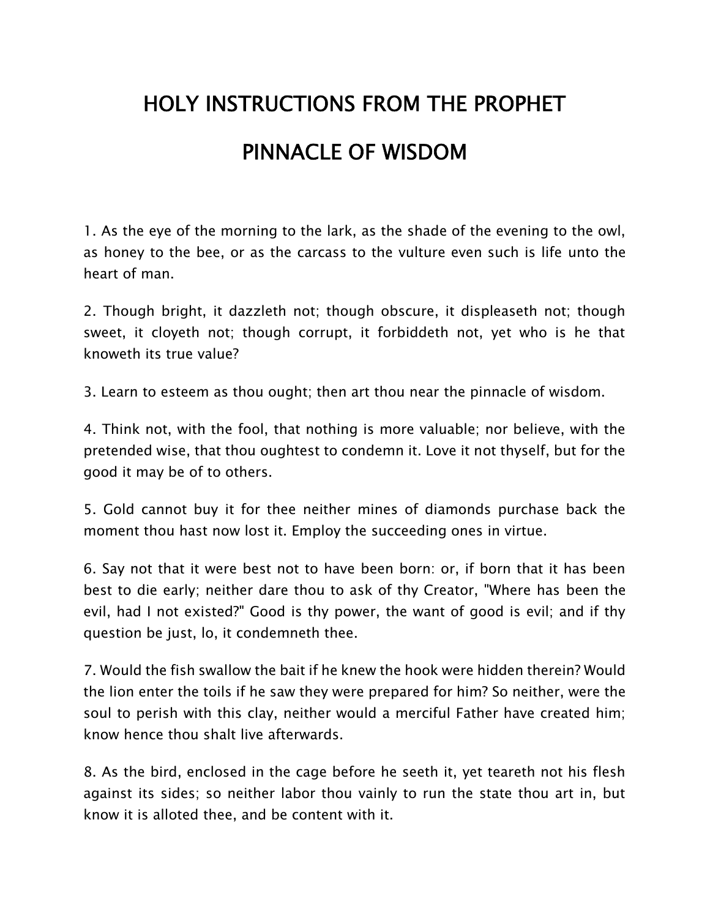# **HOLY INSTRUCTIONS FROM THE PROPHET PINNACLE OF WISDOM**

1. As the eye of the morning to the lark, as the shade of the evening to the owl, as honey to the bee, or as the carcass to the vulture even such is life unto the heart of man.

2. Though bright, it dazzleth not; though obscure, it displeaseth not; though sweet, it cloyeth not; though corrupt, it forbiddeth not, yet who is he that knoweth its true value?

3. Learn to esteem as thou ought; then art thou near the pinnacle of wisdom.

4. Think not, with the fool, that nothing is more valuable; nor believe, with the pretended wise, that thou oughtest to condemn it. Love it not thyself, but for the good it may be of to others.

5. Gold cannot buy it for thee neither mines of diamonds purchase back the moment thou hast now lost it. Employ the succeeding ones in virtue.

6. Say not that it were best not to have been born: or, if born that it has been best to die early; neither dare thou to ask of thy Creator, "Where has been the evil, had I not existed?" Good is thy power, the want of good is evil; and if thy question be just, lo, it condemneth thee.

7. Would the fish swallow the bait if he knew the hook were hidden therein? Would the lion enter the toils if he saw they were prepared for him? So neither, were the soul to perish with this clay, neither would a merciful Father have created him; know hence thou shalt live afterwards.

8. As the bird, enclosed in the cage before he seeth it, yet teareth not his flesh against its sides; so neither labor thou vainly to run the state thou art in, but know it is alloted thee, and be content with it.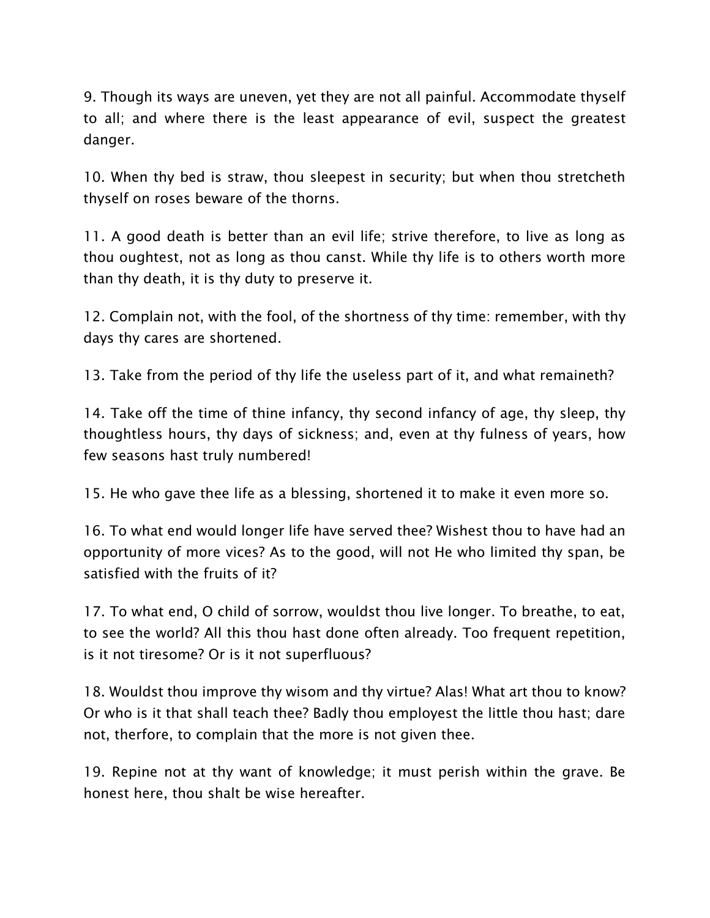9. Though its ways are uneven, yet they are not all painful. Accommodate thyself to all; and where there is the least appearance of evil, suspect the greatest danger.

10. When thy bed is straw, thou sleepest in security; but when thou stretcheth thyself on roses beware of the thorns.

11. A good death is better than an evil life; strive therefore, to live as long as thou oughtest, not as long as thou canst. While thy life is to others worth more than thy death, it is thy duty to preserve it.

12. Complain not, with the fool, of the shortness of thy time: remember, with thy days thy cares are shortened.

13. Take from the period of thy life the useless part of it, and what remaineth?

14. Take off the time of thine infancy, thy second infancy of age, thy sleep, thy thoughtless hours, thy days of sickness; and, even at thy fulness of years, how few seasons hast truly numbered!

15. He who gave thee life as a blessing, shortened it to make it even more so.

16. To what end would longer life have served thee? Wishest thou to have had an opportunity of more vices? As to the good, will not He who limited thy span, be satisfied with the fruits of it?

17. To what end, O child of sorrow, wouldst thou live longer. To breathe, to eat, to see the world? All this thou hast done often already. Too frequent repetition, is it not tiresome? Or is it not superfluous?

18. Wouldst thou improve thy wisom and thy virtue? Alas! What art thou to know? Or who is it that shall teach thee? Badly thou employest the little thou hast; dare not, therfore, to complain that the more is not given thee.

19. Repine not at thy want of knowledge; it must perish within the grave. Be honest here, thou shalt be wise hereafter.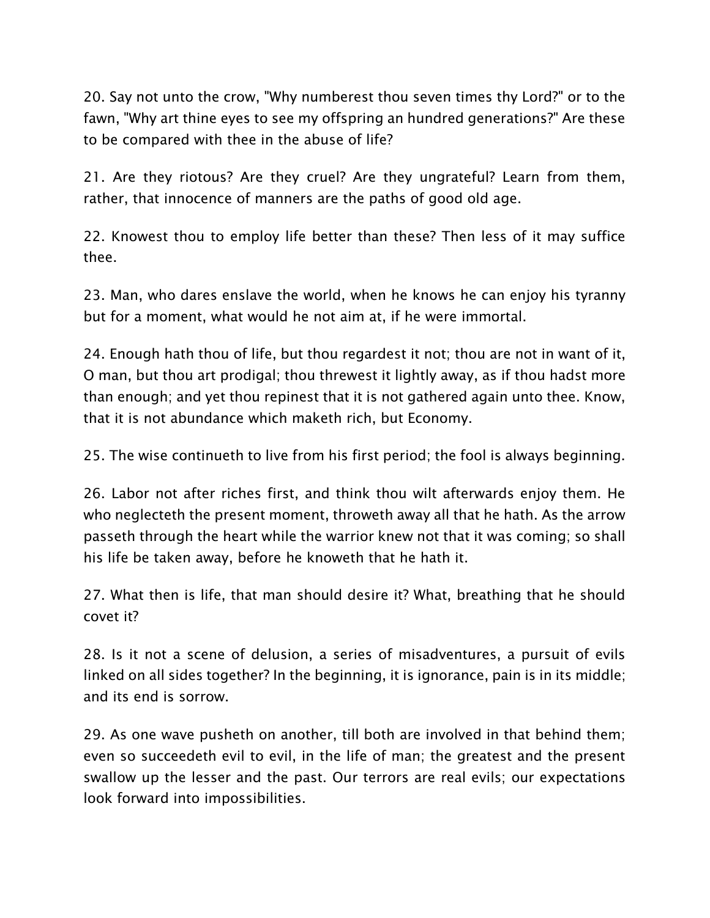20. Say not unto the crow, "Why numberest thou seven times thy Lord?" or to the fawn, "Why art thine eyes to see my offspring an hundred generations?" Are these to be compared with thee in the abuse of life?

21. Are they riotous? Are they cruel? Are they ungrateful? Learn from them, rather, that innocence of manners are the paths of good old age.

22. Knowest thou to employ life better than these? Then less of it may suffice thee.

23. Man, who dares enslave the world, when he knows he can enjoy his tyranny but for a moment, what would he not aim at, if he were immortal.

24. Enough hath thou of life, but thou regardest it not; thou are not in want of it, O man, but thou art prodigal; thou threwest it lightly away, as if thou hadst more than enough; and yet thou repinest that it is not gathered again unto thee. Know, that it is not abundance which maketh rich, but Economy.

25. The wise continueth to live from his first period; the fool is always beginning.

26. Labor not after riches first, and think thou wilt afterwards enjoy them. He who neglecteth the present moment, throweth away all that he hath. As the arrow passeth through the heart while the warrior knew not that it was coming; so shall his life be taken away, before he knoweth that he hath it.

27. What then is life, that man should desire it? What, breathing that he should covet it?

28. Is it not a scene of delusion, a series of misadventures, a pursuit of evils linked on all sides together? In the beginning, it is ignorance, pain is in its middle; and its end is sorrow.

29. As one wave pusheth on another, till both are involved in that behind them; even so succeedeth evil to evil, in the life of man; the greatest and the present swallow up the lesser and the past. Our terrors are real evils; our expectations look forward into impossibilities.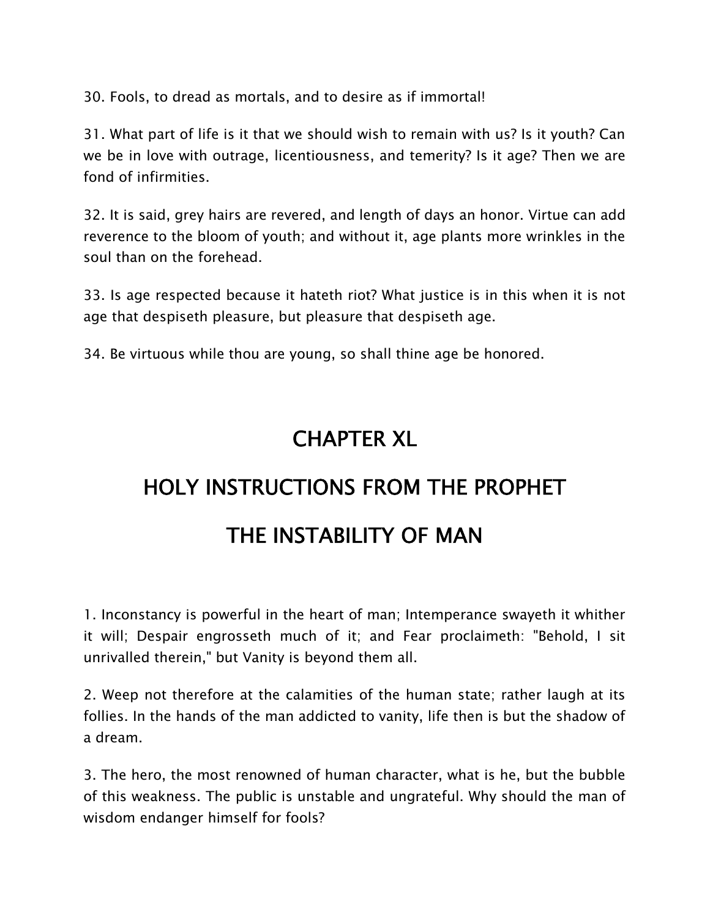30. Fools, to dread as mortals, and to desire as if immortal!

31. What part of life is it that we should wish to remain with us? Is it youth? Can we be in love with outrage, licentiousness, and temerity? Is it age? Then we are fond of infirmities.

32. It is said, grey hairs are revered, and length of days an honor. Virtue can add reverence to the bloom of youth; and without it, age plants more wrinkles in the soul than on the forehead.

33. Is age respected because it hateth riot? What justice is in this when it is not age that despiseth pleasure, but pleasure that despiseth age.

34. Be virtuous while thou are young, so shall thine age be honored.

### **CHAPTER XL**

# **HOLY INSTRUCTIONS FROM THE PROPHET THE INSTABILITY OF MAN**

1. Inconstancy is powerful in the heart of man; Intemperance swayeth it whither it will; Despair engrosseth much of it; and Fear proclaimeth: "Behold, I sit unrivalled therein," but Vanity is beyond them all.

2. Weep not therefore at the calamities of the human state; rather laugh at its follies. In the hands of the man addicted to vanity, life then is but the shadow of a dream.

3. The hero, the most renowned of human character, what is he, but the bubble of this weakness. The public is unstable and ungrateful. Why should the man of wisdom endanger himself for fools?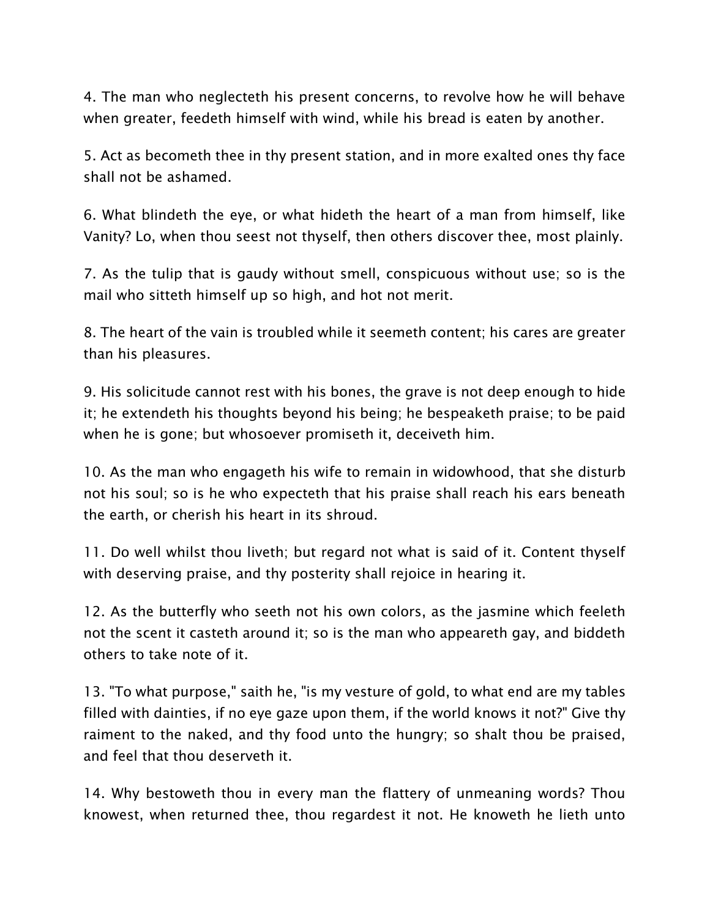4. The man who neglecteth his present concerns, to revolve how he will behave when greater, feedeth himself with wind, while his bread is eaten by another.

5. Act as becometh thee in thy present station, and in more exalted ones thy face shall not be ashamed.

6. What blindeth the eye, or what hideth the heart of a man from himself, like Vanity? Lo, when thou seest not thyself, then others discover thee, most plainly.

7. As the tulip that is gaudy without smell, conspicuous without use; so is the mail who sitteth himself up so high, and hot not merit.

8. The heart of the vain is troubled while it seemeth content; his cares are greater than his pleasures.

9. His solicitude cannot rest with his bones, the grave is not deep enough to hide it; he extendeth his thoughts beyond his being; he bespeaketh praise; to be paid when he is gone; but whosoever promiseth it, deceiveth him.

10. As the man who engageth his wife to remain in widowhood, that she disturb not his soul; so is he who expecteth that his praise shall reach his ears beneath the earth, or cherish his heart in its shroud.

11. Do well whilst thou liveth; but regard not what is said of it. Content thyself with deserving praise, and thy posterity shall rejoice in hearing it.

12. As the butterfly who seeth not his own colors, as the jasmine which feeleth not the scent it casteth around it; so is the man who appeareth gay, and biddeth others to take note of it.

13. "To what purpose," saith he, "is my vesture of gold, to what end are my tables filled with dainties, if no eye gaze upon them, if the world knows it not?" Give thy raiment to the naked, and thy food unto the hungry; so shalt thou be praised, and feel that thou deserveth it.

14. Why bestoweth thou in every man the flattery of unmeaning words? Thou knowest, when returned thee, thou regardest it not. He knoweth he lieth unto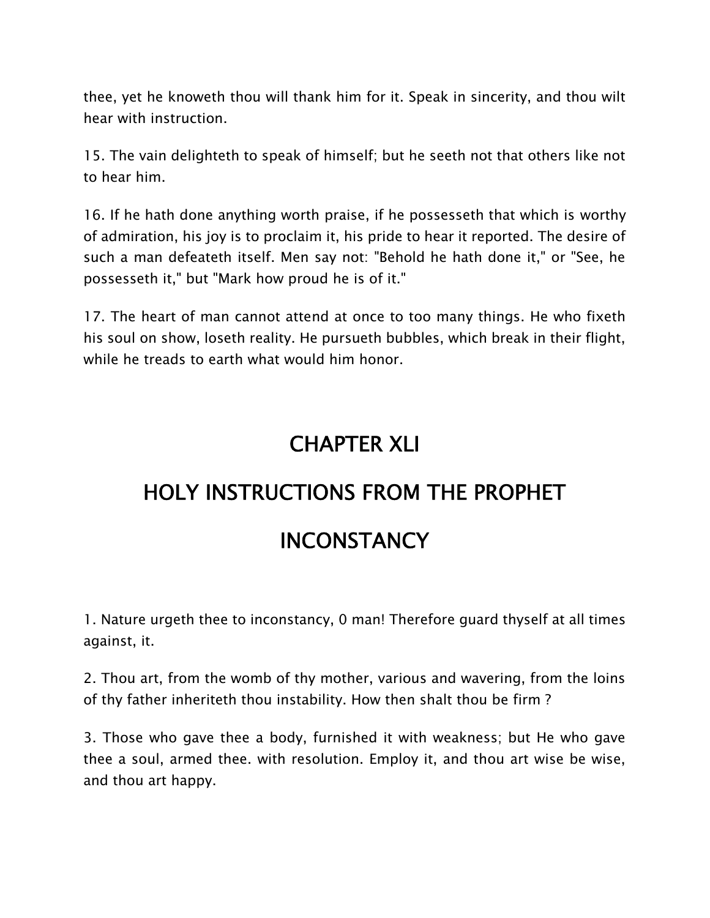thee, yet he knoweth thou will thank him for it. Speak in sincerity, and thou wilt hear with instruction.

15. The vain delighteth to speak of himself; but he seeth not that others like not to hear him.

16. If he hath done anything worth praise, if he possesseth that which is worthy of admiration, his joy is to proclaim it, his pride to hear it reported. The desire of such a man defeateth itself. Men say not: "Behold he hath done it," or "See, he possesseth it," but "Mark how proud he is of it."

17. The heart of man cannot attend at once to too many things. He who fixeth his soul on show, loseth reality. He pursueth bubbles, which break in their flight, while he treads to earth what would him honor.

### **CHAPTER XLI**

### **HOLY INSTRUCTIONS FROM THE PROPHET**

### **INCONSTANCY**

1. Nature urgeth thee to inconstancy, 0 man! Therefore guard thyself at all times against, it.

2. Thou art, from the womb of thy mother, various and wavering, from the loins of thy father inheriteth thou instability. How then shalt thou be firm ?

3. Those who gave thee a body, furnished it with weakness; but He who gave thee a soul, armed thee. with resolution. Employ it, and thou art wise be wise, and thou art happy.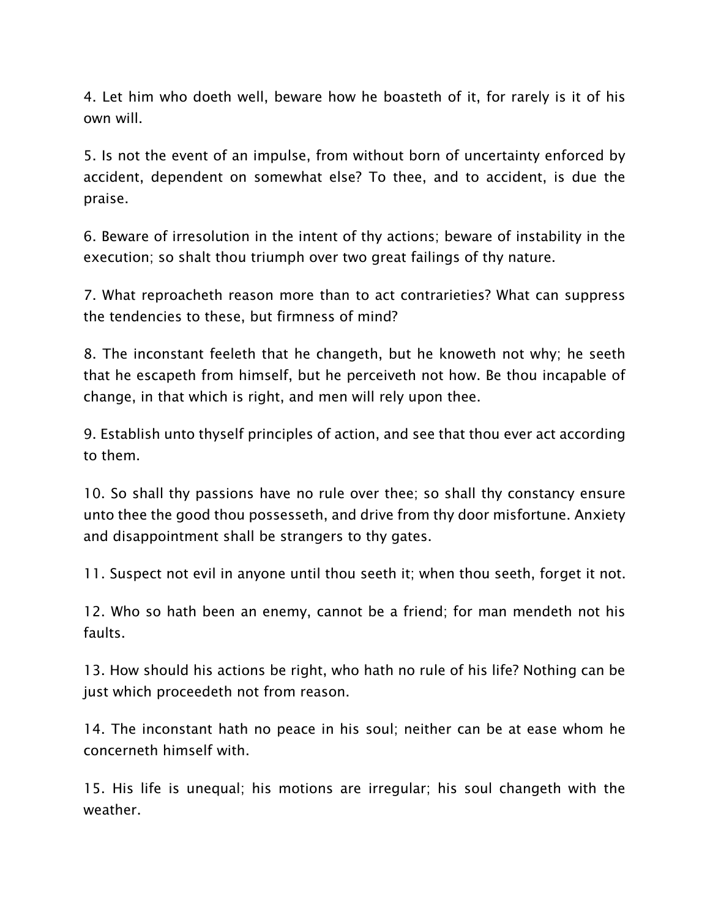4. Let him who doeth well, beware how he boasteth of it, for rarely is it of his own will.

5. Is not the event of an impulse, from without born of uncertainty enforced by accident, dependent on somewhat else? To thee, and to accident, is due the praise.

6. Beware of irresolution in the intent of thy actions; beware of instability in the execution; so shalt thou triumph over two great failings of thy nature.

7. What reproacheth reason more than to act contrarieties? What can suppress the tendencies to these, but firmness of mind?

8. The inconstant feeleth that he changeth, but he knoweth not why; he seeth that he escapeth from himself, but he perceiveth not how. Be thou incapable of change, in that which is right, and men will rely upon thee.

9. Establish unto thyself principles of action, and see that thou ever act according to them.

10. So shall thy passions have no rule over thee; so shall thy constancy ensure unto thee the good thou possesseth, and drive from thy door misfortune. Anxiety and disappointment shall be strangers to thy gates.

11. Suspect not evil in anyone until thou seeth it; when thou seeth, forget it not.

12. Who so hath been an enemy, cannot be a friend; for man mendeth not his faults.

13. How should his actions be right, who hath no rule of his life? Nothing can be just which proceedeth not from reason.

14. The inconstant hath no peace in his soul; neither can be at ease whom he concerneth himself with.

15. His life is unequal; his motions are irregular; his soul changeth with the weather.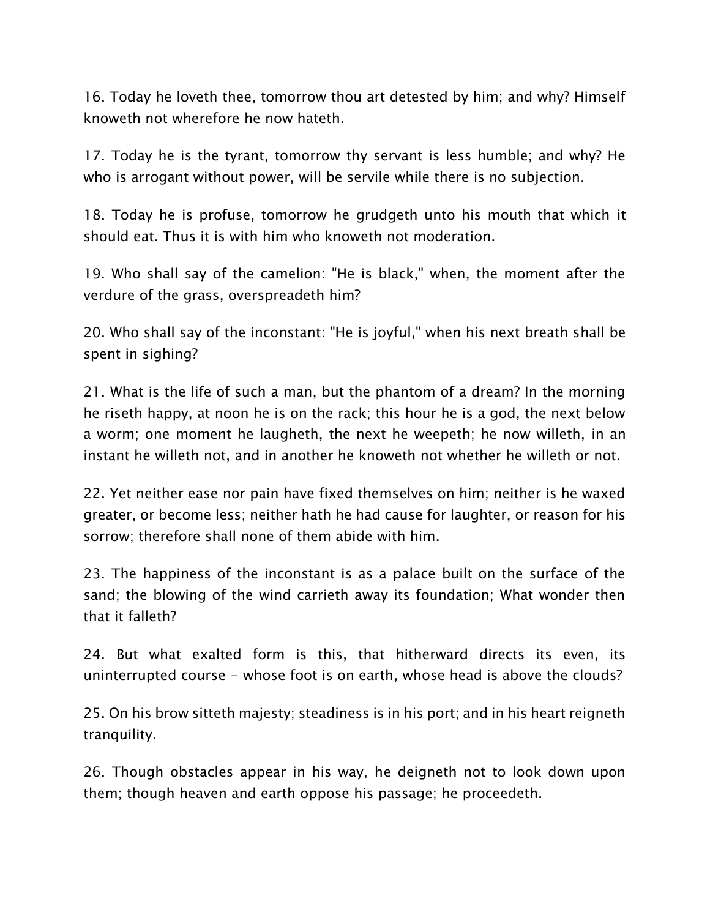16. Today he loveth thee, tomorrow thou art detested by him; and why? Himself knoweth not wherefore he now hateth.

17. Today he is the tyrant, tomorrow thy servant is less humble; and why? He who is arrogant without power, will be servile while there is no subjection.

18. Today he is profuse, tomorrow he grudgeth unto his mouth that which it should eat. Thus it is with him who knoweth not moderation.

19. Who shall say of the camelion: "He is black," when, the moment after the verdure of the grass, overspreadeth him?

20. Who shall say of the inconstant: "He is joyful," when his next breath shall be spent in sighing?

21. What is the life of such a man, but the phantom of a dream? In the morning he riseth happy, at noon he is on the rack; this hour he is a god, the next below a worm; one moment he laugheth, the next he weepeth; he now willeth, in an instant he willeth not, and in another he knoweth not whether he willeth or not.

22. Yet neither ease nor pain have fixed themselves on him; neither is he waxed greater, or become less; neither hath he had cause for laughter, or reason for his sorrow; therefore shall none of them abide with him.

23. The happiness of the inconstant is as a palace built on the surface of the sand; the blowing of the wind carrieth away its foundation; What wonder then that it falleth?

24. But what exalted form is this, that hitherward directs its even, its uninterrupted course - whose foot is on earth, whose head is above the clouds?

25. On his brow sitteth majesty; steadiness is in his port; and in his heart reigneth tranquility.

26. Though obstacles appear in his way, he deigneth not to look down upon them; though heaven and earth oppose his passage; he proceedeth.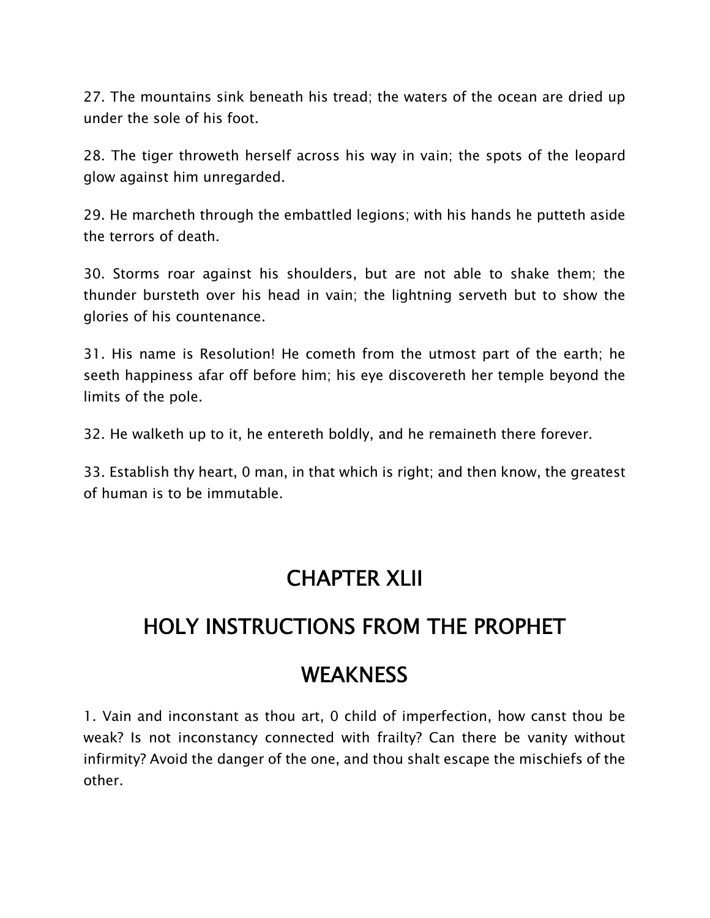27. The mountains sink beneath his tread; the waters of the ocean are dried up under the sole of his foot.

28. The tiger throweth herself across his way in vain; the spots of the leopard glow against him unregarded.

29. He marcheth through the embattled legions; with his hands he putteth aside the terrors of death.

30. Storms roar against his shoulders, but are not able to shake them; the thunder bursteth over his head in vain; the lightning serveth but to show the glories of his countenance.

31. His name is Resolution! He cometh from the utmost part of the earth; he seeth happiness afar off before him; his eye discovereth her temple beyond the limits of the pole.

32. He walketh up to it, he entereth boldly, and he remaineth there forever.

33. Establish thy heart, 0 man, in that which is right; and then know, the greatest of human is to be immutable.

#### **CHAPTER XLII**

### **HOLY INSTRUCTIONS FROM THE PROPHET**

### **WEAKNESS**

1. Vain and inconstant as thou art, 0 child of imperfection, how canst thou be weak? Is not inconstancy connected with frailty? Can there be vanity without infirmity? Avoid the danger of the one, and thou shalt escape the mischiefs of the other.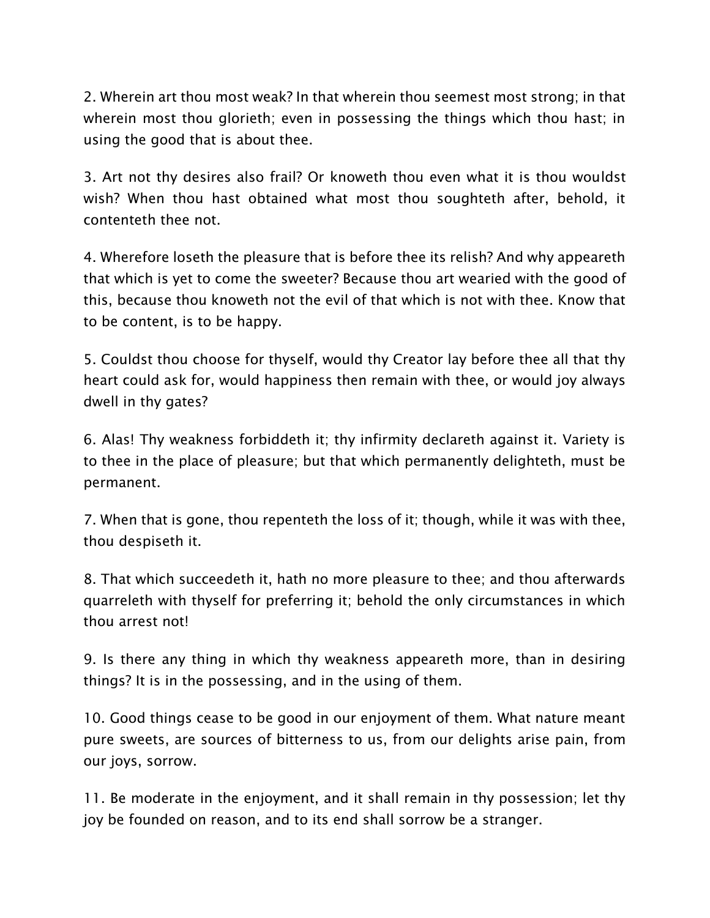2. Wherein art thou most weak? In that wherein thou seemest most strong; in that wherein most thou glorieth; even in possessing the things which thou hast; in using the good that is about thee.

3. Art not thy desires also frail? Or knoweth thou even what it is thou wouldst wish? When thou hast obtained what most thou soughteth after, behold, it contenteth thee not.

4. Wherefore loseth the pleasure that is before thee its relish? And why appeareth that which is yet to come the sweeter? Because thou art wearied with the good of this, because thou knoweth not the evil of that which is not with thee. Know that to be content, is to be happy.

5. Couldst thou choose for thyself, would thy Creator lay before thee all that thy heart could ask for, would happiness then remain with thee, or would joy always dwell in thy gates?

6. Alas! Thy weakness forbiddeth it; thy infirmity declareth against it. Variety is to thee in the place of pleasure; but that which permanently delighteth, must be permanent.

7. When that is gone, thou repenteth the loss of it; though, while it was with thee, thou despiseth it.

8. That which succeedeth it, hath no more pleasure to thee; and thou afterwards quarreleth with thyself for preferring it; behold the only circumstances in which thou arrest not!

9. Is there any thing in which thy weakness appeareth more, than in desiring things? It is in the possessing, and in the using of them.

10. Good things cease to be good in our enjoyment of them. What nature meant pure sweets, are sources of bitterness to us, from our delights arise pain, from our joys, sorrow.

11. Be moderate in the enjoyment, and it shall remain in thy possession; let thy joy be founded on reason, and to its end shall sorrow be a stranger.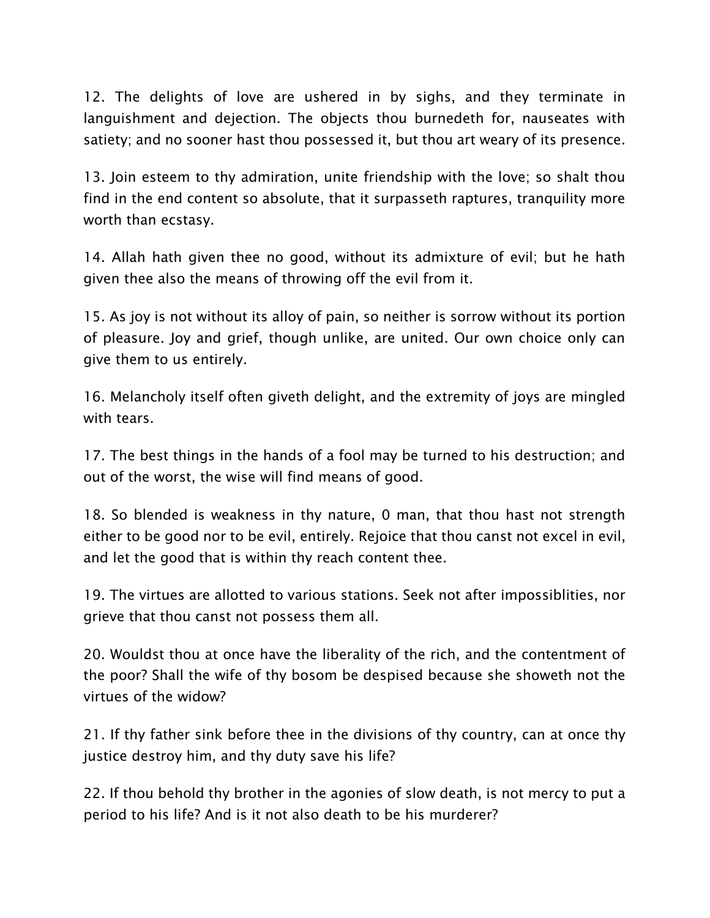12. The delights of love are ushered in by sighs, and they terminate in languishment and dejection. The objects thou burnedeth for, nauseates with satiety; and no sooner hast thou possessed it, but thou art weary of its presence.

13. Join esteem to thy admiration, unite friendship with the love; so shalt thou find in the end content so absolute, that it surpasseth raptures, tranquility more worth than ecstasy.

14. Allah hath given thee no good, without its admixture of evil; but he hath given thee also the means of throwing off the evil from it.

15. As joy is not without its alloy of pain, so neither is sorrow without its portion of pleasure. Joy and grief, though unlike, are united. Our own choice only can give them to us entirely.

16. Melancholy itself often giveth delight, and the extremity of joys are mingled with tears.

17. The best things in the hands of a fool may be turned to his destruction; and out of the worst, the wise will find means of good.

18. So blended is weakness in thy nature, 0 man, that thou hast not strength either to be good nor to be evil, entirely. Rejoice that thou canst not excel in evil, and let the good that is within thy reach content thee.

19. The virtues are allotted to various stations. Seek not after impossiblities, nor grieve that thou canst not possess them all.

20. Wouldst thou at once have the liberality of the rich, and the contentment of the poor? Shall the wife of thy bosom be despised because she showeth not the virtues of the widow?

21. If thy father sink before thee in the divisions of thy country, can at once thy justice destroy him, and thy duty save his life?

22. If thou behold thy brother in the agonies of slow death, is not mercy to put a period to his life? And is it not also death to be his murderer?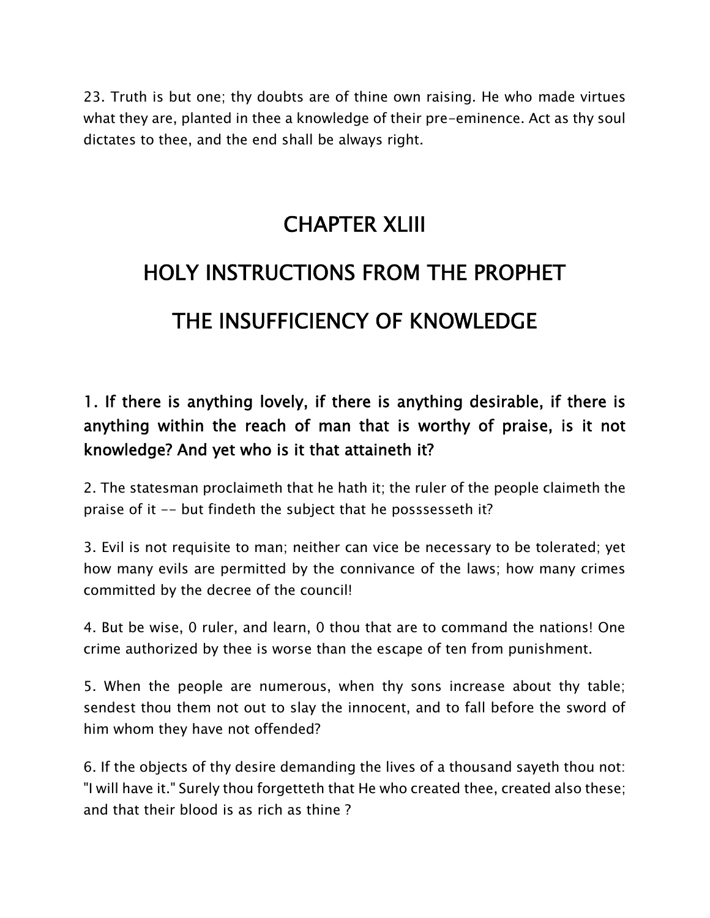23. Truth is but one; thy doubts are of thine own raising. He who made virtues what they are, planted in thee a knowledge of their pre-eminence. Act as thy soul dictates to thee, and the end shall be always right.

### **CHAPTER XLIII**

### **HOLY INSTRUCTIONS FROM THE PROPHET THE INSUFFICIENCY OF KNOWLEDGE**

#### **1. If there is anything lovely, if there is anything desirable, if there is anything within the reach of man that is worthy of praise, is it not knowledge? And yet who is it that attaineth it?**

2. The statesman proclaimeth that he hath it; the ruler of the people claimeth the praise of it -- but findeth the subject that he posssesseth it?

3. Evil is not requisite to man; neither can vice be necessary to be tolerated; yet how many evils are permitted by the connivance of the laws; how many crimes committed by the decree of the council!

4. But be wise, 0 ruler, and learn, 0 thou that are to command the nations! One crime authorized by thee is worse than the escape of ten from punishment.

5. When the people are numerous, when thy sons increase about thy table; sendest thou them not out to slay the innocent, and to fall before the sword of him whom they have not offended?

6. If the objects of thy desire demanding the lives of a thousand sayeth thou not: "I will have it." Surely thou forgetteth that He who created thee, created also these; and that their blood is as rich as thine ?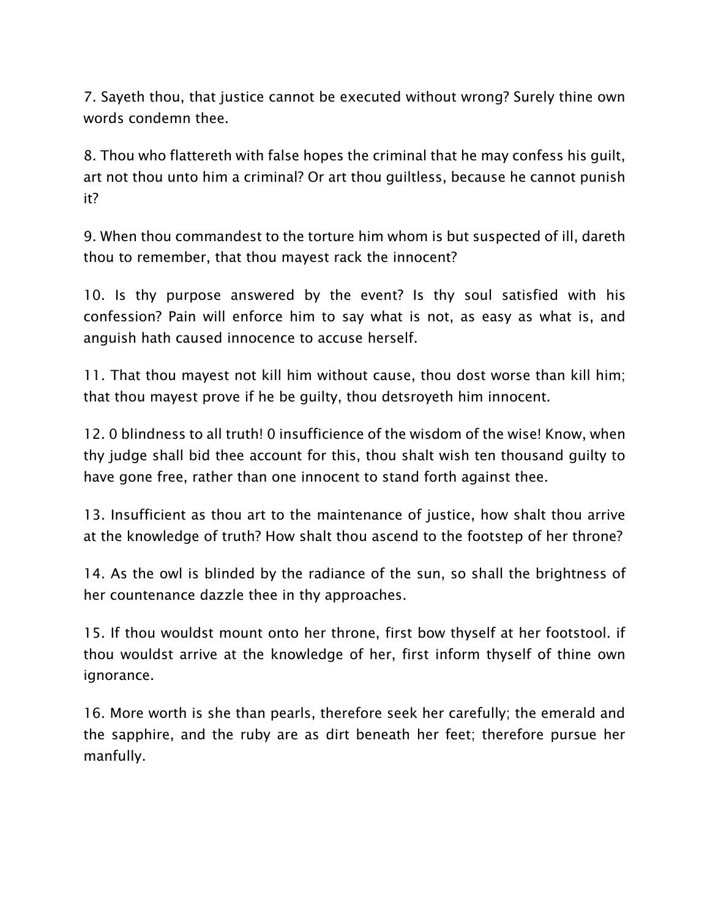7. Sayeth thou, that justice cannot be executed without wrong? Surely thine own words condemn thee.

8. Thou who flattereth with false hopes the criminal that he may confess his guilt, art not thou unto him a criminal? Or art thou guiltless, because he cannot punish it?

9. When thou commandest to the torture him whom is but suspected of ill, dareth thou to remember, that thou mayest rack the innocent?

10. Is thy purpose answered by the event? Is thy soul satisfied with his confession? Pain will enforce him to say what is not, as easy as what is, and anguish hath caused innocence to accuse herself.

11. That thou mayest not kill him without cause, thou dost worse than kill him; that thou mayest prove if he be guilty, thou detsroyeth him innocent.

12. 0 blindness to all truth! 0 insufficience of the wisdom of the wise! Know, when thy judge shall bid thee account for this, thou shalt wish ten thousand guilty to have gone free, rather than one innocent to stand forth against thee.

13. Insufficient as thou art to the maintenance of justice, how shalt thou arrive at the knowledge of truth? How shalt thou ascend to the footstep of her throne?

14. As the owl is blinded by the radiance of the sun, so shall the brightness of her countenance dazzle thee in thy approaches.

15. If thou wouldst mount onto her throne, first bow thyself at her footstool. if thou wouldst arrive at the knowledge of her, first inform thyself of thine own ignorance.

16. More worth is she than pearls, therefore seek her carefully; the emerald and the sapphire, and the ruby are as dirt beneath her feet; therefore pursue her manfully.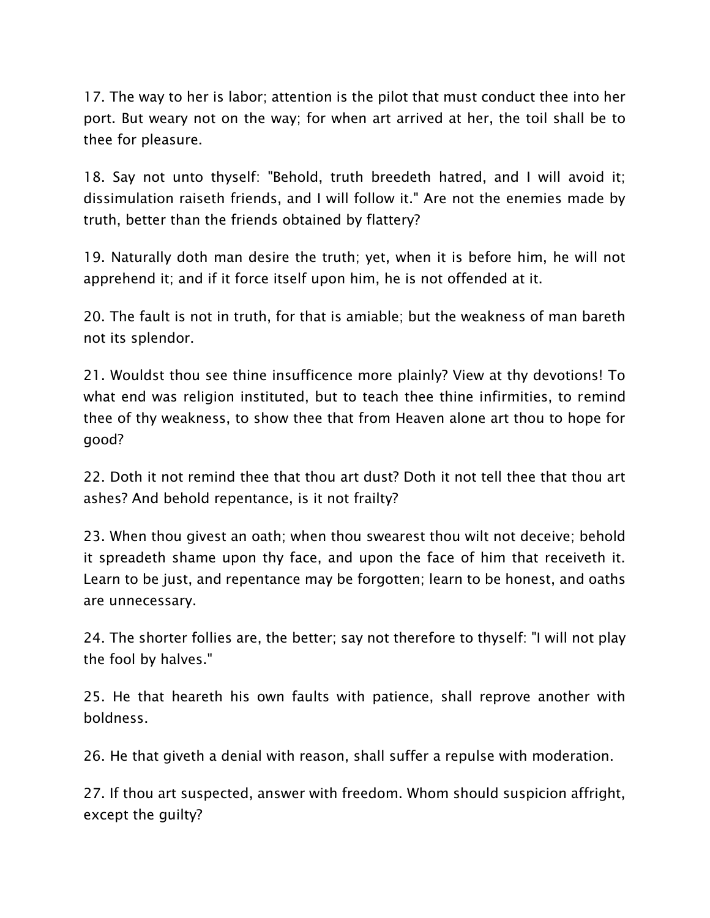17. The way to her is labor; attention is the pilot that must conduct thee into her port. But weary not on the way; for when art arrived at her, the toil shall be to thee for pleasure.

18. Say not unto thyself: "Behold, truth breedeth hatred, and I will avoid it; dissimulation raiseth friends, and I will follow it." Are not the enemies made by truth, better than the friends obtained by flattery?

19. Naturally doth man desire the truth; yet, when it is before him, he will not apprehend it; and if it force itself upon him, he is not offended at it.

20. The fault is not in truth, for that is amiable; but the weakness of man bareth not its splendor.

21. Wouldst thou see thine insufficence more plainly? View at thy devotions! To what end was religion instituted, but to teach thee thine infirmities, to remind thee of thy weakness, to show thee that from Heaven alone art thou to hope for good?

22. Doth it not remind thee that thou art dust? Doth it not tell thee that thou art ashes? And behold repentance, is it not frailty?

23. When thou givest an oath; when thou swearest thou wilt not deceive; behold it spreadeth shame upon thy face, and upon the face of him that receiveth it. Learn to be just, and repentance may be forgotten; learn to be honest, and oaths are unnecessary.

24. The shorter follies are, the better; say not therefore to thyself: "I will not play the fool by halves."

25. He that heareth his own faults with patience, shall reprove another with boldness.

26. He that giveth a denial with reason, shall suffer a repulse with moderation.

27. If thou art suspected, answer with freedom. Whom should suspicion affright, except the guilty?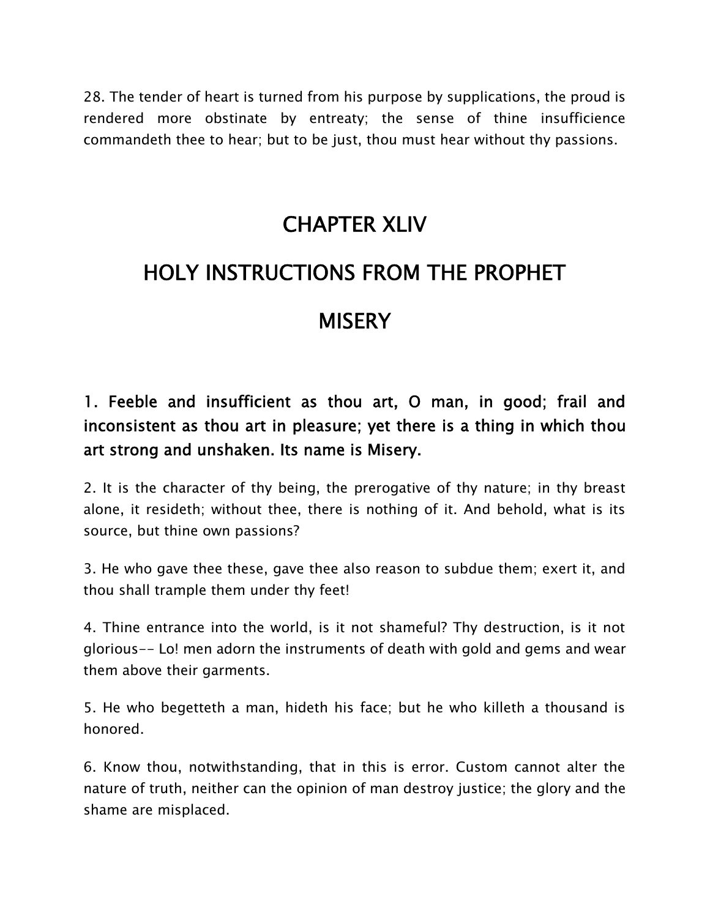28. The tender of heart is turned from his purpose by supplications, the proud is rendered more obstinate by entreaty; the sense of thine insufficience commandeth thee to hear; but to be just, thou must hear without thy passions.

#### **CHAPTER XLIV**

### **HOLY INSTRUCTIONS FROM THE PROPHET**

#### **MISERY**

#### **1. Feeble and insufficient as thou art, O man, in good; frail and inconsistent as thou art in pleasure; yet there is a thing in which thou art strong and unshaken. Its name is Misery.**

2. It is the character of thy being, the prerogative of thy nature; in thy breast alone, it resideth; without thee, there is nothing of it. And behold, what is its source, but thine own passions?

3. He who gave thee these, gave thee also reason to subdue them; exert it, and thou shall trample them under thy feet!

4. Thine entrance into the world, is it not shameful? Thy destruction, is it not glorious-- Lo! men adorn the instruments of death with gold and gems and wear them above their garments.

5. He who begetteth a man, hideth his face; but he who killeth a thousand is honored.

6. Know thou, notwithstanding, that in this is error. Custom cannot alter the nature of truth, neither can the opinion of man destroy justice; the glory and the shame are misplaced.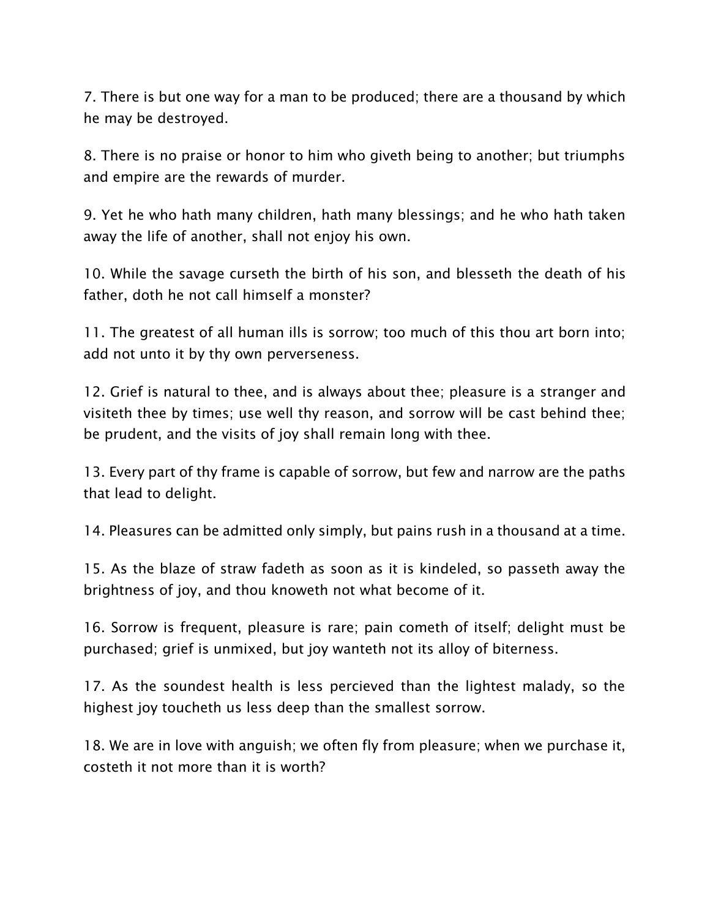7. There is but one way for a man to be produced; there are a thousand by which he may be destroyed.

8. There is no praise or honor to him who giveth being to another; but triumphs and empire are the rewards of murder.

9. Yet he who hath many children, hath many blessings; and he who hath taken away the life of another, shall not enjoy his own.

10. While the savage curseth the birth of his son, and blesseth the death of his father, doth he not call himself a monster?

11. The greatest of all human ills is sorrow; too much of this thou art born into; add not unto it by thy own perverseness.

12. Grief is natural to thee, and is always about thee; pleasure is a stranger and visiteth thee by times; use well thy reason, and sorrow will be cast behind thee; be prudent, and the visits of joy shall remain long with thee.

13. Every part of thy frame is capable of sorrow, but few and narrow are the paths that lead to delight.

14. Pleasures can be admitted only simply, but pains rush in a thousand at a time.

15. As the blaze of straw fadeth as soon as it is kindeled, so passeth away the brightness of joy, and thou knoweth not what become of it.

16. Sorrow is frequent, pleasure is rare; pain cometh of itself; delight must be purchased; grief is unmixed, but joy wanteth not its alloy of biterness.

17. As the soundest health is less percieved than the lightest malady, so the highest joy toucheth us less deep than the smallest sorrow.

18. We are in love with anguish; we often fly from pleasure; when we purchase it, costeth it not more than it is worth?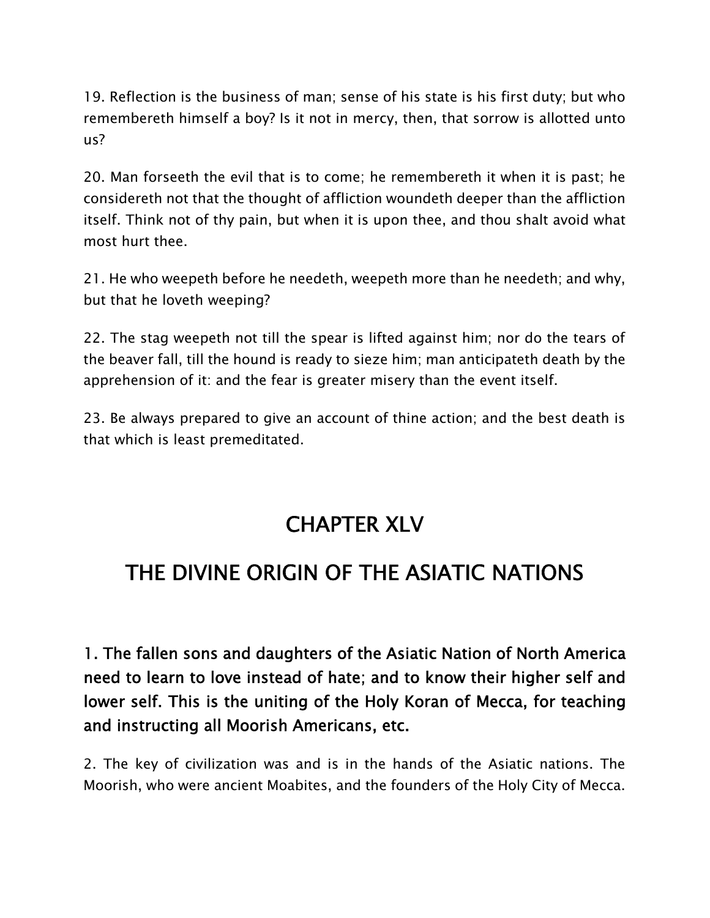19. Reflection is the business of man; sense of his state is his first duty; but who remembereth himself a boy? Is it not in mercy, then, that sorrow is allotted unto us?

20. Man forseeth the evil that is to come; he remembereth it when it is past; he considereth not that the thought of affliction woundeth deeper than the affliction itself. Think not of thy pain, but when it is upon thee, and thou shalt avoid what most hurt thee.

21. He who weepeth before he needeth, weepeth more than he needeth; and why, but that he loveth weeping?

22. The stag weepeth not till the spear is lifted against him; nor do the tears of the beaver fall, till the hound is ready to sieze him; man anticipateth death by the apprehension of it: and the fear is greater misery than the event itself.

23. Be always prepared to give an account of thine action; and the best death is that which is least premeditated.

### **CHAPTER XLV**

### **THE DIVINE ORIGIN OF THE ASIATIC NATIONS**

**1. The fallen sons and daughters of the Asiatic Nation of North America need to learn to love instead of hate; and to know their higher self and lower self. This is the uniting of the Holy Koran of Mecca, for teaching and instructing all Moorish Americans, etc.**

2. The key of civilization was and is in the hands of the Asiatic nations. The Moorish, who were ancient Moabites, and the founders of the Holy City of Mecca.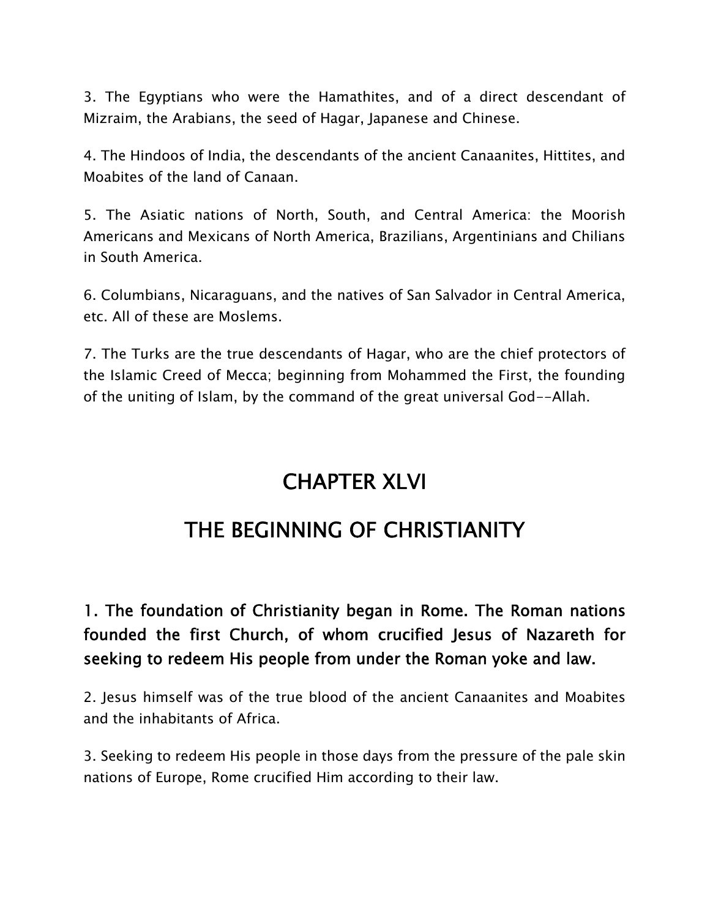3. The Egyptians who were the Hamathites, and of a direct descendant of Mizraim, the Arabians, the seed of Hagar, Japanese and Chinese.

4. The Hindoos of India, the descendants of the ancient Canaanites, Hittites, and Moabites of the land of Canaan.

5. The Asiatic nations of North, South, and Central America: the Moorish Americans and Mexicans of North America, Brazilians, Argentinians and Chilians in South America.

6. Columbians, Nicaraguans, and the natives of San Salvador in Central America, etc. All of these are Moslems.

7. The Turks are the true descendants of Hagar, who are the chief protectors of the Islamic Creed of Mecca; beginning from Mohammed the First, the founding of the uniting of Islam, by the command of the great universal God--Allah.

## **CHAPTER XLVI**

## **THE BEGINNING OF CHRISTIANITY**

#### **1. The foundation of Christianity began in Rome. The Roman nations founded the first Church, of whom crucified Jesus of Nazareth for seeking to redeem His people from under the Roman yoke and law.**

2. Jesus himself was of the true blood of the ancient Canaanites and Moabites and the inhabitants of Africa.

3. Seeking to redeem His people in those days from the pressure of the pale skin nations of Europe, Rome crucified Him according to their law.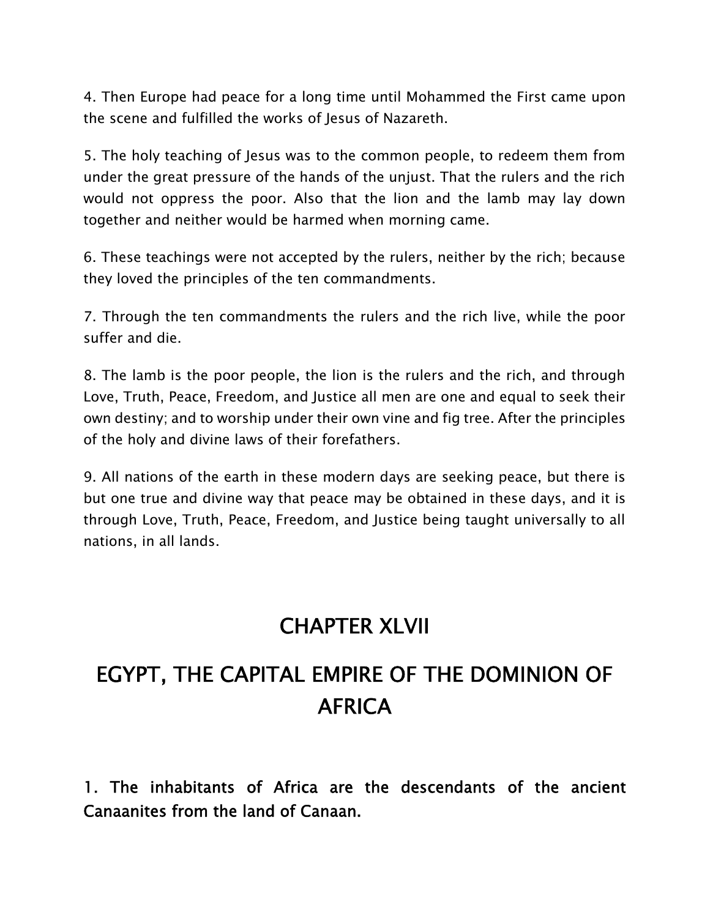4. Then Europe had peace for a long time until Mohammed the First came upon the scene and fulfilled the works of Jesus of Nazareth.

5. The holy teaching of Jesus was to the common people, to redeem them from under the great pressure of the hands of the unjust. That the rulers and the rich would not oppress the poor. Also that the lion and the lamb may lay down together and neither would be harmed when morning came.

6. These teachings were not accepted by the rulers, neither by the rich; because they loved the principles of the ten commandments.

7. Through the ten commandments the rulers and the rich live, while the poor suffer and die.

8. The lamb is the poor people, the lion is the rulers and the rich, and through Love, Truth, Peace, Freedom, and Justice all men are one and equal to seek their own destiny; and to worship under their own vine and fig tree. After the principles of the holy and divine laws of their forefathers.

9. All nations of the earth in these modern days are seeking peace, but there is but one true and divine way that peace may be obtained in these days, and it is through Love, Truth, Peace, Freedom, and Justice being taught universally to all nations, in all lands.

## **CHAPTER XLVII**

## **EGYPT, THE CAPITAL EMPIRE OF THE DOMINION OF AFRICA**

**1. The inhabitants of Africa are the descendants of the ancient Canaanites from the land of Canaan.**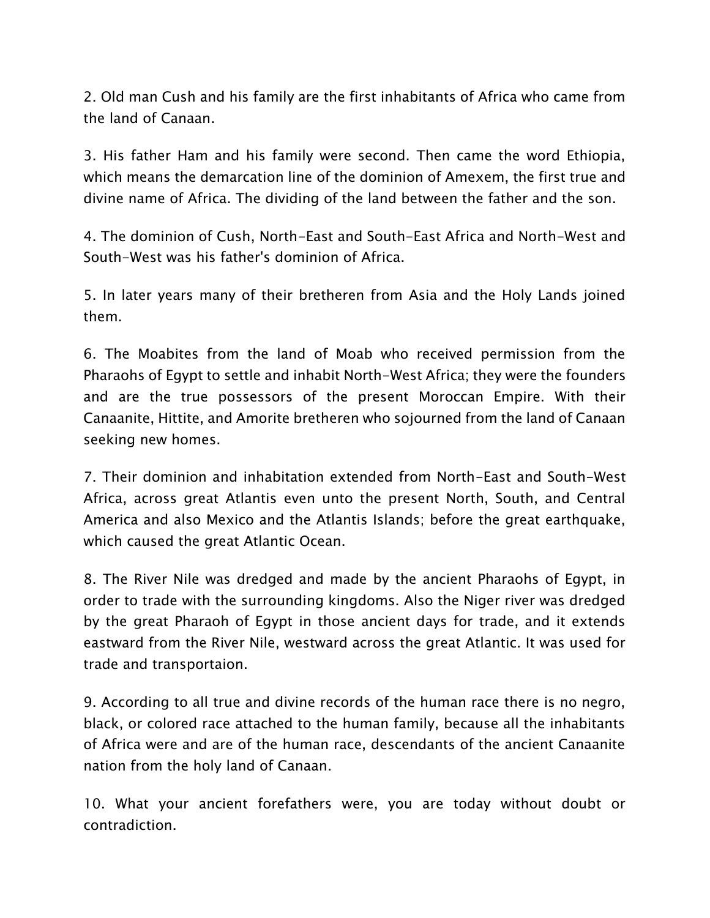2. Old man Cush and his family are the first inhabitants of Africa who came from the land of Canaan.

3. His father Ham and his family were second. Then came the word Ethiopia, which means the demarcation line of the dominion of Amexem, the first true and divine name of Africa. The dividing of the land between the father and the son.

4. The dominion of Cush, North-East and South-East Africa and North-West and South-West was his father's dominion of Africa.

5. In later years many of their bretheren from Asia and the Holy Lands joined them.

6. The Moabites from the land of Moab who received permission from the Pharaohs of Egypt to settle and inhabit North-West Africa; they were the founders and are the true possessors of the present Moroccan Empire. With their Canaanite, Hittite, and Amorite bretheren who sojourned from the land of Canaan seeking new homes.

7. Their dominion and inhabitation extended from North-East and South-West Africa, across great Atlantis even unto the present North, South, and Central America and also Mexico and the Atlantis Islands; before the great earthquake, which caused the great Atlantic Ocean.

8. The River Nile was dredged and made by the ancient Pharaohs of Egypt, in order to trade with the surrounding kingdoms. Also the Niger river was dredged by the great Pharaoh of Egypt in those ancient days for trade, and it extends eastward from the River Nile, westward across the great Atlantic. It was used for trade and transportaion.

9. According to all true and divine records of the human race there is no negro, black, or colored race attached to the human family, because all the inhabitants of Africa were and are of the human race, descendants of the ancient Canaanite nation from the holy land of Canaan.

10. What your ancient forefathers were, you are today without doubt or contradiction.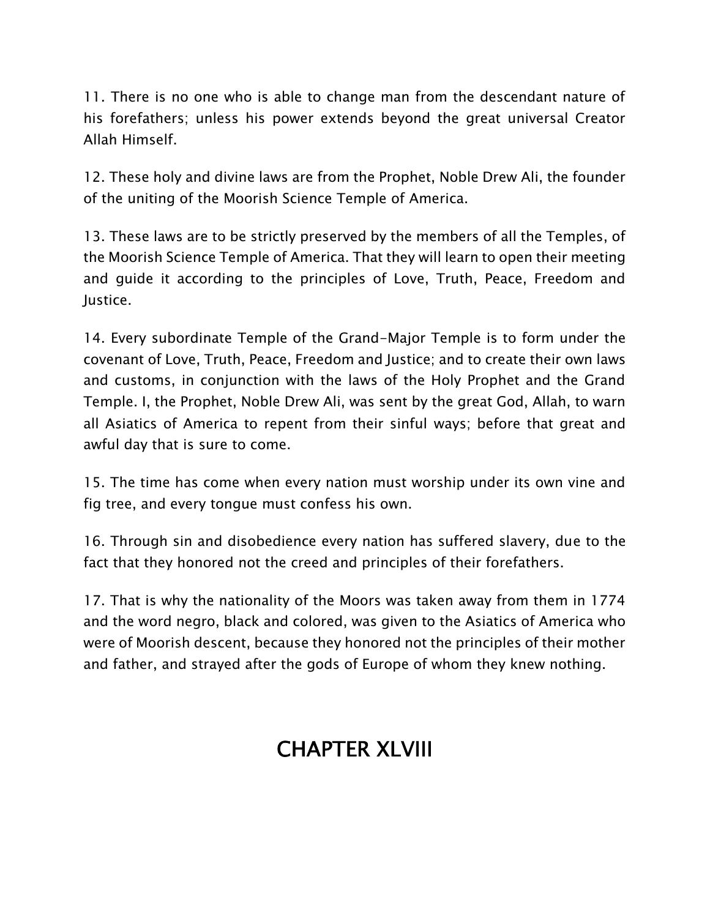11. There is no one who is able to change man from the descendant nature of his forefathers; unless his power extends beyond the great universal Creator Allah Himself.

12. These holy and divine laws are from the Prophet, Noble Drew Ali, the founder of the uniting of the Moorish Science Temple of America.

13. These laws are to be strictly preserved by the members of all the Temples, of the Moorish Science Temple of America. That they will learn to open their meeting and guide it according to the principles of Love, Truth, Peace, Freedom and Justice.

14. Every subordinate Temple of the Grand-Major Temple is to form under the covenant of Love, Truth, Peace, Freedom and Justice; and to create their own laws and customs, in conjunction with the laws of the Holy Prophet and the Grand Temple. I, the Prophet, Noble Drew Ali, was sent by the great God, Allah, to warn all Asiatics of America to repent from their sinful ways; before that great and awful day that is sure to come.

15. The time has come when every nation must worship under its own vine and fig tree, and every tongue must confess his own.

16. Through sin and disobedience every nation has suffered slavery, due to the fact that they honored not the creed and principles of their forefathers.

17. That is why the nationality of the Moors was taken away from them in 1774 and the word negro, black and colored, was given to the Asiatics of America who were of Moorish descent, because they honored not the principles of their mother and father, and strayed after the gods of Europe of whom they knew nothing.

## **CHAPTER XLVIII**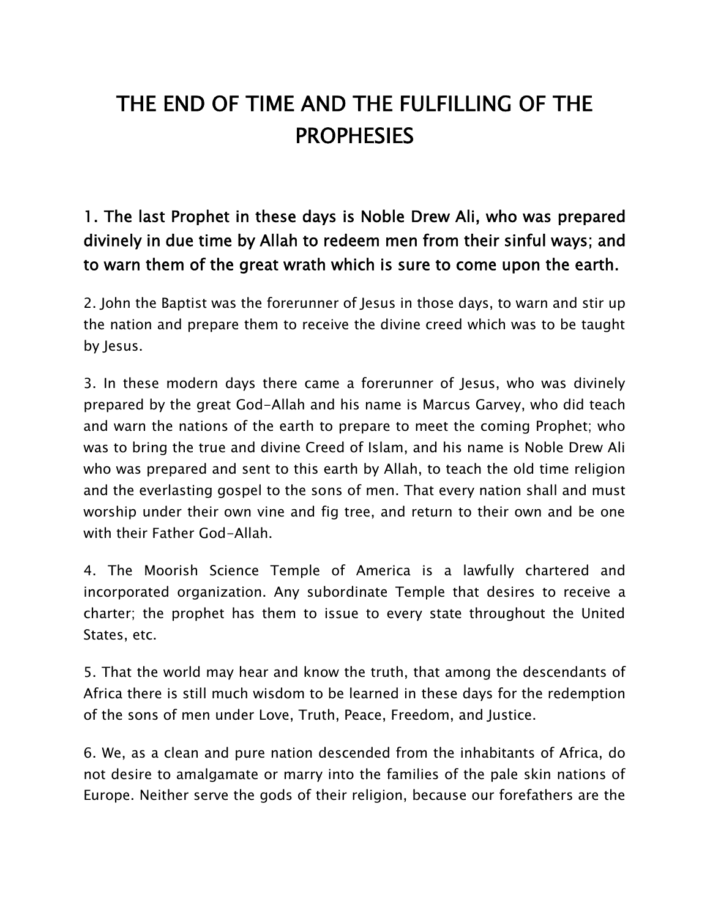# **THE END OF TIME AND THE FULFILLING OF THE PROPHESIES**

**1. The last Prophet in these days is Noble Drew Ali, who was prepared divinely in due time by Allah to redeem men from their sinful ways; and to warn them of the great wrath which is sure to come upon the earth.**

2. John the Baptist was the forerunner of Jesus in those days, to warn and stir up the nation and prepare them to receive the divine creed which was to be taught by Jesus.

3. In these modern days there came a forerunner of Jesus, who was divinely prepared by the great God-Allah and his name is Marcus Garvey, who did teach and warn the nations of the earth to prepare to meet the coming Prophet; who was to bring the true and divine Creed of Islam, and his name is Noble Drew Ali who was prepared and sent to this earth by Allah, to teach the old time religion and the everlasting gospel to the sons of men. That every nation shall and must worship under their own vine and fig tree, and return to their own and be one with their Father God-Allah.

4. The Moorish Science Temple of America is a lawfully chartered and incorporated organization. Any subordinate Temple that desires to receive a charter; the prophet has them to issue to every state throughout the United States, etc.

5. That the world may hear and know the truth, that among the descendants of Africa there is still much wisdom to be learned in these days for the redemption of the sons of men under Love, Truth, Peace, Freedom, and Justice.

6. We, as a clean and pure nation descended from the inhabitants of Africa, do not desire to amalgamate or marry into the families of the pale skin nations of Europe. Neither serve the gods of their religion, because our forefathers are the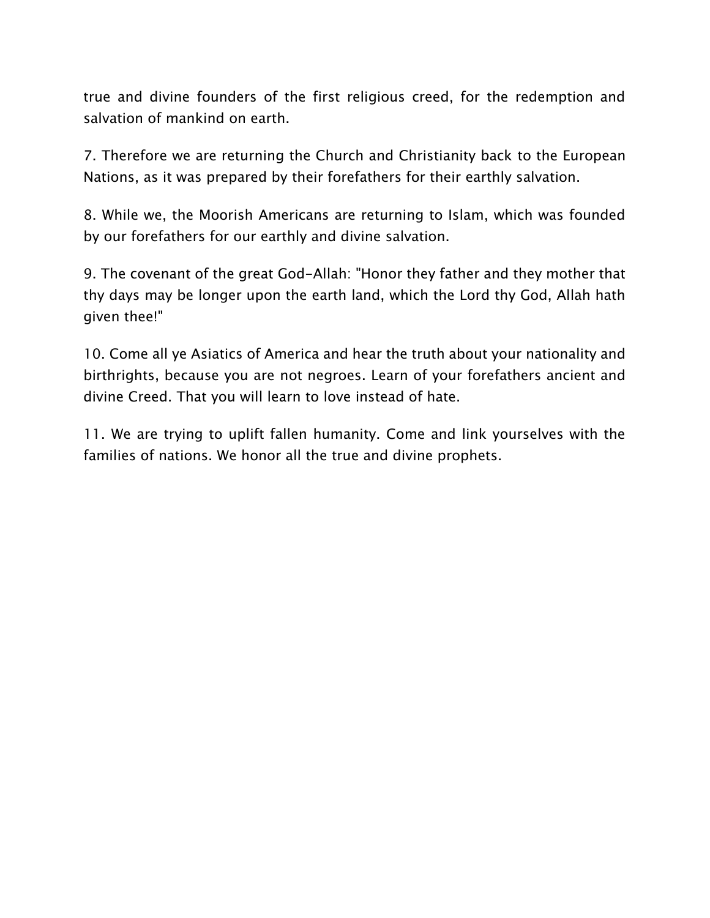true and divine founders of the first religious creed, for the redemption and salvation of mankind on earth.

7. Therefore we are returning the Church and Christianity back to the European Nations, as it was prepared by their forefathers for their earthly salvation.

8. While we, the Moorish Americans are returning to Islam, which was founded by our forefathers for our earthly and divine salvation.

9. The covenant of the great God-Allah: "Honor they father and they mother that thy days may be longer upon the earth land, which the Lord thy God, Allah hath given thee!"

10. Come all ye Asiatics of America and hear the truth about your nationality and birthrights, because you are not negroes. Learn of your forefathers ancient and divine Creed. That you will learn to love instead of hate.

11. We are trying to uplift fallen humanity. Come and link yourselves with the families of nations. We honor all the true and divine prophets.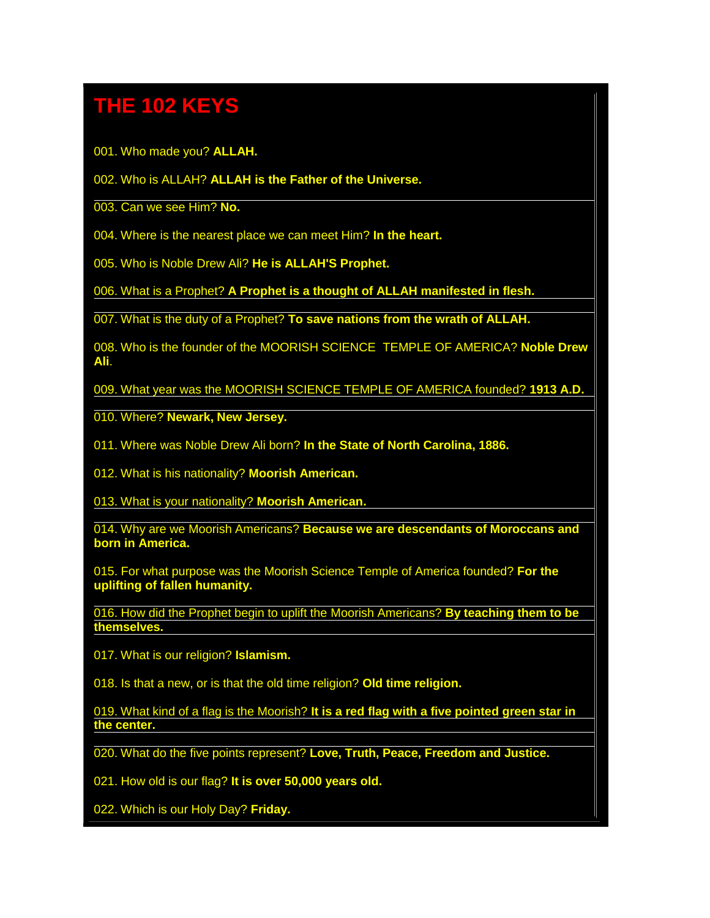## **THE 102 KEYS**

001. Who made you? **ALLAH.**

#### 002. Who is ALLAH? **ALLAH is the Father of the Universe.**

003. Can we see Him? **No.**

004. Where is the nearest place we can meet Him? **In the heart.**

005. Who is Noble Drew Ali? **He is ALLAH'S Prophet.**

006. What is a Prophet? **A Prophet is a thought of ALLAH manifested in flesh.**

007. What is the duty of a Prophet? **To save nations from the wrath of ALLAH.**

008. Who is the founder of the MOORISH SCIENCE TEMPLE OF AMERICA? **Noble Drew Ali**.

009. What year was the MOORISH SCIENCE TEMPLE OF AMERICA founded? **1913 A.D.**

010. Where? **Newark, New Jersey.**

011. Where was Noble Drew Ali born? **In the State of North Carolina, 1886.**

012. What is his nationality? **Moorish American.**

013. What is your nationality? **Moorish American.**

014. Why are we Moorish Americans? **Because we are descendants of Moroccans and born in America.**

015. For what purpose was the Moorish Science Temple of America founded? **For the uplifting of fallen humanity.**

016. How did the Prophet begin to uplift the Moorish Americans? **By teaching them to be themselves.**

017. What is our religion? **Islamism.**

018. Is that a new, or is that the old time religion? **Old time religion.**

019. What kind of a flag is the Moorish? **It is a red flag with a five pointed green star in the center.**

020. What do the five points represent? **Love, Truth, Peace, Freedom and Justice.**

021. How old is our flag? **It is over 50,000 years old.**

022. Which is our Holy Day? **Friday.**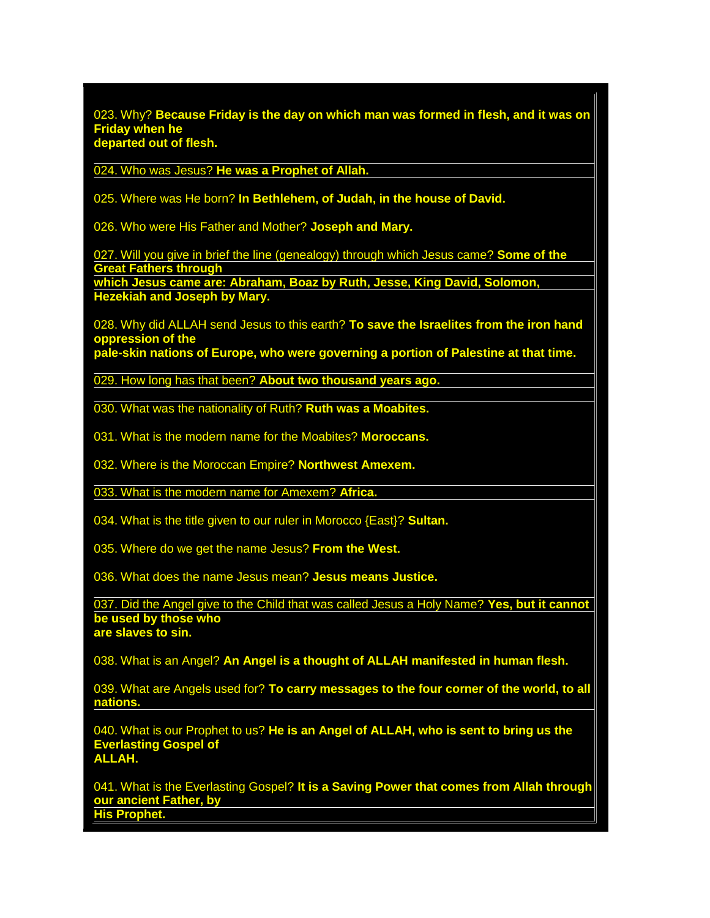023. Why? **Because Friday is the day on which man was formed in flesh, and it was on Friday when he departed out of flesh.**

024. Who was Jesus? **He was a Prophet of Allah.**

025. Where was He born? **In Bethlehem, of Judah, in the house of David.**

026. Who were His Father and Mother? **Joseph and Mary.**

027. Will you give in brief the line (genealogy) through which Jesus came? **Some of the Great Fathers through**

**which Jesus came are: Abraham, Boaz by Ruth, Jesse, King David, Solomon, Hezekiah and Joseph by Mary.**

028. Why did ALLAH send Jesus to this earth? **To save the Israelites from the iron hand oppression of the**

**pale-skin nations of Europe, who were governing a portion of Palestine at that time.**

029. How long has that been? **About two thousand years ago.**

030. What was the nationality of Ruth? **Ruth was a Moabites.**

031. What is the modern name for the Moabites? **Moroccans.**

032. Where is the Moroccan Empire? **Northwest Amexem.**

033. What is the modern name for Amexem? **Africa.**

034. What is the title given to our ruler in Morocco {East}? **Sultan.**

035. Where do we get the name Jesus? **From the West.**

036. What does the name Jesus mean? **Jesus means Justice.**

037. Did the Angel give to the Child that was called Jesus a Holy Name? **Yes, but it cannot be used by those who are slaves to sin.**

038. What is an Angel? **An Angel is a thought of ALLAH manifested in human flesh.**

039. What are Angels used for? **To carry messages to the four corner of the world, to all nations.**

040. What is our Prophet to us? **He is an Angel of ALLAH, who is sent to bring us the Everlasting Gospel of ALLAH.**

041. What is the Everlasting Gospel? **It is a Saving Power that comes from Allah through our ancient Father, by His Prophet.**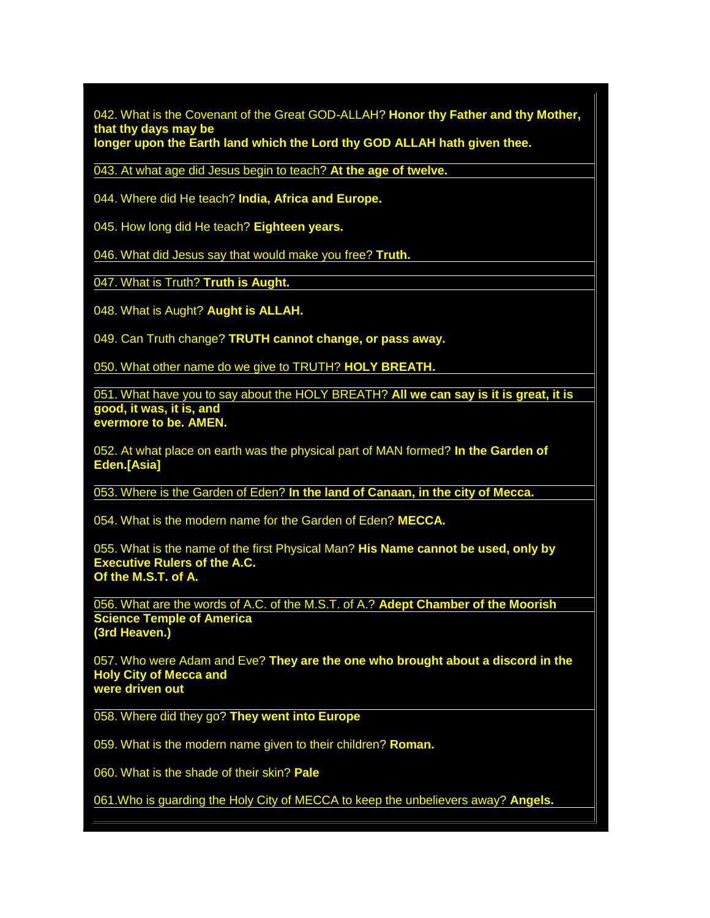042. What is the Covenant of the Great GOD-ALLAH? **Honor thy Father and thy Mother, that thy days may be**

**longer upon the Earth land which the Lord thy GOD ALLAH hath given thee.**

043. At what age did Jesus begin to teach? **At the age of twelve.**

044. Where did He teach? **India, Africa and Europe.**

045. How long did He teach? **Eighteen years.**

046. What did Jesus say that would make you free? **Truth.**

047. What is Truth? **Truth is Aught.**

048. What is Aught? **Aught is ALLAH.**

049. Can Truth change? **TRUTH cannot change, or pass away.**

050. What other name do we give to TRUTH? **HOLY BREATH.**

051. What have you to say about the HOLY BREATH? **All we can say is it is great, it is good, it was, it is, and evermore to be. AMEN.**

052. At what place on earth was the physical part of MAN formed? **In the Garden of Eden.[Asia]**

053. Where is the Garden of Eden? **In the land of Canaan, in the city of Mecca.**

054. What is the modern name for the Garden of Eden? **MECCA.**

055. What is the name of the first Physical Man? **His Name cannot be used, only by Executive Rulers of the A.C. Of the M.S.T. of A.**

056. What are the words of A.C. of the M.S.T. of A.? **Adept Chamber of the Moorish Science Temple of America (3rd Heaven.)**

057. Who were Adam and Eve? **They are the one who brought about a discord in the Holy City of Mecca and were driven out**

058. Where did they go? **They went into Europe**

059. What is the modern name given to their children? **Roman.**

060. What is the shade of their skin? **Pale**

061.Who is guarding the Holy City of MECCA to keep the unbelievers away? **Angels.**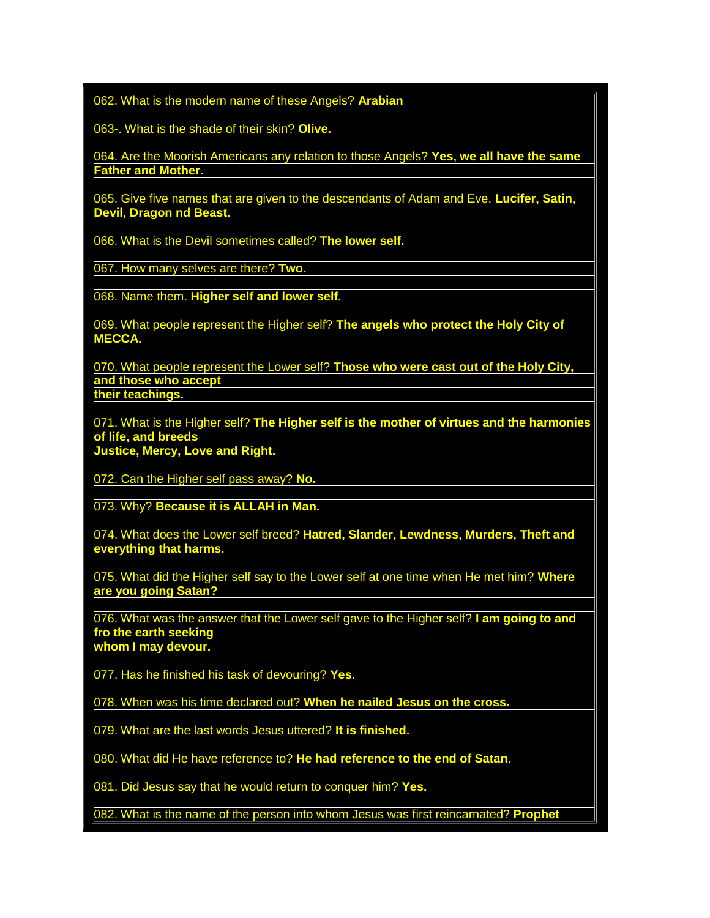062. What is the modern name of these Angels? **Arabian**

063-. What is the shade of their skin? **Olive.**

064. Are the Moorish Americans any relation to those Angels? **Yes, we all have the same Father and Mother.**

065. Give five names that are given to the descendants of Adam and Eve. **Lucifer, Satin, Devil, Dragon nd Beast.**

066. What is the Devil sometimes called? **The lower self.**

067. How many selves are there? **Two.**

068. Name them. **Higher self and lower self.**

069. What people represent the Higher self? **The angels who protect the Holy City of MECCA.**

070. What people represent the Lower self? **Those who were cast out of the Holy City, and those who accept their teachings.**

071. What is the Higher self? **The Higher self is the mother of virtues and the harmonies of life, and breeds Justice, Mercy, Love and Right.**

072. Can the Higher self pass away? **No.**

073. Why? **Because it is ALLAH in Man.**

074. What does the Lower self breed? **Hatred, Slander, Lewdness, Murders, Theft and everything that harms.**

075. What did the Higher self say to the Lower self at one time when He met him? **Where are you going Satan?**

076. What was the answer that the Lower self gave to the Higher self? **I am going to and fro the earth seeking whom I may devour.**

077. Has he finished his task of devouring? **Yes.**

078. When was his time declared out? **When he nailed Jesus on the cross.**

079. What are the last words Jesus uttered? **It is finished.**

080. What did He have reference to? **He had reference to the end of Satan.**

081. Did Jesus say that he would return to conquer him? **Yes.**

082. What is the name of the person into whom Jesus was first reincarnated? **Prophet**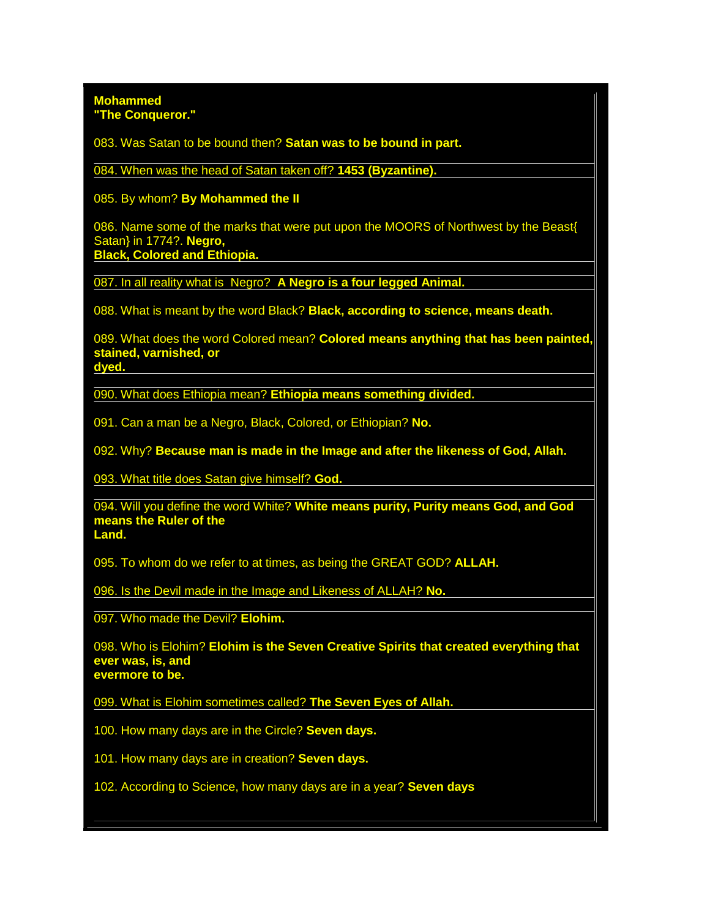#### **Mohammed "The Conqueror."**

083. Was Satan to be bound then? **Satan was to be bound in part.**

084. When was the head of Satan taken off? **1453 (Byzantine).**

085. By whom? **By Mohammed the II**

086. Name some of the marks that were put upon the MOORS of Northwest by the Beast{ Satan} in 1774?. **Negro, Black, Colored and Ethiopia.**

087. In all reality what is Negro? **A Negro is a four legged Animal.**

088. What is meant by the word Black? **Black, according to science, means death.**

089. What does the word Colored mean? **Colored means anything that has been painted, stained, varnished, or dyed.**

090. What does Ethiopia mean? **Ethiopia means something divided.**

091. Can a man be a Negro, Black, Colored, or Ethiopian? **No.**

092. Why? **Because man is made in the Image and after the likeness of God, Allah.**

093. What title does Satan give himself? **God.**

094. Will you define the word White? **White means purity, Purity means God, and God means the Ruler of the Land.**

095. To whom do we refer to at times, as being the GREAT GOD? **ALLAH.**

096. Is the Devil made in the Image and Likeness of ALLAH? **No.**

097. Who made the Devil? **Elohim.**

098. Who is Elohim? **Elohim is the Seven Creative Spirits that created everything that ever was, is, and evermore to be.**

099. What is Elohim sometimes called? **The Seven Eyes of Allah.**

100. How many days are in the Circle? **Seven days.**

101. How many days are in creation? **Seven days.**

102. According to Science, how many days are in a year? **Seven days**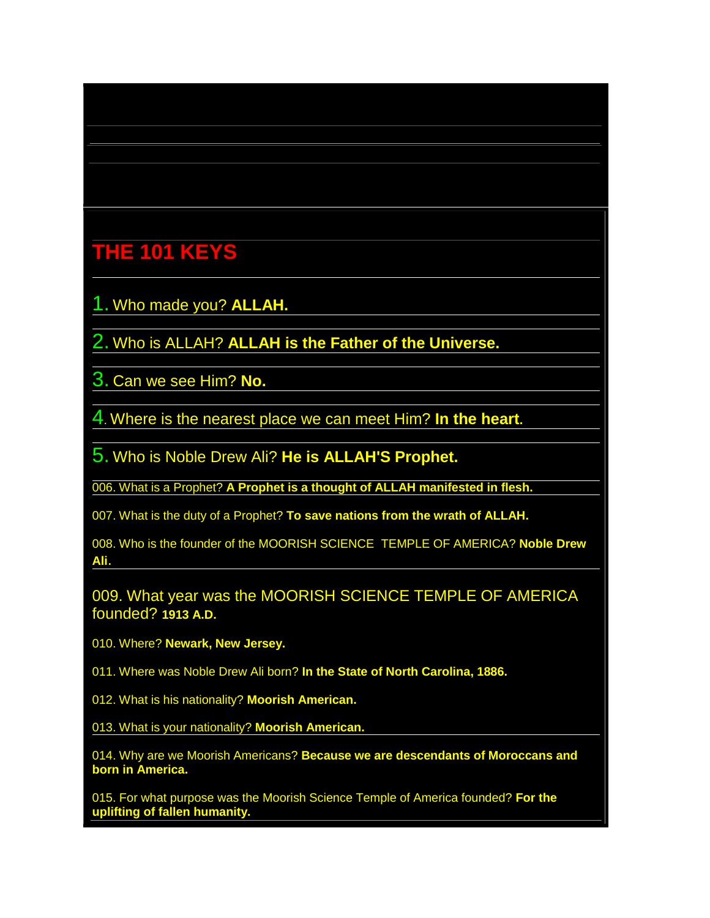### **THE 101 KEYS**

- 1. Who made you? **ALLAH.**
- 2. Who is ALLAH? **ALLAH is the Father of the Universe.**
- 3. Can we see Him? **No.**
- 4. Where is the nearest place we can meet Him? **In the heart.**
- 5. Who is Noble Drew Ali? **He is ALLAH'S Prophet.**
- 006. What is a Prophet? **A Prophet is a thought of ALLAH manifested in flesh.**
- 007. What is the duty of a Prophet? **To save nations from the wrath of ALLAH.**
- 008. Who is the founder of the MOORISH SCIENCE TEMPLE OF AMERICA? **Noble Drew Ali**.
- 009. What year was the MOORISH SCIENCE TEMPLE OF AMERICA founded? **1913 A.D.**
- 010. Where? **Newark, New Jersey.**
- 011. Where was Noble Drew Ali born? **In the State of North Carolina, 1886.**
- 012. What is his nationality? **Moorish American.**
- 013. What is your nationality? **Moorish American.**
- 014. Why are we Moorish Americans? **Because we are descendants of Moroccans and born in America.**
- 015. For what purpose was the Moorish Science Temple of America founded? **For the uplifting of fallen humanity.**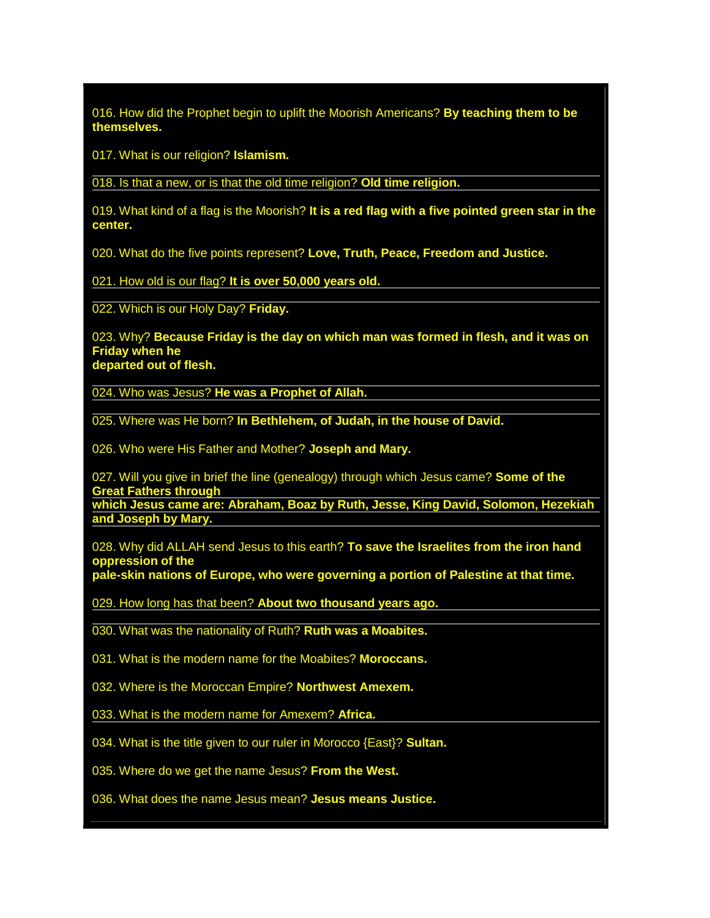016. How did the Prophet begin to uplift the Moorish Americans? **By teaching them to be themselves.**

017. What is our religion? **Islamism.**

018. Is that a new, or is that the old time religion? **Old time religion.**

019. What kind of a flag is the Moorish? **It is a red flag with a five pointed green star in the center.**

020. What do the five points represent? **Love, Truth, Peace, Freedom and Justice.**

021. How old is our flag? **It is over 50,000 years old.**

022. Which is our Holy Day? **Friday.**

023. Why? **Because Friday is the day on which man was formed in flesh, and it was on Friday when he departed out of flesh.**

024. Who was Jesus? **He was a Prophet of Allah.**

025. Where was He born? **In Bethlehem, of Judah, in the house of David.**

026. Who were His Father and Mother? **Joseph and Mary.**

027. Will you give in brief the line (genealogy) through which Jesus came? **Some of the Great Fathers through**

**which Jesus came are: Abraham, Boaz by Ruth, Jesse, King David, Solomon, Hezekiah and Joseph by Mary.**

028. Why did ALLAH send Jesus to this earth? **To save the Israelites from the iron hand oppression of the**

**pale-skin nations of Europe, who were governing a portion of Palestine at that time.**

029. How long has that been? **About two thousand years ago.**

030. What was the nationality of Ruth? **Ruth was a Moabites.**

031. What is the modern name for the Moabites? **Moroccans.**

032. Where is the Moroccan Empire? **Northwest Amexem.**

033. What is the modern name for Amexem? **Africa.**

034. What is the title given to our ruler in Morocco {East}? **Sultan.**

035. Where do we get the name Jesus? **From the West.**

036. What does the name Jesus mean? **Jesus means Justice.**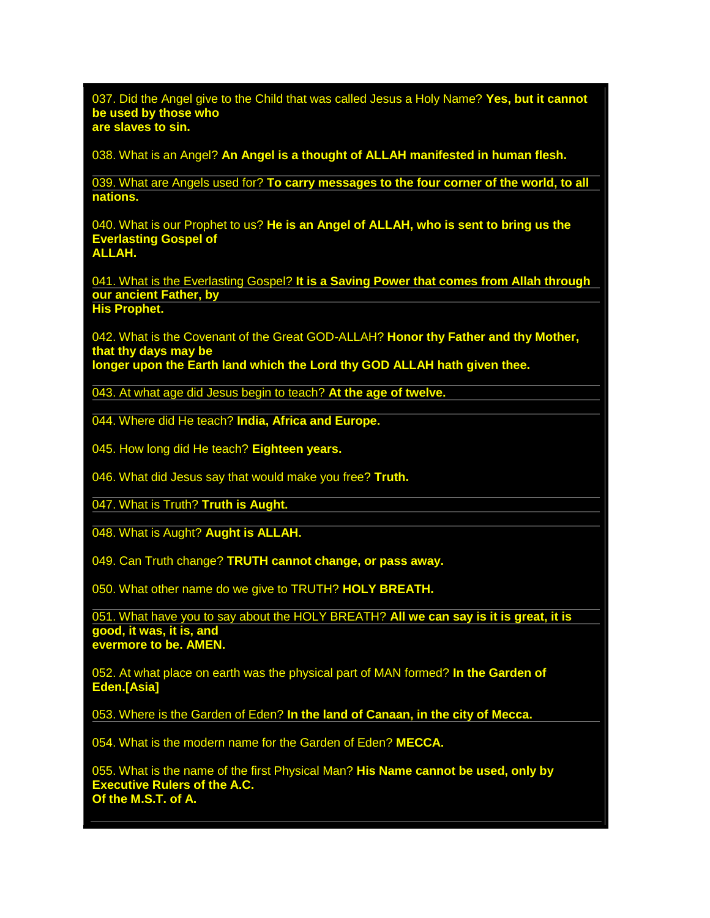037. Did the Angel give to the Child that was called Jesus a Holy Name? **Yes, but it cannot be used by those who are slaves to sin.**

038. What is an Angel? **An Angel is a thought of ALLAH manifested in human flesh.**

039. What are Angels used for? **To carry messages to the four corner of the world, to all nations.**

040. What is our Prophet to us? **He is an Angel of ALLAH, who is sent to bring us the Everlasting Gospel of ALLAH.**

041. What is the Everlasting Gospel? **It is a Saving Power that comes from Allah through our ancient Father, by His Prophet.**

042. What is the Covenant of the Great GOD-ALLAH? **Honor thy Father and thy Mother, that thy days may be longer upon the Earth land which the Lord thy GOD ALLAH hath given thee.**

043. At what age did Jesus begin to teach? **At the age of twelve.**

044. Where did He teach? **India, Africa and Europe.**

045. How long did He teach? **Eighteen years.**

046. What did Jesus say that would make you free? **Truth.**

047. What is Truth? **Truth is Aught.**

048. What is Aught? **Aught is ALLAH.**

049. Can Truth change? **TRUTH cannot change, or pass away.**

050. What other name do we give to TRUTH? **HOLY BREATH.**

051. What have you to say about the HOLY BREATH? **All we can say is it is great, it is good, it was, it is, and evermore to be. AMEN.**

052. At what place on earth was the physical part of MAN formed? **In the Garden of Eden.[Asia]**

053. Where is the Garden of Eden? **In the land of Canaan, in the city of Mecca.**

054. What is the modern name for the Garden of Eden? **MECCA.**

055. What is the name of the first Physical Man? **His Name cannot be used, only by Executive Rulers of the A.C. Of the M.S.T. of A.**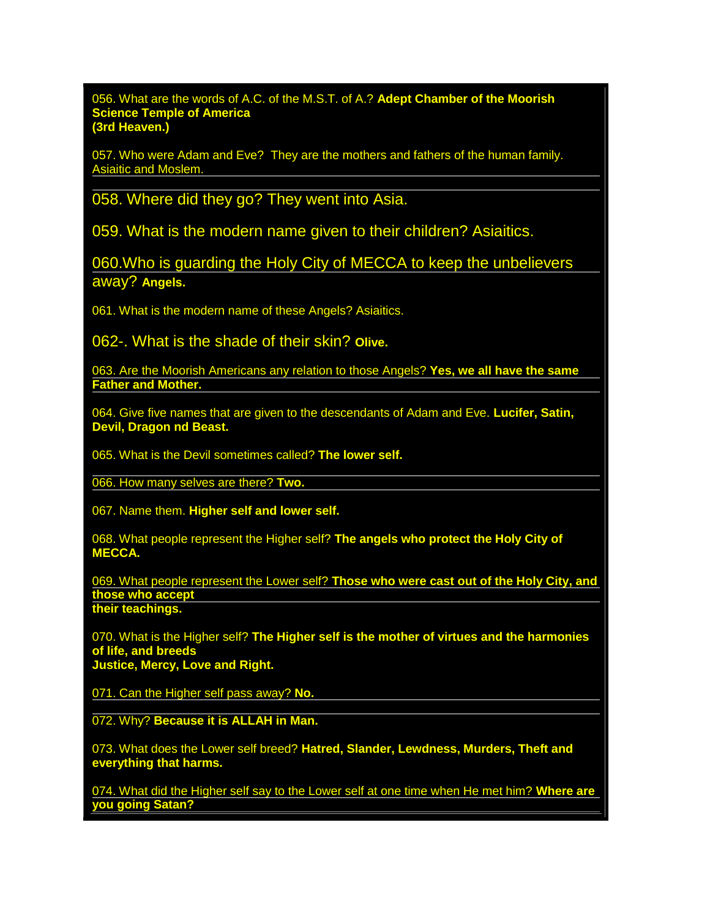056. What are the words of A.C. of the M.S.T. of A.? **Adept Chamber of the Moorish Science Temple of America (3rd Heaven.)**

057. Who were Adam and Eve? They are the mothers and fathers of the human family. Asiaitic and Moslem.

058. Where did they go? They went into Asia.

059. What is the modern name given to their children? Asiaitics.

060.Who is guarding the Holy City of MECCA to keep the unbelievers away? **Angels.**

061. What is the modern name of these Angels? Asiaitics.

062-. What is the shade of their skin? **Olive.**

063. Are the Moorish Americans any relation to those Angels? **Yes, we all have the same Father and Mother.**

064. Give five names that are given to the descendants of Adam and Eve. **Lucifer, Satin, Devil, Dragon nd Beast.**

065. What is the Devil sometimes called? **The lower self.**

066. How many selves are there? **Two.**

067. Name them. **Higher self and lower self.**

068. What people represent the Higher self? **The angels who protect the Holy City of MECCA.**

069. What people represent the Lower self? **Those who were cast out of the Holy City, and those who accept their teachings.**

070. What is the Higher self? **The Higher self is the mother of virtues and the harmonies of life, and breeds Justice, Mercy, Love and Right.**

071. Can the Higher self pass away? **No.**

072. Why? **Because it is ALLAH in Man.**

073. What does the Lower self breed? **Hatred, Slander, Lewdness, Murders, Theft and everything that harms.**

074. What did the Higher self say to the Lower self at one time when He met him? **Where are you going Satan?**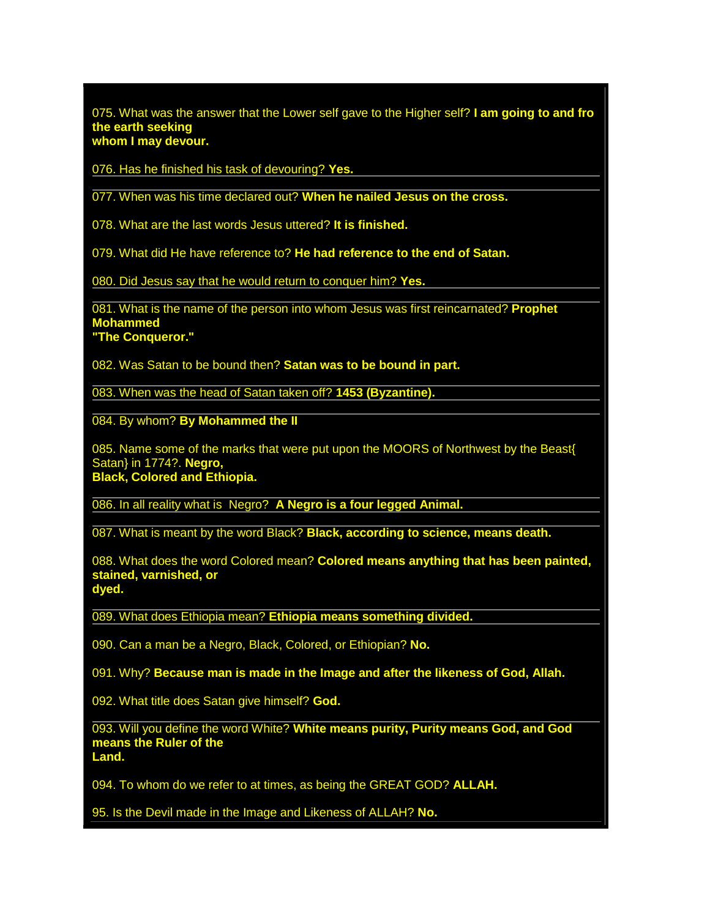075. What was the answer that the Lower self gave to the Higher self? **I am going to and fro the earth seeking whom I may devour.**

076. Has he finished his task of devouring? **Yes.**

077. When was his time declared out? **When he nailed Jesus on the cross.**

078. What are the last words Jesus uttered? **It is finished.**

079. What did He have reference to? **He had reference to the end of Satan.**

080. Did Jesus say that he would return to conquer him? **Yes.**

081. What is the name of the person into whom Jesus was first reincarnated? **Prophet Mohammed "The Conqueror."**

082. Was Satan to be bound then? **Satan was to be bound in part.**

083. When was the head of Satan taken off? **1453 (Byzantine).**

084. By whom? **By Mohammed the II**

085. Name some of the marks that were put upon the MOORS of Northwest by the Beast{ Satan} in 1774?. **Negro, Black, Colored and Ethiopia.**

086. In all reality what is Negro? **A Negro is a four legged Animal.**

087. What is meant by the word Black? **Black, according to science, means death.**

088. What does the word Colored mean? **Colored means anything that has been painted, stained, varnished, or dyed.**

089. What does Ethiopia mean? **Ethiopia means something divided.**

090. Can a man be a Negro, Black, Colored, or Ethiopian? **No.**

091. Why? **Because man is made in the Image and after the likeness of God, Allah.**

092. What title does Satan give himself? **God.**

093. Will you define the word White? **White means purity, Purity means God, and God means the Ruler of the Land.**

094. To whom do we refer to at times, as being the GREAT GOD? **ALLAH.**

95. Is the Devil made in the Image and Likeness of ALLAH? **No.**